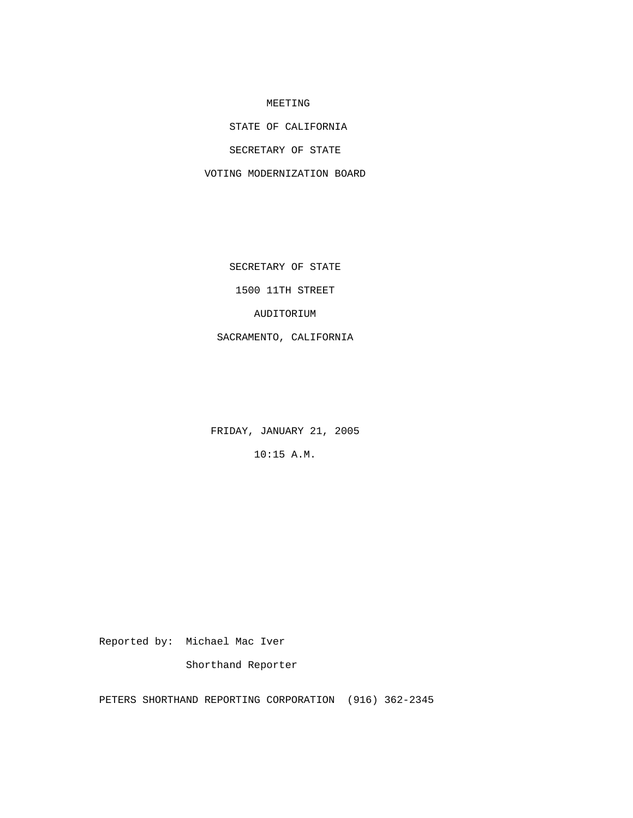## MEETING

STATE OF CALIFORNIA

SECRETARY OF STATE

VOTING MODERNIZATION BOARD

SECRETARY OF STATE

1500 11TH STREET

AUDITORIUM

SACRAMENTO, CALIFORNIA

FRIDAY, JANUARY 21, 2005

10:15 A.M.

Reported by: Michael Mac Iver

Shorthand Reporter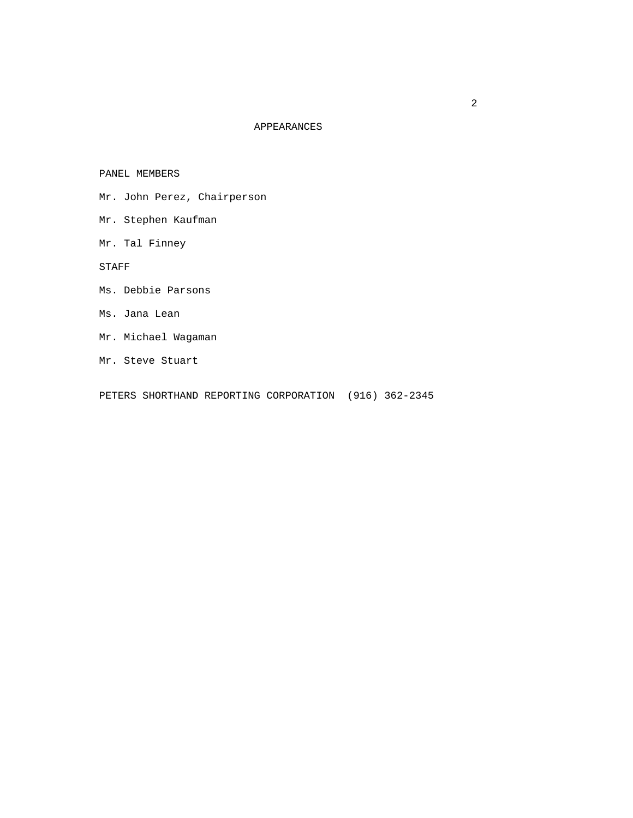## APPEARANCES

PANEL MEMBERS

- Mr. John Perez, Chairperson
- Mr. Stephen Kaufman
- Mr. Tal Finney

STAFF

- Ms. Debbie Parsons
- Ms. Jana Lean
- Mr. Michael Wagaman
- Mr. Steve Stuart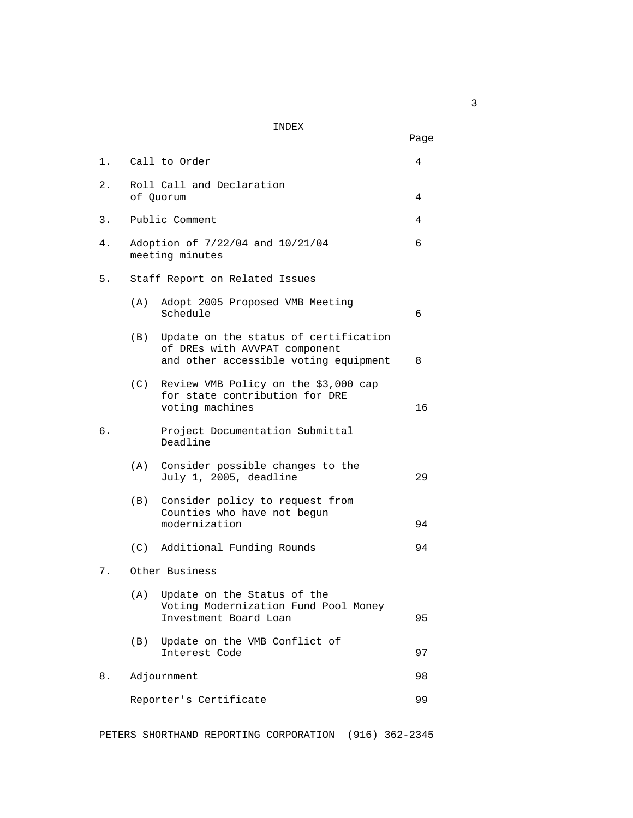## INDEX

|    |                                                     |                                                                                                                 | Page |
|----|-----------------------------------------------------|-----------------------------------------------------------------------------------------------------------------|------|
| 1. |                                                     | Call to Order                                                                                                   | 4    |
| 2. |                                                     | Roll Call and Declaration<br>of Quorum                                                                          | 4    |
| 3. |                                                     | Public Comment                                                                                                  | 4    |
| 4. | Adoption of 7/22/04 and 10/21/04<br>meeting minutes |                                                                                                                 |      |
| 5. | Staff Report on Related Issues                      |                                                                                                                 |      |
|    | (A)                                                 | Adopt 2005 Proposed VMB Meeting<br>Schedule                                                                     | 6    |
|    | (B)                                                 | Update on the status of certification<br>of DREs with AVVPAT component<br>and other accessible voting equipment | 8    |
|    |                                                     | (C) Review VMB Policy on the \$3,000 cap<br>for state contribution for DRE<br>voting machines                   | 16   |
| б. |                                                     | Project Documentation Submittal<br>Deadline                                                                     |      |
|    | (A)                                                 | Consider possible changes to the<br>July 1, 2005, deadline                                                      | 29   |
|    | (B)                                                 | Consider policy to request from<br>Counties who have not begun<br>modernization                                 | 94   |
|    |                                                     | (C) Additional Funding Rounds                                                                                   | 94   |
| 7. |                                                     | Other Business                                                                                                  |      |
|    | (A)                                                 | Update on the Status of the<br>Voting Modernization Fund Pool Money<br>Investment Board Loan                    | 95   |
|    | (B)                                                 | Update on the VMB Conflict of<br>Interest Code                                                                  | 97   |
| 8. |                                                     | Adjournment                                                                                                     | 98   |
|    |                                                     | Reporter's Certificate                                                                                          | 99   |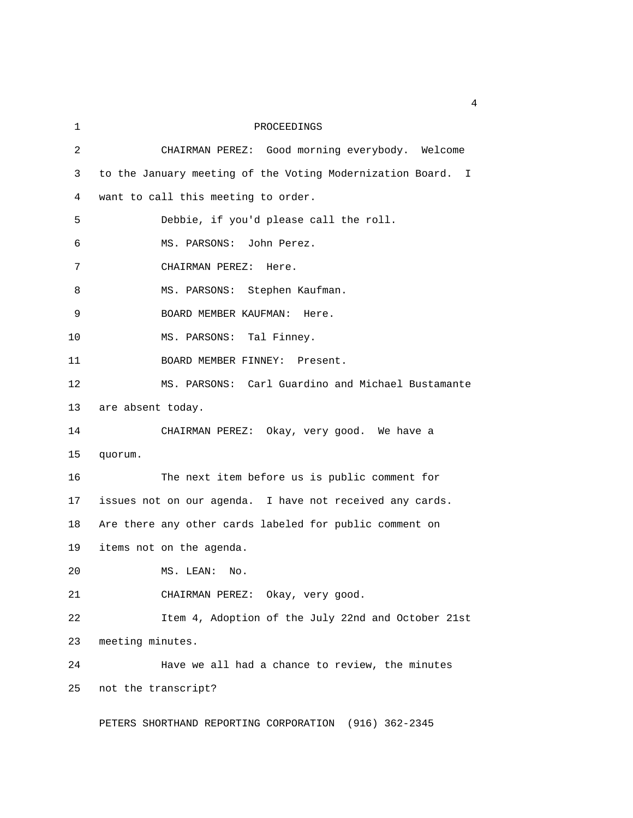| 1  | PROCEEDINGS                                                 |
|----|-------------------------------------------------------------|
| 2  | CHAIRMAN PEREZ: Good morning everybody. Welcome             |
| 3  | to the January meeting of the Voting Modernization Board. I |
| 4  | want to call this meeting to order.                         |
| 5  | Debbie, if you'd please call the roll.                      |
| 6  | MS. PARSONS: John Perez.                                    |
| 7  | CHAIRMAN PEREZ:<br>Here.                                    |
| 8  | MS. PARSONS: Stephen Kaufman.                               |
| 9  | BOARD MEMBER KAUFMAN:<br>Here.                              |
| 10 | MS. PARSONS: Tal Finney.                                    |
| 11 | BOARD MEMBER FINNEY: Present.                               |
| 12 | MS. PARSONS: Carl Guardino and Michael Bustamante           |
| 13 | are absent today.                                           |
| 14 | CHAIRMAN PEREZ: Okay, very good. We have a                  |
| 15 | quorum.                                                     |
| 16 | The next item before us is public comment for               |
| 17 | issues not on our agenda. I have not received any cards.    |
| 18 | Are there any other cards labeled for public comment on     |
| 19 | items not on the agenda.                                    |
| 20 | MS. LEAN:<br>No.                                            |
| 21 | CHAIRMAN PEREZ: Okay, very good.                            |
| 22 | Item 4, Adoption of the July 22nd and October 21st          |
| 23 | meeting minutes.                                            |
| 24 | Have we all had a chance to review, the minutes             |
| 25 | not the transcript?                                         |
|    | PETERS SHORTHAND REPORTING CORPORATION (916) 362-2345       |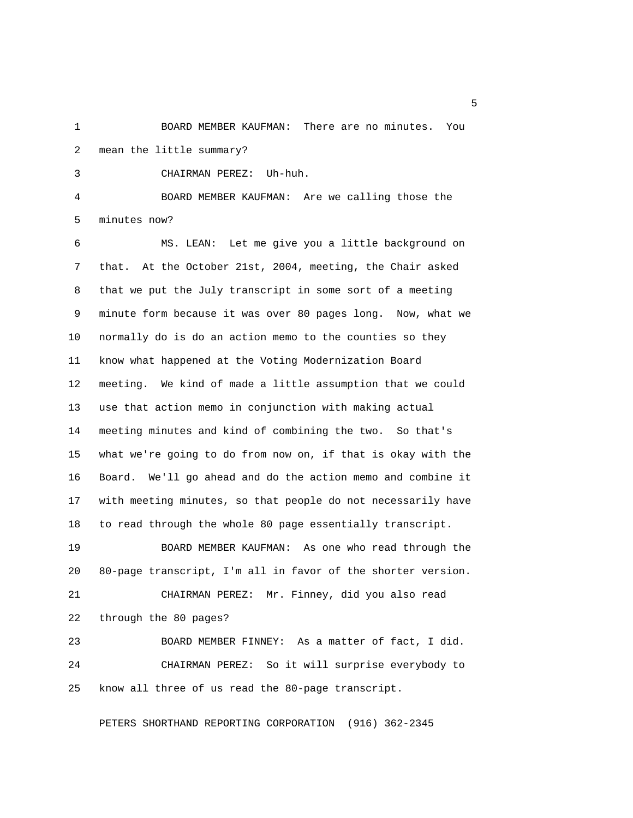1 BOARD MEMBER KAUFMAN: There are no minutes. You 2 mean the little summary?

3 CHAIRMAN PEREZ: Uh-huh.

 4 BOARD MEMBER KAUFMAN: Are we calling those the 5 minutes now?

 6 MS. LEAN: Let me give you a little background on 7 that. At the October 21st, 2004, meeting, the Chair asked 8 that we put the July transcript in some sort of a meeting 9 minute form because it was over 80 pages long. Now, what we 10 normally do is do an action memo to the counties so they 11 know what happened at the Voting Modernization Board 12 meeting. We kind of made a little assumption that we could 13 use that action memo in conjunction with making actual 14 meeting minutes and kind of combining the two. So that's 15 what we're going to do from now on, if that is okay with the 16 Board. We'll go ahead and do the action memo and combine it 17 with meeting minutes, so that people do not necessarily have 18 to read through the whole 80 page essentially transcript.

19 BOARD MEMBER KAUFMAN: As one who read through the 20 80-page transcript, I'm all in favor of the shorter version.

21 CHAIRMAN PEREZ: Mr. Finney, did you also read 22 through the 80 pages?

23 BOARD MEMBER FINNEY: As a matter of fact, I did. 24 CHAIRMAN PEREZ: So it will surprise everybody to 25 know all three of us read the 80-page transcript.

PETERS SHORTHAND REPORTING CORPORATION (916) 362-2345

 $\sim$  5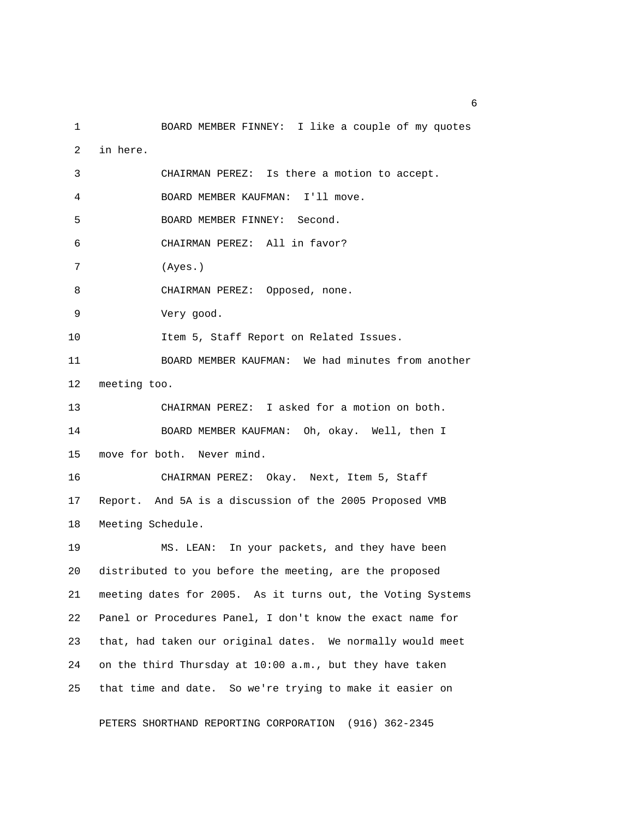1 BOARD MEMBER FINNEY: I like a couple of my quotes 2 in here. 3 CHAIRMAN PEREZ: Is there a motion to accept. 4 BOARD MEMBER KAUFMAN: I'll move. 5 BOARD MEMBER FINNEY: Second. 6 CHAIRMAN PEREZ: All in favor? 7 (Ayes.) 8 CHAIRMAN PEREZ: Opposed, none. 9 Very good. 10 Item 5, Staff Report on Related Issues. 11 BOARD MEMBER KAUFMAN: We had minutes from another 12 meeting too. 13 CHAIRMAN PEREZ: I asked for a motion on both. 14 BOARD MEMBER KAUFMAN: Oh, okay. Well, then I 15 move for both. Never mind. 16 CHAIRMAN PEREZ: Okay. Next, Item 5, Staff 17 Report. And 5A is a discussion of the 2005 Proposed VMB 18 Meeting Schedule. 19 MS. LEAN: In your packets, and they have been 20 distributed to you before the meeting, are the proposed 21 meeting dates for 2005. As it turns out, the Voting Systems 22 Panel or Procedures Panel, I don't know the exact name for 23 that, had taken our original dates. We normally would meet 24 on the third Thursday at 10:00 a.m., but they have taken 25 that time and date. So we're trying to make it easier on

PETERS SHORTHAND REPORTING CORPORATION (916) 362-2345

 $\sim$  6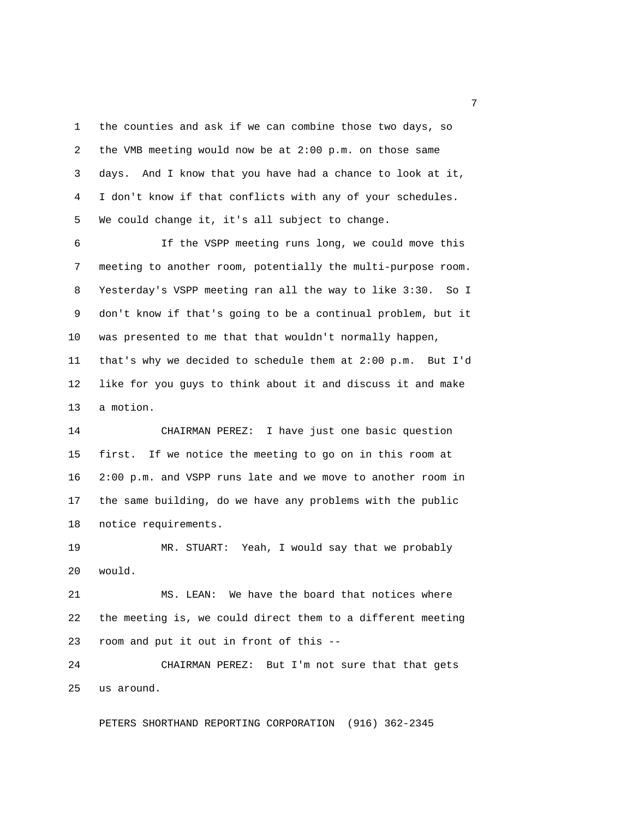1 the counties and ask if we can combine those two days, so 2 the VMB meeting would now be at 2:00 p.m. on those same 3 days. And I know that you have had a chance to look at it, 4 I don't know if that conflicts with any of your schedules. 5 We could change it, it's all subject to change.

 6 If the VSPP meeting runs long, we could move this 7 meeting to another room, potentially the multi-purpose room. 8 Yesterday's VSPP meeting ran all the way to like 3:30. So I 9 don't know if that's going to be a continual problem, but it 10 was presented to me that that wouldn't normally happen, 11 that's why we decided to schedule them at 2:00 p.m. But I'd 12 like for you guys to think about it and discuss it and make 13 a motion.

14 CHAIRMAN PEREZ: I have just one basic question 15 first. If we notice the meeting to go on in this room at 16 2:00 p.m. and VSPP runs late and we move to another room in 17 the same building, do we have any problems with the public 18 notice requirements.

19 MR. STUART: Yeah, I would say that we probably 20 would.

21 MS. LEAN: We have the board that notices where 22 the meeting is, we could direct them to a different meeting 23 room and put it out in front of this --

24 CHAIRMAN PEREZ: But I'm not sure that that gets 25 us around.

PETERS SHORTHAND REPORTING CORPORATION (916) 362-2345

<u>2</u> The contract of the contract of the contract of the contract of the contract of the contract of the contract of the contract of the contract of the contract of the contract of the contract of the contract of the contra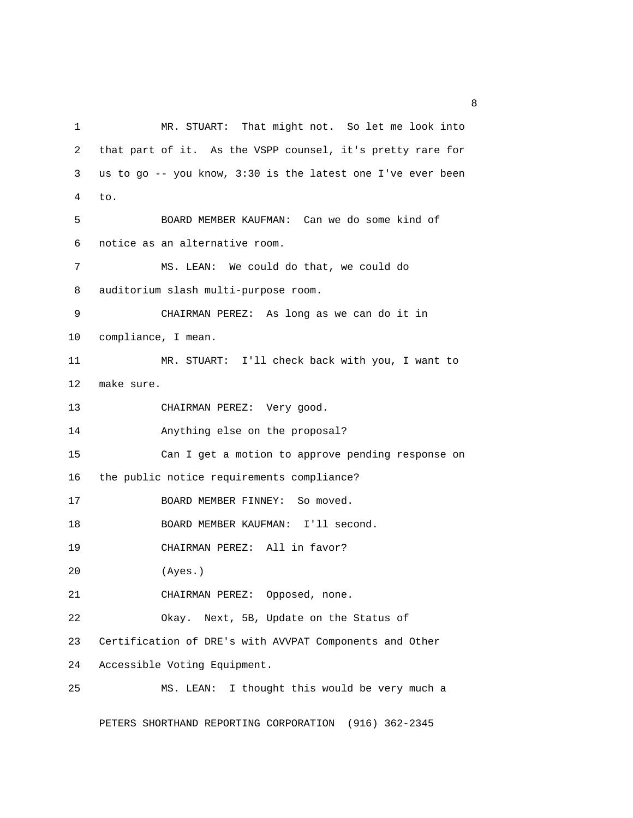1 MR. STUART: That might not. So let me look into 2 that part of it. As the VSPP counsel, it's pretty rare for 3 us to go -- you know, 3:30 is the latest one I've ever been 4 to. 5 BOARD MEMBER KAUFMAN: Can we do some kind of 6 notice as an alternative room. 7 MS. LEAN: We could do that, we could do 8 auditorium slash multi-purpose room. 9 CHAIRMAN PEREZ: As long as we can do it in 10 compliance, I mean. 11 MR. STUART: I'll check back with you, I want to 12 make sure. 13 CHAIRMAN PEREZ: Very good. 14 Anything else on the proposal? 15 Can I get a motion to approve pending response on 16 the public notice requirements compliance? 17 BOARD MEMBER FINNEY: So moved. 18 BOARD MEMBER KAUFMAN: I'll second. 19 CHAIRMAN PEREZ: All in favor? 20 (Ayes.) 21 CHAIRMAN PEREZ: Opposed, none. 22 Okay. Next, 5B, Update on the Status of 23 Certification of DRE's with AVVPAT Components and Other 24 Accessible Voting Equipment. 25 MS. LEAN: I thought this would be very much a

PETERS SHORTHAND REPORTING CORPORATION (916) 362-2345

experience of the state of the state of the state of the state of the state of the state of the state of the s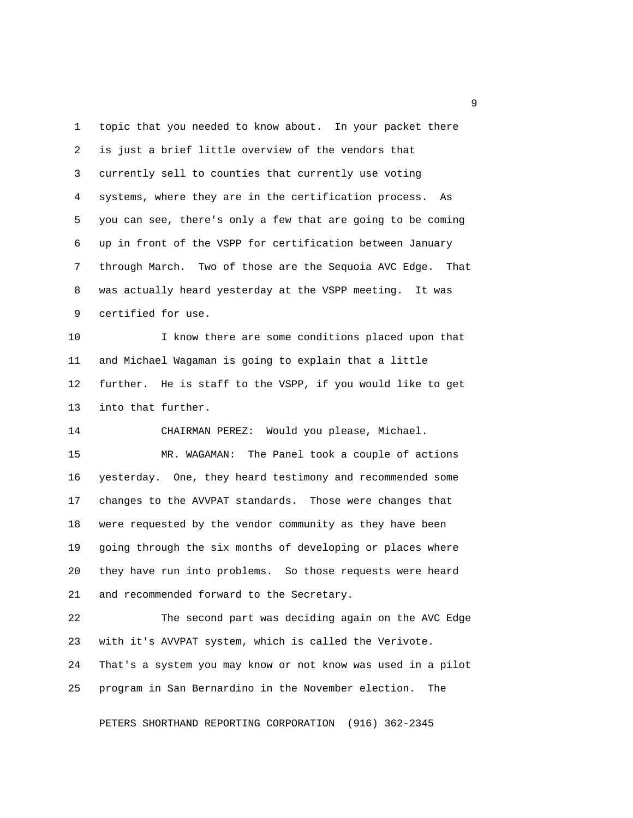1 topic that you needed to know about. In your packet there 2 is just a brief little overview of the vendors that 3 currently sell to counties that currently use voting 4 systems, where they are in the certification process. As 5 you can see, there's only a few that are going to be coming 6 up in front of the VSPP for certification between January 7 through March. Two of those are the Sequoia AVC Edge. That 8 was actually heard yesterday at the VSPP meeting. It was 9 certified for use.

10 I know there are some conditions placed upon that 11 and Michael Wagaman is going to explain that a little 12 further. He is staff to the VSPP, if you would like to get 13 into that further.

14 CHAIRMAN PEREZ: Would you please, Michael.

15 MR. WAGAMAN: The Panel took a couple of actions 16 yesterday. One, they heard testimony and recommended some 17 changes to the AVVPAT standards. Those were changes that 18 were requested by the vendor community as they have been 19 going through the six months of developing or places where 20 they have run into problems. So those requests were heard 21 and recommended forward to the Secretary.

22 The second part was deciding again on the AVC Edge 23 with it's AVVPAT system, which is called the Verivote. 24 That's a system you may know or not know was used in a pilot 25 program in San Bernardino in the November election. The

PETERS SHORTHAND REPORTING CORPORATION (916) 362-2345

experience of the state of the state of the state of the state of the state of the state of the state of the s<br>The state of the state of the state of the state of the state of the state of the state of the state of the st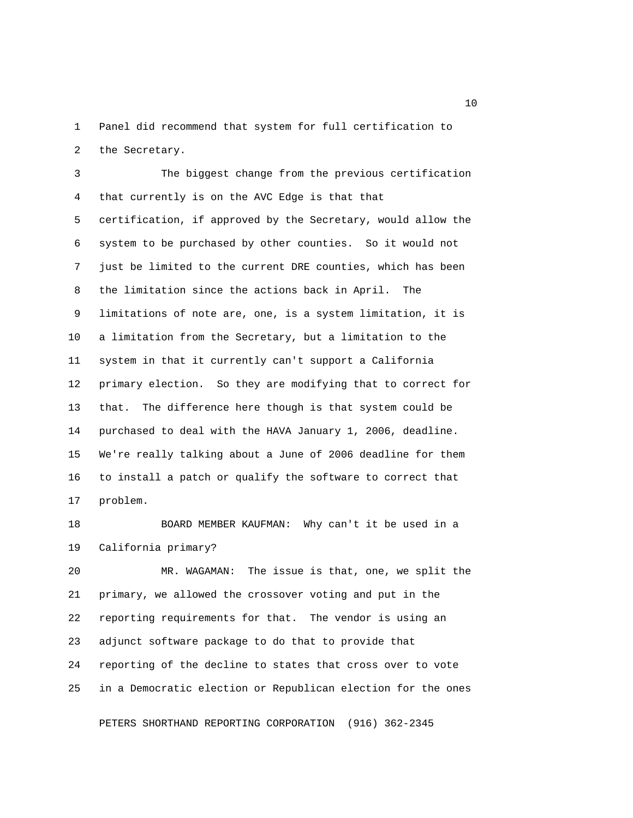1 Panel did recommend that system for full certification to 2 the Secretary.

 3 The biggest change from the previous certification 4 that currently is on the AVC Edge is that that 5 certification, if approved by the Secretary, would allow the 6 system to be purchased by other counties. So it would not 7 just be limited to the current DRE counties, which has been 8 the limitation since the actions back in April. The 9 limitations of note are, one, is a system limitation, it is 10 a limitation from the Secretary, but a limitation to the 11 system in that it currently can't support a California 12 primary election. So they are modifying that to correct for 13 that. The difference here though is that system could be 14 purchased to deal with the HAVA January 1, 2006, deadline. 15 We're really talking about a June of 2006 deadline for them 16 to install a patch or qualify the software to correct that 17 problem.

18 BOARD MEMBER KAUFMAN: Why can't it be used in a 19 California primary?

20 MR. WAGAMAN: The issue is that, one, we split the 21 primary, we allowed the crossover voting and put in the 22 reporting requirements for that. The vendor is using an 23 adjunct software package to do that to provide that 24 reporting of the decline to states that cross over to vote 25 in a Democratic election or Republican election for the ones

PETERS SHORTHAND REPORTING CORPORATION (916) 362-2345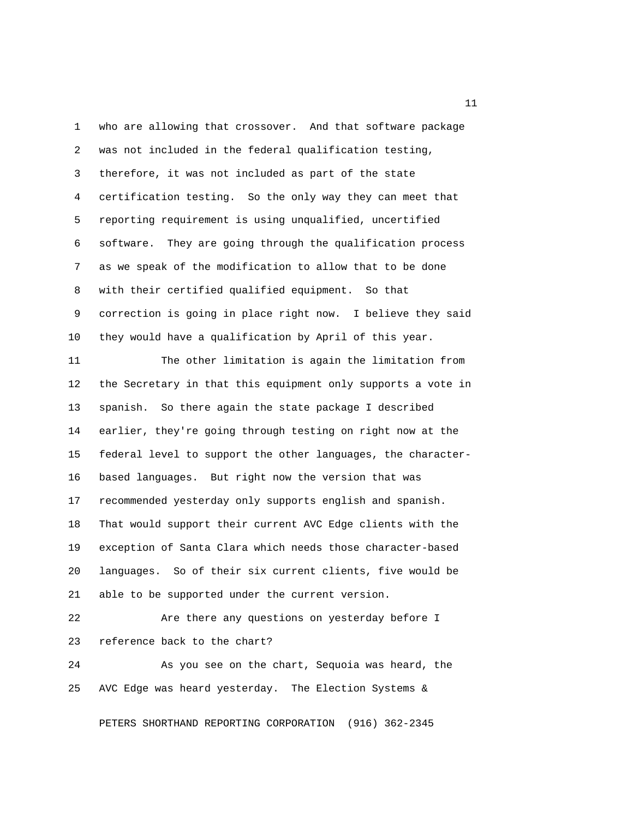1 who are allowing that crossover. And that software package 2 was not included in the federal qualification testing, 3 therefore, it was not included as part of the state 4 certification testing. So the only way they can meet that 5 reporting requirement is using unqualified, uncertified 6 software. They are going through the qualification process 7 as we speak of the modification to allow that to be done 8 with their certified qualified equipment. So that 9 correction is going in place right now. I believe they said 10 they would have a qualification by April of this year. 11 The other limitation is again the limitation from 12 the Secretary in that this equipment only supports a vote in 13 spanish. So there again the state package I described 14 earlier, they're going through testing on right now at the 15 federal level to support the other languages, the character-16 based languages. But right now the version that was

17 recommended yesterday only supports english and spanish. 18 That would support their current AVC Edge clients with the 19 exception of Santa Clara which needs those character-based 20 languages. So of their six current clients, five would be 21 able to be supported under the current version.

22 Are there any questions on yesterday before I 23 reference back to the chart?

24 As you see on the chart, Sequoia was heard, the 25 AVC Edge was heard yesterday. The Election Systems &

PETERS SHORTHAND REPORTING CORPORATION (916) 362-2345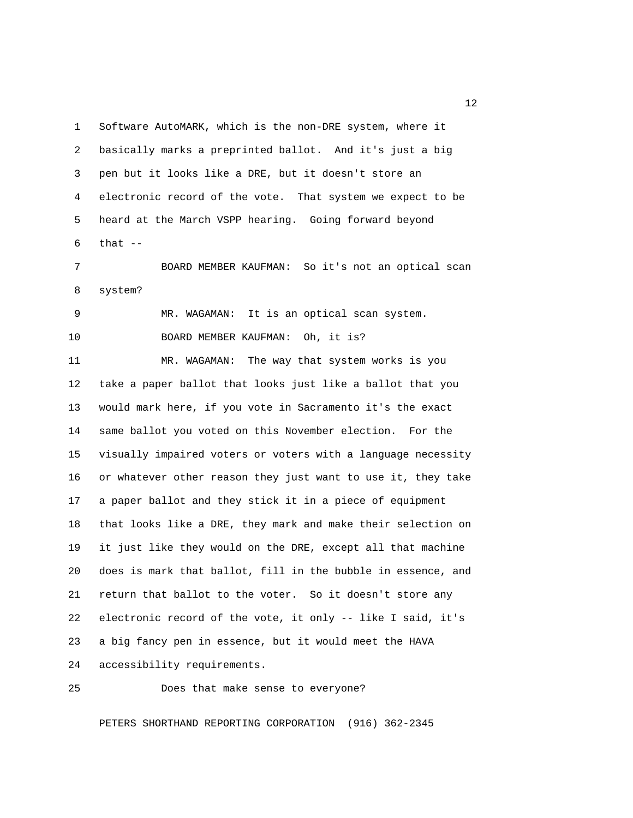1 Software AutoMARK, which is the non-DRE system, where it 2 basically marks a preprinted ballot. And it's just a big 3 pen but it looks like a DRE, but it doesn't store an 4 electronic record of the vote. That system we expect to be 5 heard at the March VSPP hearing. Going forward beyond  $6$  that  $-$ 

 7 BOARD MEMBER KAUFMAN: So it's not an optical scan 8 system?

 9 MR. WAGAMAN: It is an optical scan system. 10 BOARD MEMBER KAUFMAN: Oh, it is? 11 MR. WAGAMAN: The way that system works is you 12 take a paper ballot that looks just like a ballot that you 13 would mark here, if you vote in Sacramento it's the exact 14 same ballot you voted on this November election. For the 15 visually impaired voters or voters with a language necessity 16 or whatever other reason they just want to use it, they take 17 a paper ballot and they stick it in a piece of equipment 18 that looks like a DRE, they mark and make their selection on 19 it just like they would on the DRE, except all that machine 20 does is mark that ballot, fill in the bubble in essence, and 21 return that ballot to the voter. So it doesn't store any 22 electronic record of the vote, it only -- like I said, it's 23 a big fancy pen in essence, but it would meet the HAVA 24 accessibility requirements.

25 Does that make sense to everyone?

PETERS SHORTHAND REPORTING CORPORATION (916) 362-2345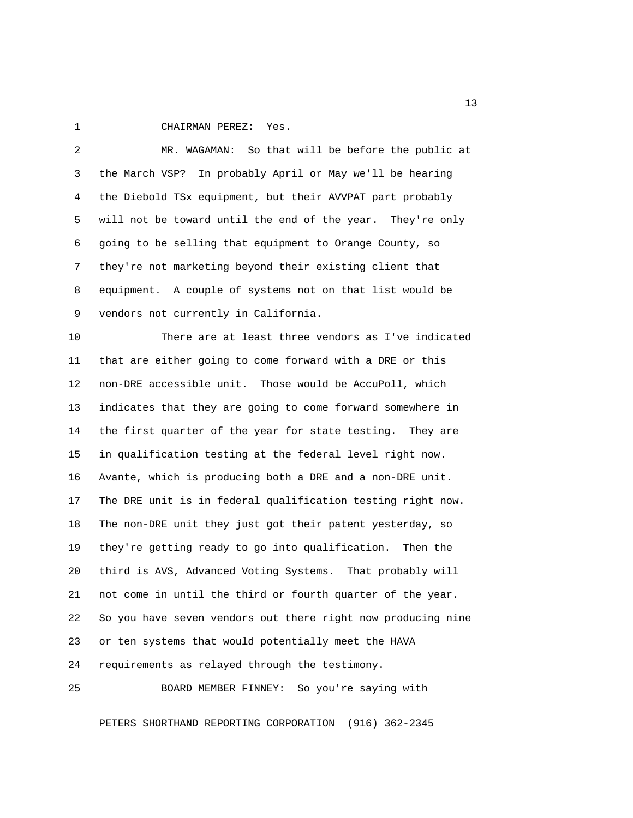1 CHAIRMAN PEREZ: Yes.

 2 MR. WAGAMAN: So that will be before the public at 3 the March VSP? In probably April or May we'll be hearing 4 the Diebold TSx equipment, but their AVVPAT part probably 5 will not be toward until the end of the year. They're only 6 going to be selling that equipment to Orange County, so 7 they're not marketing beyond their existing client that 8 equipment. A couple of systems not on that list would be 9 vendors not currently in California.

10 There are at least three vendors as I've indicated 11 that are either going to come forward with a DRE or this 12 non-DRE accessible unit. Those would be AccuPoll, which 13 indicates that they are going to come forward somewhere in 14 the first quarter of the year for state testing. They are 15 in qualification testing at the federal level right now. 16 Avante, which is producing both a DRE and a non-DRE unit. 17 The DRE unit is in federal qualification testing right now. 18 The non-DRE unit they just got their patent yesterday, so 19 they're getting ready to go into qualification. Then the 20 third is AVS, Advanced Voting Systems. That probably will 21 not come in until the third or fourth quarter of the year. 22 So you have seven vendors out there right now producing nine 23 or ten systems that would potentially meet the HAVA 24 requirements as relayed through the testimony.

25 BOARD MEMBER FINNEY: So you're saying with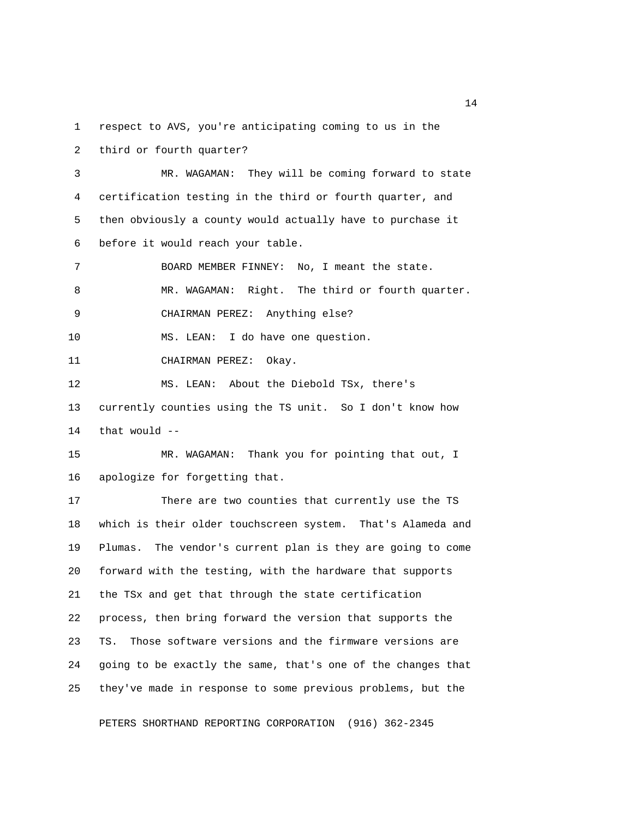1 respect to AVS, you're anticipating coming to us in the

2 third or fourth quarter?

 3 MR. WAGAMAN: They will be coming forward to state 4 certification testing in the third or fourth quarter, and 5 then obviously a county would actually have to purchase it 6 before it would reach your table.

 7 BOARD MEMBER FINNEY: No, I meant the state. 8 MR. WAGAMAN: Right. The third or fourth quarter. 9 CHAIRMAN PEREZ: Anything else? 10 MS. LEAN: I do have one question.

11 CHAIRMAN PEREZ: Okay.

12 MS. LEAN: About the Diebold TSx, there's 13 currently counties using the TS unit. So I don't know how 14 that would --

15 MR. WAGAMAN: Thank you for pointing that out, I 16 apologize for forgetting that.

17 There are two counties that currently use the TS 18 which is their older touchscreen system. That's Alameda and 19 Plumas. The vendor's current plan is they are going to come 20 forward with the testing, with the hardware that supports 21 the TSx and get that through the state certification 22 process, then bring forward the version that supports the 23 TS. Those software versions and the firmware versions are 24 going to be exactly the same, that's one of the changes that 25 they've made in response to some previous problems, but the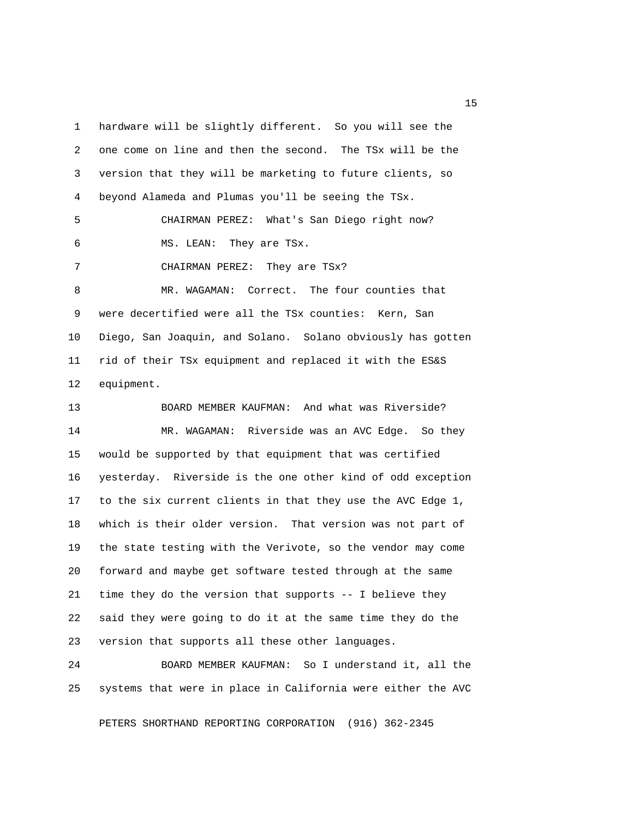1 hardware will be slightly different. So you will see the 2 one come on line and then the second. The TSx will be the 3 version that they will be marketing to future clients, so 4 beyond Alameda and Plumas you'll be seeing the TSx. 5 CHAIRMAN PEREZ: What's San Diego right now? 6 MS. LEAN: They are TSx. 7 CHAIRMAN PEREZ: They are TSx? 8 MR. WAGAMAN: Correct. The four counties that 9 were decertified were all the TSx counties: Kern, San 10 Diego, San Joaquin, and Solano. Solano obviously has gotten 11 rid of their TSx equipment and replaced it with the ES&S 12 equipment. 13 BOARD MEMBER KAUFMAN: And what was Riverside? 14 MR. WAGAMAN: Riverside was an AVC Edge. So they 15 would be supported by that equipment that was certified 16 yesterday. Riverside is the one other kind of odd exception 17 to the six current clients in that they use the AVC Edge 1, 18 which is their older version. That version was not part of 19 the state testing with the Verivote, so the vendor may come 20 forward and maybe get software tested through at the same 21 time they do the version that supports -- I believe they 22 said they were going to do it at the same time they do the

24 BOARD MEMBER KAUFMAN: So I understand it, all the 25 systems that were in place in California were either the AVC

23 version that supports all these other languages.

PETERS SHORTHAND REPORTING CORPORATION (916) 362-2345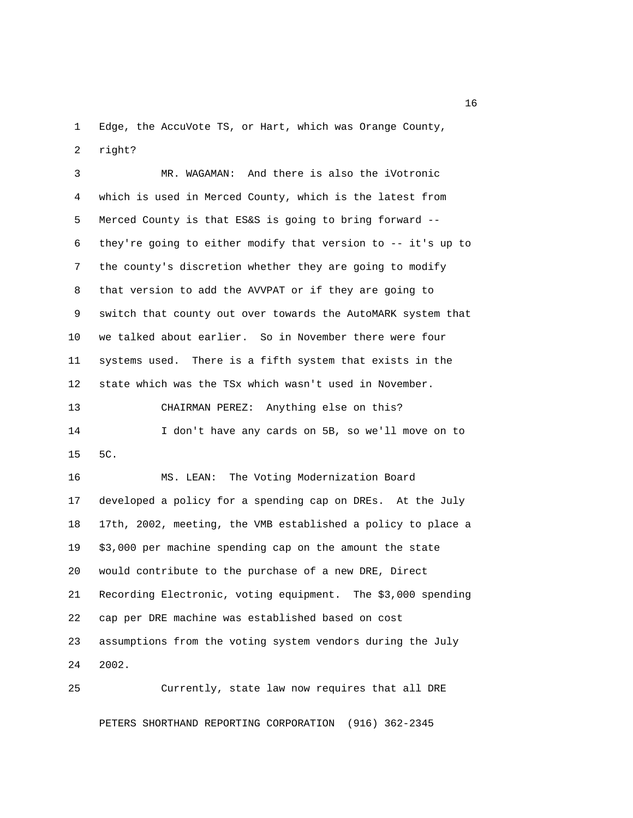1 Edge, the AccuVote TS, or Hart, which was Orange County, 2 right?

 3 MR. WAGAMAN: And there is also the iVotronic 4 which is used in Merced County, which is the latest from 5 Merced County is that ES&S is going to bring forward -- 6 they're going to either modify that version to -- it's up to 7 the county's discretion whether they are going to modify 8 that version to add the AVVPAT or if they are going to 9 switch that county out over towards the AutoMARK system that 10 we talked about earlier. So in November there were four 11 systems used. There is a fifth system that exists in the 12 state which was the TSx which wasn't used in November. 13 CHAIRMAN PEREZ: Anything else on this? 14 I don't have any cards on 5B, so we'll move on to 15 5C. 16 MS. LEAN: The Voting Modernization Board 17 developed a policy for a spending cap on DREs. At the July 18 17th, 2002, meeting, the VMB established a policy to place a 19 \$3,000 per machine spending cap on the amount the state 20 would contribute to the purchase of a new DRE, Direct 21 Recording Electronic, voting equipment. The \$3,000 spending 22 cap per DRE machine was established based on cost 23 assumptions from the voting system vendors during the July 24 2002.

25 Currently, state law now requires that all DRE

PETERS SHORTHAND REPORTING CORPORATION (916) 362-2345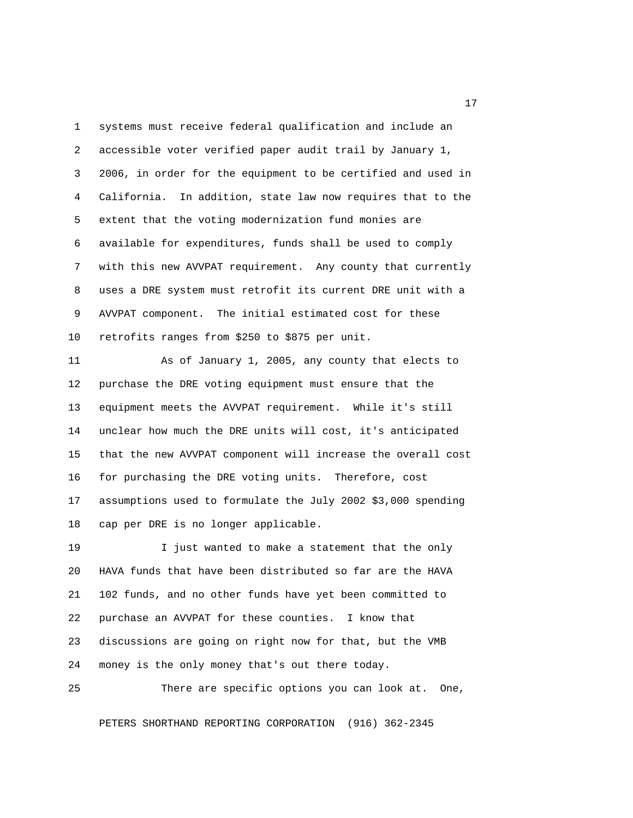1 systems must receive federal qualification and include an 2 accessible voter verified paper audit trail by January 1, 3 2006, in order for the equipment to be certified and used in 4 California. In addition, state law now requires that to the 5 extent that the voting modernization fund monies are 6 available for expenditures, funds shall be used to comply 7 with this new AVVPAT requirement. Any county that currently 8 uses a DRE system must retrofit its current DRE unit with a 9 AVVPAT component. The initial estimated cost for these 10 retrofits ranges from \$250 to \$875 per unit.

11 As of January 1, 2005, any county that elects to 12 purchase the DRE voting equipment must ensure that the 13 equipment meets the AVVPAT requirement. While it's still 14 unclear how much the DRE units will cost, it's anticipated 15 that the new AVVPAT component will increase the overall cost 16 for purchasing the DRE voting units. Therefore, cost 17 assumptions used to formulate the July 2002 \$3,000 spending 18 cap per DRE is no longer applicable.

19 I just wanted to make a statement that the only 20 HAVA funds that have been distributed so far are the HAVA 21 102 funds, and no other funds have yet been committed to 22 purchase an AVVPAT for these counties. I know that 23 discussions are going on right now for that, but the VMB 24 money is the only money that's out there today.

25 There are specific options you can look at. One,

PETERS SHORTHAND REPORTING CORPORATION (916) 362-2345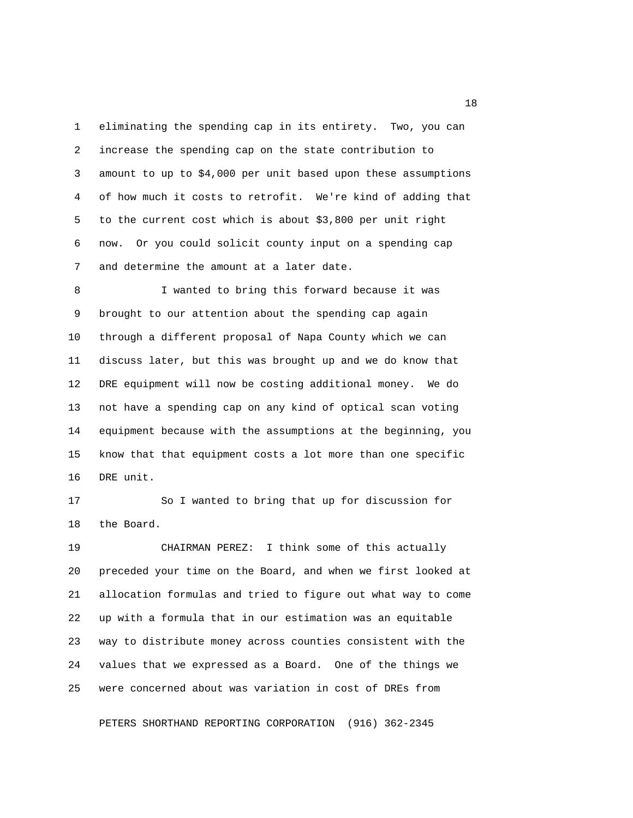1 eliminating the spending cap in its entirety. Two, you can 2 increase the spending cap on the state contribution to 3 amount to up to \$4,000 per unit based upon these assumptions 4 of how much it costs to retrofit. We're kind of adding that 5 to the current cost which is about \$3,800 per unit right 6 now. Or you could solicit county input on a spending cap 7 and determine the amount at a later date.

 8 I wanted to bring this forward because it was 9 brought to our attention about the spending cap again 10 through a different proposal of Napa County which we can 11 discuss later, but this was brought up and we do know that 12 DRE equipment will now be costing additional money. We do 13 not have a spending cap on any kind of optical scan voting 14 equipment because with the assumptions at the beginning, you 15 know that that equipment costs a lot more than one specific 16 DRE unit.

17 So I wanted to bring that up for discussion for 18 the Board.

19 CHAIRMAN PEREZ: I think some of this actually 20 preceded your time on the Board, and when we first looked at 21 allocation formulas and tried to figure out what way to come 22 up with a formula that in our estimation was an equitable 23 way to distribute money across counties consistent with the 24 values that we expressed as a Board. One of the things we 25 were concerned about was variation in cost of DREs from

PETERS SHORTHAND REPORTING CORPORATION (916) 362-2345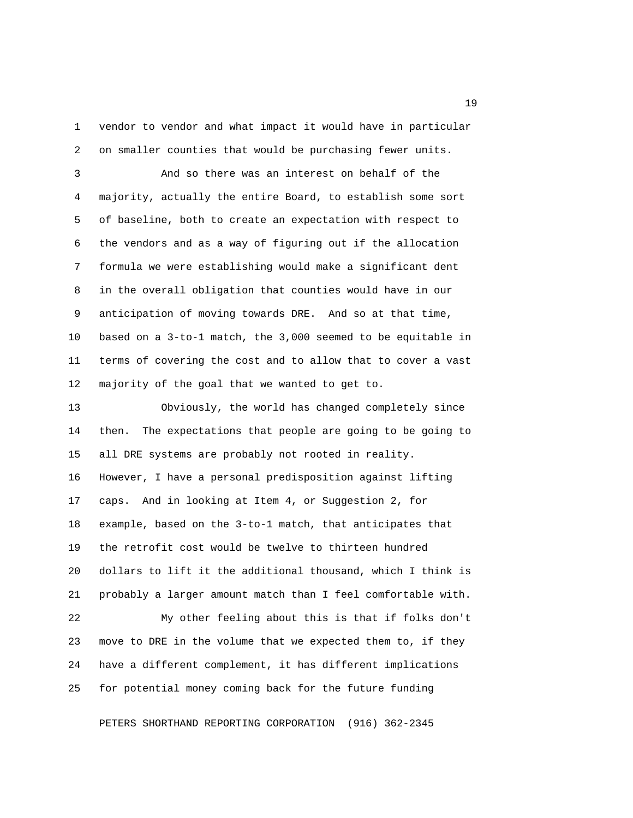1 vendor to vendor and what impact it would have in particular 2 on smaller counties that would be purchasing fewer units.

 3 And so there was an interest on behalf of the 4 majority, actually the entire Board, to establish some sort 5 of baseline, both to create an expectation with respect to 6 the vendors and as a way of figuring out if the allocation 7 formula we were establishing would make a significant dent 8 in the overall obligation that counties would have in our 9 anticipation of moving towards DRE. And so at that time, 10 based on a 3-to-1 match, the 3,000 seemed to be equitable in 11 terms of covering the cost and to allow that to cover a vast 12 majority of the goal that we wanted to get to.

13 Obviously, the world has changed completely since 14 then. The expectations that people are going to be going to 15 all DRE systems are probably not rooted in reality. 16 However, I have a personal predisposition against lifting 17 caps. And in looking at Item 4, or Suggestion 2, for 18 example, based on the 3-to-1 match, that anticipates that 19 the retrofit cost would be twelve to thirteen hundred 20 dollars to lift it the additional thousand, which I think is 21 probably a larger amount match than I feel comfortable with. 22 My other feeling about this is that if folks don't

24 have a different complement, it has different implications 25 for potential money coming back for the future funding

23 move to DRE in the volume that we expected them to, if they

PETERS SHORTHAND REPORTING CORPORATION (916) 362-2345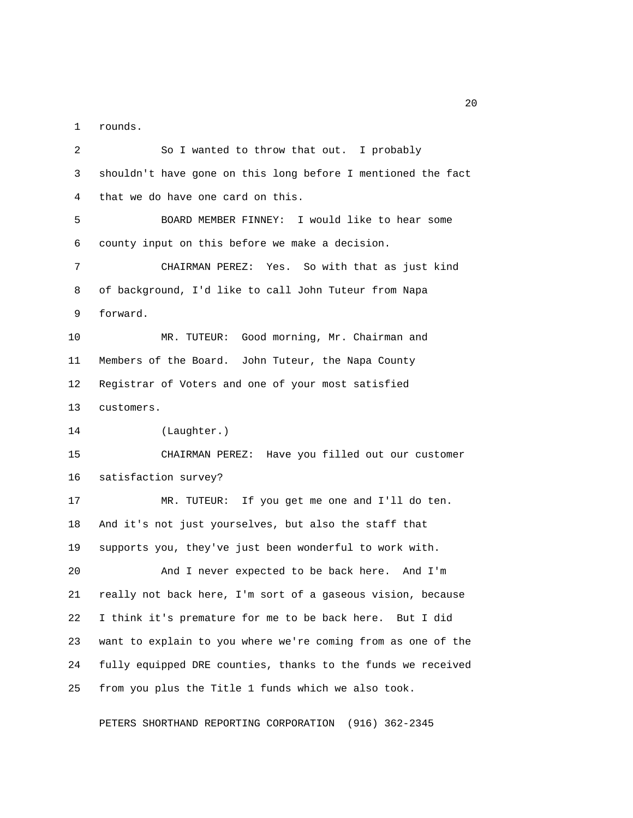1 rounds.

 2 So I wanted to throw that out. I probably 3 shouldn't have gone on this long before I mentioned the fact 4 that we do have one card on this. 5 BOARD MEMBER FINNEY: I would like to hear some 6 county input on this before we make a decision. 7 CHAIRMAN PEREZ: Yes. So with that as just kind 8 of background, I'd like to call John Tuteur from Napa 9 forward. 10 MR. TUTEUR: Good morning, Mr. Chairman and 11 Members of the Board. John Tuteur, the Napa County 12 Registrar of Voters and one of your most satisfied 13 customers. 14 (Laughter.) 15 CHAIRMAN PEREZ: Have you filled out our customer 16 satisfaction survey? 17 MR. TUTEUR: If you get me one and I'll do ten. 18 And it's not just yourselves, but also the staff that 19 supports you, they've just been wonderful to work with. 20 And I never expected to be back here. And I'm 21 really not back here, I'm sort of a gaseous vision, because 22 I think it's premature for me to be back here. But I did 23 want to explain to you where we're coming from as one of the 24 fully equipped DRE counties, thanks to the funds we received 25 from you plus the Title 1 funds which we also took.

PETERS SHORTHAND REPORTING CORPORATION (916) 362-2345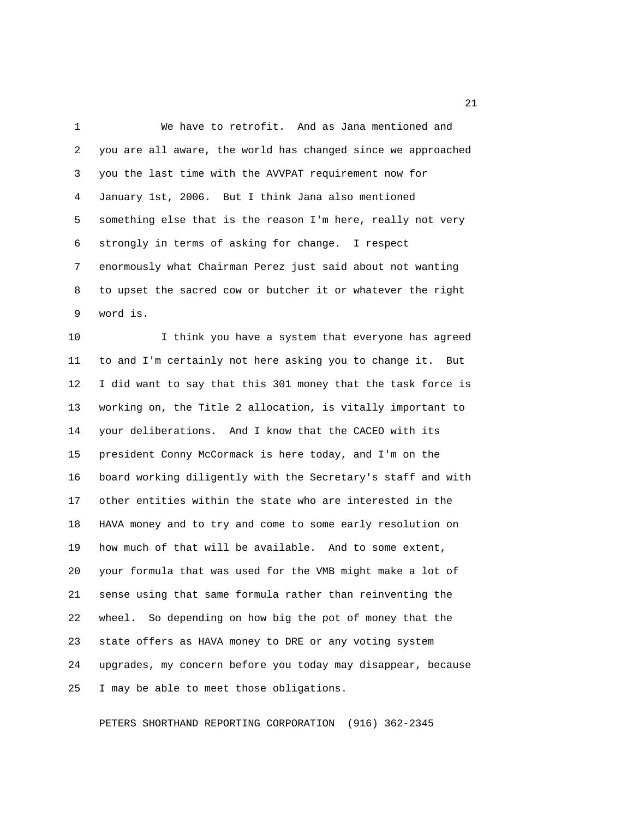1 We have to retrofit. And as Jana mentioned and 2 you are all aware, the world has changed since we approached 3 you the last time with the AVVPAT requirement now for 4 January 1st, 2006. But I think Jana also mentioned 5 something else that is the reason I'm here, really not very 6 strongly in terms of asking for change. I respect 7 enormously what Chairman Perez just said about not wanting 8 to upset the sacred cow or butcher it or whatever the right 9 word is.

10 I think you have a system that everyone has agreed 11 to and I'm certainly not here asking you to change it. But 12 I did want to say that this 301 money that the task force is 13 working on, the Title 2 allocation, is vitally important to 14 your deliberations. And I know that the CACEO with its 15 president Conny McCormack is here today, and I'm on the 16 board working diligently with the Secretary's staff and with 17 other entities within the state who are interested in the 18 HAVA money and to try and come to some early resolution on 19 how much of that will be available. And to some extent, 20 your formula that was used for the VMB might make a lot of 21 sense using that same formula rather than reinventing the 22 wheel. So depending on how big the pot of money that the 23 state offers as HAVA money to DRE or any voting system 24 upgrades, my concern before you today may disappear, because 25 I may be able to meet those obligations.

PETERS SHORTHAND REPORTING CORPORATION (916) 362-2345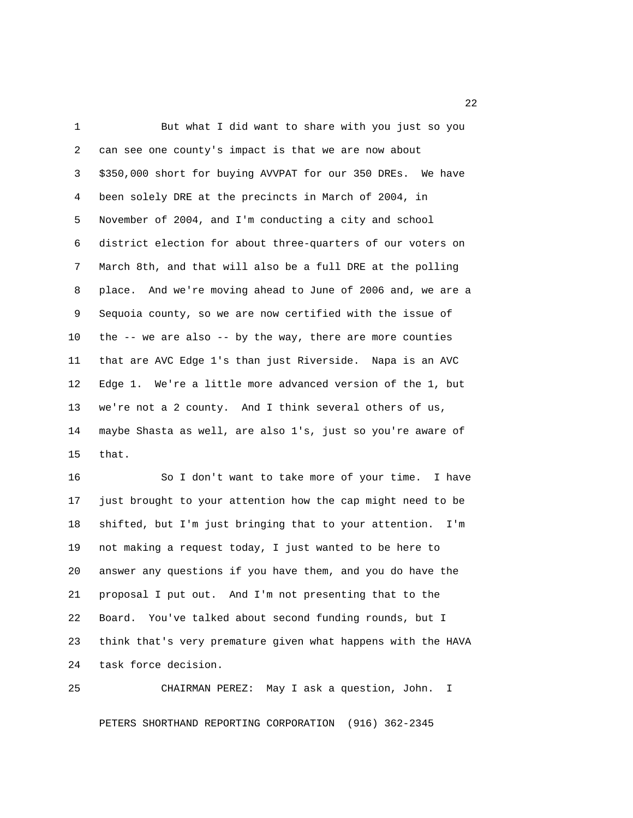1 But what I did want to share with you just so you 2 can see one county's impact is that we are now about 3 \$350,000 short for buying AVVPAT for our 350 DREs. We have 4 been solely DRE at the precincts in March of 2004, in 5 November of 2004, and I'm conducting a city and school 6 district election for about three-quarters of our voters on 7 March 8th, and that will also be a full DRE at the polling 8 place. And we're moving ahead to June of 2006 and, we are a 9 Sequoia county, so we are now certified with the issue of 10 the -- we are also -- by the way, there are more counties 11 that are AVC Edge 1's than just Riverside. Napa is an AVC 12 Edge 1. We're a little more advanced version of the 1, but 13 we're not a 2 county. And I think several others of us, 14 maybe Shasta as well, are also 1's, just so you're aware of 15 that.

16 So I don't want to take more of your time. I have 17 just brought to your attention how the cap might need to be 18 shifted, but I'm just bringing that to your attention. I'm 19 not making a request today, I just wanted to be here to 20 answer any questions if you have them, and you do have the 21 proposal I put out. And I'm not presenting that to the 22 Board. You've talked about second funding rounds, but I 23 think that's very premature given what happens with the HAVA 24 task force decision.

25 CHAIRMAN PEREZ: May I ask a question, John. I PETERS SHORTHAND REPORTING CORPORATION (916) 362-2345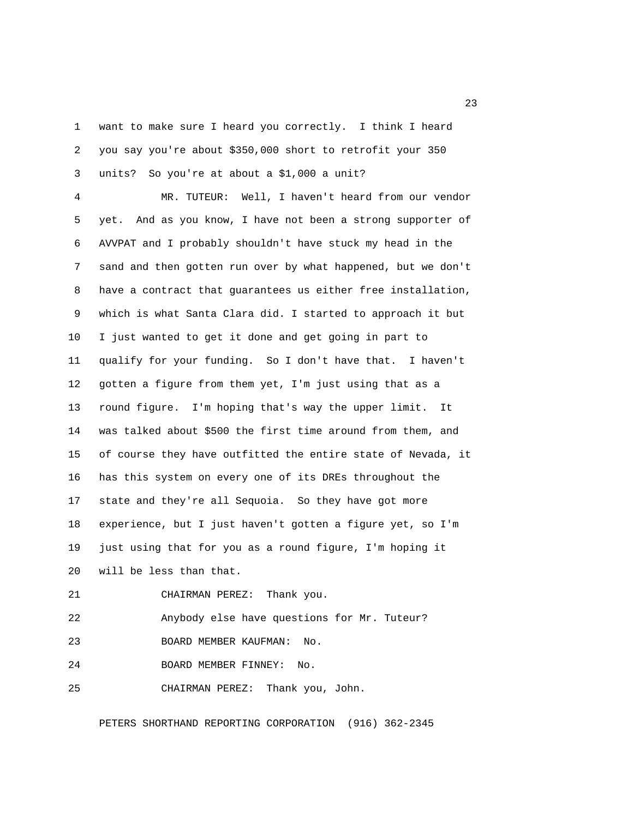1 want to make sure I heard you correctly. I think I heard 2 you say you're about \$350,000 short to retrofit your 350 3 units? So you're at about a \$1,000 a unit?

 4 MR. TUTEUR: Well, I haven't heard from our vendor 5 yet. And as you know, I have not been a strong supporter of 6 AVVPAT and I probably shouldn't have stuck my head in the 7 sand and then gotten run over by what happened, but we don't 8 have a contract that guarantees us either free installation, 9 which is what Santa Clara did. I started to approach it but 10 I just wanted to get it done and get going in part to 11 qualify for your funding. So I don't have that. I haven't 12 gotten a figure from them yet, I'm just using that as a 13 round figure. I'm hoping that's way the upper limit. It 14 was talked about \$500 the first time around from them, and 15 of course they have outfitted the entire state of Nevada, it 16 has this system on every one of its DREs throughout the 17 state and they're all Sequoia. So they have got more 18 experience, but I just haven't gotten a figure yet, so I'm 19 just using that for you as a round figure, I'm hoping it 20 will be less than that.

21 CHAIRMAN PEREZ: Thank you.

22 Anybody else have questions for Mr. Tuteur?

23 BOARD MEMBER KAUFMAN: No.

24 BOARD MEMBER FINNEY: No.

25 CHAIRMAN PEREZ: Thank you, John.

PETERS SHORTHAND REPORTING CORPORATION (916) 362-2345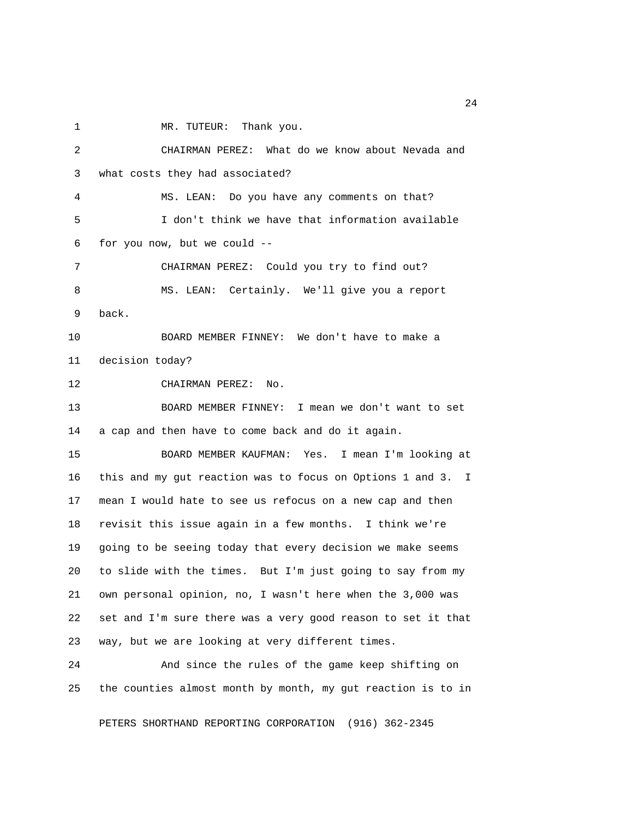1 MR. TUTEUR: Thank you. 2 CHAIRMAN PEREZ: What do we know about Nevada and 3 what costs they had associated? 4 MS. LEAN: Do you have any comments on that? 5 I don't think we have that information available 6 for you now, but we could -- 7 CHAIRMAN PEREZ: Could you try to find out? 8 MS. LEAN: Certainly. We'll give you a report 9 back. 10 BOARD MEMBER FINNEY: We don't have to make a 11 decision today? 12 CHAIRMAN PEREZ: No. 13 BOARD MEMBER FINNEY: I mean we don't want to set 14 a cap and then have to come back and do it again. 15 BOARD MEMBER KAUFMAN: Yes. I mean I'm looking at 16 this and my gut reaction was to focus on Options 1 and 3. I 17 mean I would hate to see us refocus on a new cap and then 18 revisit this issue again in a few months. I think we're 19 going to be seeing today that every decision we make seems 20 to slide with the times. But I'm just going to say from my 21 own personal opinion, no, I wasn't here when the 3,000 was 22 set and I'm sure there was a very good reason to set it that 23 way, but we are looking at very different times. 24 And since the rules of the game keep shifting on 25 the counties almost month by month, my gut reaction is to in

PETERS SHORTHAND REPORTING CORPORATION (916) 362-2345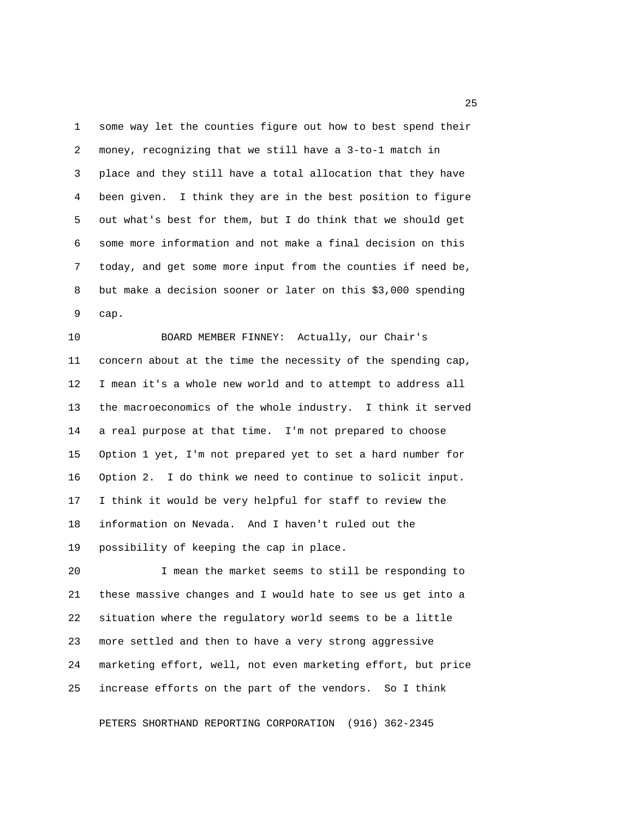1 some way let the counties figure out how to best spend their 2 money, recognizing that we still have a 3-to-1 match in 3 place and they still have a total allocation that they have 4 been given. I think they are in the best position to figure 5 out what's best for them, but I do think that we should get 6 some more information and not make a final decision on this 7 today, and get some more input from the counties if need be, 8 but make a decision sooner or later on this \$3,000 spending 9 cap.

10 BOARD MEMBER FINNEY: Actually, our Chair's 11 concern about at the time the necessity of the spending cap, 12 I mean it's a whole new world and to attempt to address all 13 the macroeconomics of the whole industry. I think it served 14 a real purpose at that time. I'm not prepared to choose 15 Option 1 yet, I'm not prepared yet to set a hard number for 16 Option 2. I do think we need to continue to solicit input. 17 I think it would be very helpful for staff to review the 18 information on Nevada. And I haven't ruled out the 19 possibility of keeping the cap in place.

20 I mean the market seems to still be responding to 21 these massive changes and I would hate to see us get into a 22 situation where the regulatory world seems to be a little 23 more settled and then to have a very strong aggressive 24 marketing effort, well, not even marketing effort, but price 25 increase efforts on the part of the vendors. So I think

PETERS SHORTHAND REPORTING CORPORATION (916) 362-2345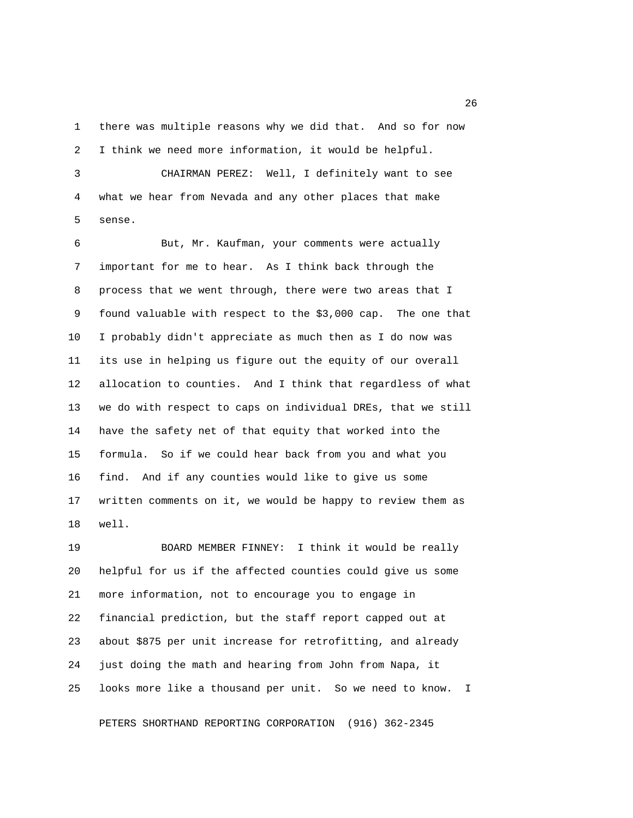1 there was multiple reasons why we did that. And so for now 2 I think we need more information, it would be helpful.

 3 CHAIRMAN PEREZ: Well, I definitely want to see 4 what we hear from Nevada and any other places that make 5 sense.

 6 But, Mr. Kaufman, your comments were actually 7 important for me to hear. As I think back through the 8 process that we went through, there were two areas that I 9 found valuable with respect to the \$3,000 cap. The one that 10 I probably didn't appreciate as much then as I do now was 11 its use in helping us figure out the equity of our overall 12 allocation to counties. And I think that regardless of what 13 we do with respect to caps on individual DREs, that we still 14 have the safety net of that equity that worked into the 15 formula. So if we could hear back from you and what you 16 find. And if any counties would like to give us some 17 written comments on it, we would be happy to review them as 18 well.

19 BOARD MEMBER FINNEY: I think it would be really 20 helpful for us if the affected counties could give us some 21 more information, not to encourage you to engage in 22 financial prediction, but the staff report capped out at 23 about \$875 per unit increase for retrofitting, and already 24 just doing the math and hearing from John from Napa, it 25 looks more like a thousand per unit. So we need to know. I

PETERS SHORTHAND REPORTING CORPORATION (916) 362-2345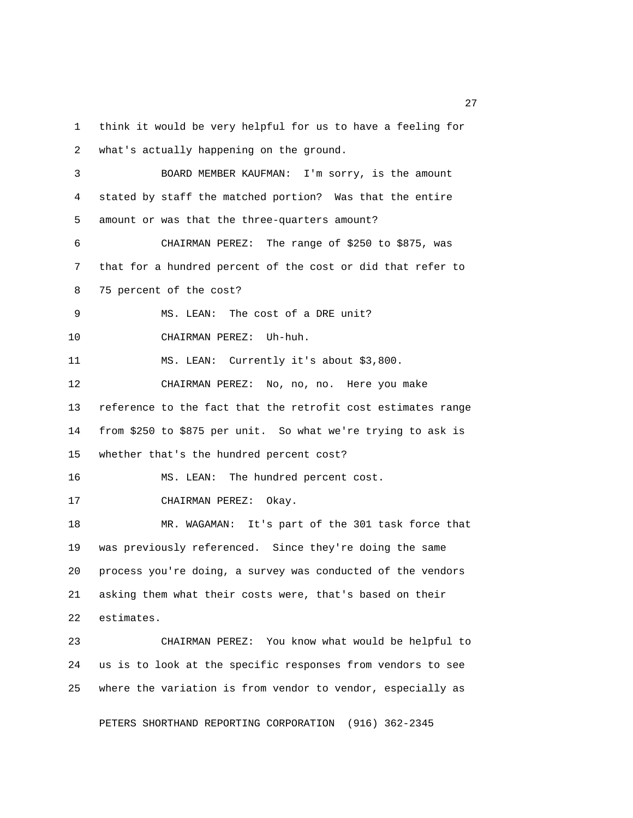1 think it would be very helpful for us to have a feeling for 2 what's actually happening on the ground. 3 BOARD MEMBER KAUFMAN: I'm sorry, is the amount 4 stated by staff the matched portion? Was that the entire 5 amount or was that the three-quarters amount? 6 CHAIRMAN PEREZ: The range of \$250 to \$875, was 7 that for a hundred percent of the cost or did that refer to 8 75 percent of the cost? 9 MS. LEAN: The cost of a DRE unit? 10 CHAIRMAN PEREZ: Uh-huh. 11 MS. LEAN: Currently it's about \$3,800. 12 CHAIRMAN PEREZ: No, no, no. Here you make 13 reference to the fact that the retrofit cost estimates range 14 from \$250 to \$875 per unit. So what we're trying to ask is 15 whether that's the hundred percent cost? 16 MS. LEAN: The hundred percent cost. 17 CHAIRMAN PEREZ: Okay. 18 MR. WAGAMAN: It's part of the 301 task force that 19 was previously referenced. Since they're doing the same 20 process you're doing, a survey was conducted of the vendors 21 asking them what their costs were, that's based on their 22 estimates. 23 CHAIRMAN PEREZ: You know what would be helpful to 24 us is to look at the specific responses from vendors to see 25 where the variation is from vendor to vendor, especially as

PETERS SHORTHAND REPORTING CORPORATION (916) 362-2345

27 and 27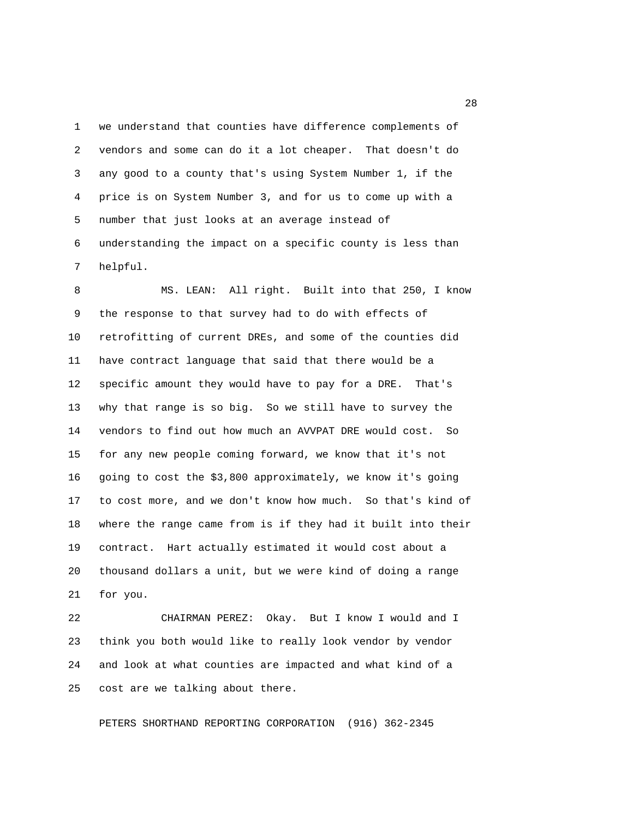1 we understand that counties have difference complements of 2 vendors and some can do it a lot cheaper. That doesn't do 3 any good to a county that's using System Number 1, if the 4 price is on System Number 3, and for us to come up with a 5 number that just looks at an average instead of 6 understanding the impact on a specific county is less than 7 helpful.

 8 MS. LEAN: All right. Built into that 250, I know 9 the response to that survey had to do with effects of 10 retrofitting of current DREs, and some of the counties did 11 have contract language that said that there would be a 12 specific amount they would have to pay for a DRE. That's 13 why that range is so big. So we still have to survey the 14 vendors to find out how much an AVVPAT DRE would cost. So 15 for any new people coming forward, we know that it's not 16 going to cost the \$3,800 approximately, we know it's going 17 to cost more, and we don't know how much. So that's kind of 18 where the range came from is if they had it built into their 19 contract. Hart actually estimated it would cost about a 20 thousand dollars a unit, but we were kind of doing a range 21 for you.

22 CHAIRMAN PEREZ: Okay. But I know I would and I 23 think you both would like to really look vendor by vendor 24 and look at what counties are impacted and what kind of a 25 cost are we talking about there.

PETERS SHORTHAND REPORTING CORPORATION (916) 362-2345

<u>28</u> and 28 and 28 and 28 and 28 and 28 and 28 and 28 and 28 and 28 and 28 and 28 and 28 and 28 and 28 and 28 and 28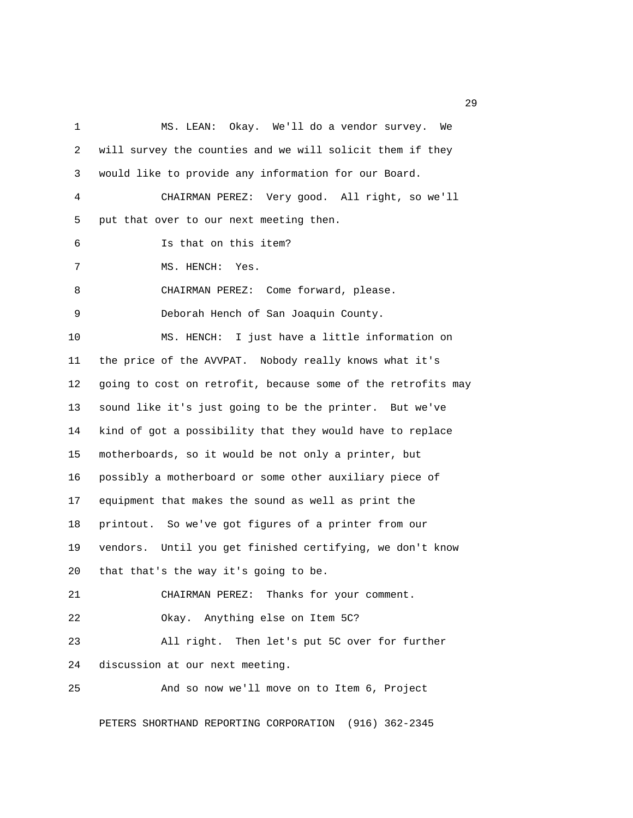1 MS. LEAN: Okay. We'll do a vendor survey. We 2 will survey the counties and we will solicit them if they 3 would like to provide any information for our Board. 4 CHAIRMAN PEREZ: Very good. All right, so we'll 5 put that over to our next meeting then. 6 Is that on this item? 7 MS. HENCH: Yes. 8 CHAIRMAN PEREZ: Come forward, please. 9 Deborah Hench of San Joaquin County. 10 MS. HENCH: I just have a little information on 11 the price of the AVVPAT. Nobody really knows what it's 12 going to cost on retrofit, because some of the retrofits may 13 sound like it's just going to be the printer. But we've 14 kind of got a possibility that they would have to replace 15 motherboards, so it would be not only a printer, but 16 possibly a motherboard or some other auxiliary piece of 17 equipment that makes the sound as well as print the 18 printout. So we've got figures of a printer from our 19 vendors. Until you get finished certifying, we don't know 20 that that's the way it's going to be. 21 CHAIRMAN PEREZ: Thanks for your comment. 22 Okay. Anything else on Item 5C? 23 All right. Then let's put 5C over for further 24 discussion at our next meeting. 25 And so now we'll move on to Item 6, Project

PETERS SHORTHAND REPORTING CORPORATION (916) 362-2345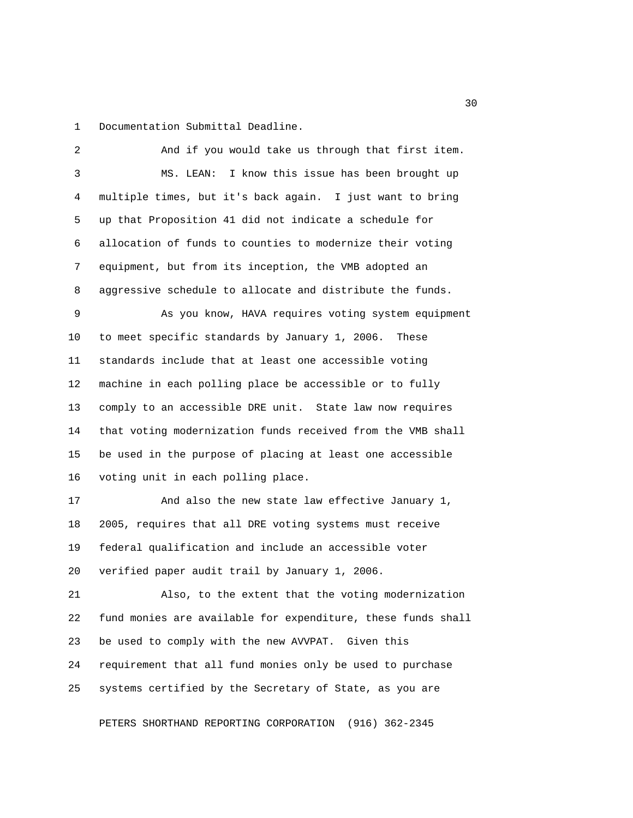1 Documentation Submittal Deadline.

 2 And if you would take us through that first item. 3 MS. LEAN: I know this issue has been brought up 4 multiple times, but it's back again. I just want to bring 5 up that Proposition 41 did not indicate a schedule for 6 allocation of funds to counties to modernize their voting 7 equipment, but from its inception, the VMB adopted an 8 aggressive schedule to allocate and distribute the funds. 9 As you know, HAVA requires voting system equipment 10 to meet specific standards by January 1, 2006. These 11 standards include that at least one accessible voting 12 machine in each polling place be accessible or to fully 13 comply to an accessible DRE unit. State law now requires 14 that voting modernization funds received from the VMB shall 15 be used in the purpose of placing at least one accessible 16 voting unit in each polling place. 17 And also the new state law effective January 1, 18 2005, requires that all DRE voting systems must receive 19 federal qualification and include an accessible voter 20 verified paper audit trail by January 1, 2006. 21 Also, to the extent that the voting modernization 22 fund monies are available for expenditure, these funds shall 23 be used to comply with the new AVVPAT. Given this 24 requirement that all fund monies only be used to purchase 25 systems certified by the Secretary of State, as you are

PETERS SHORTHAND REPORTING CORPORATION (916) 362-2345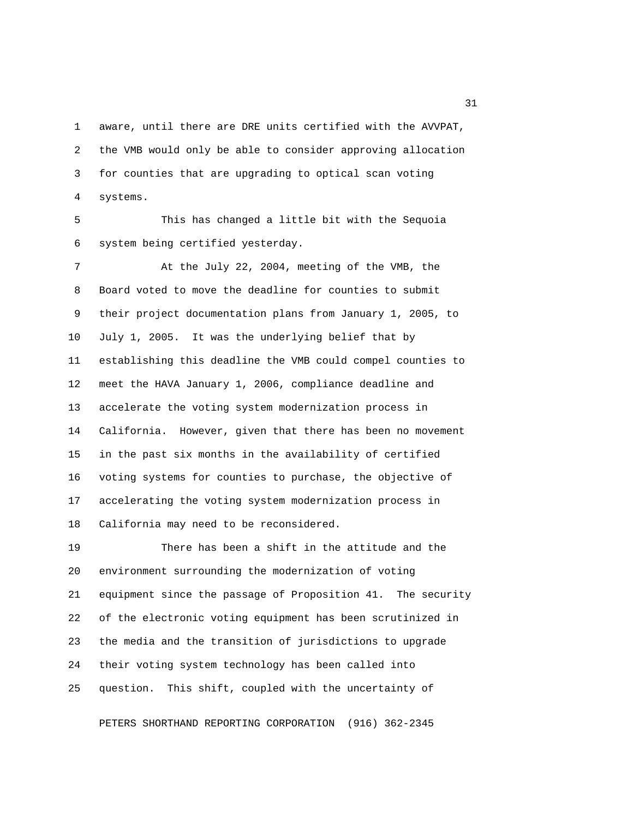1 aware, until there are DRE units certified with the AVVPAT, 2 the VMB would only be able to consider approving allocation 3 for counties that are upgrading to optical scan voting 4 systems.

 5 This has changed a little bit with the Sequoia 6 system being certified yesterday.

 7 At the July 22, 2004, meeting of the VMB, the 8 Board voted to move the deadline for counties to submit 9 their project documentation plans from January 1, 2005, to 10 July 1, 2005. It was the underlying belief that by 11 establishing this deadline the VMB could compel counties to 12 meet the HAVA January 1, 2006, compliance deadline and 13 accelerate the voting system modernization process in 14 California. However, given that there has been no movement 15 in the past six months in the availability of certified 16 voting systems for counties to purchase, the objective of 17 accelerating the voting system modernization process in 18 California may need to be reconsidered.

19 There has been a shift in the attitude and the 20 environment surrounding the modernization of voting 21 equipment since the passage of Proposition 41. The security 22 of the electronic voting equipment has been scrutinized in 23 the media and the transition of jurisdictions to upgrade 24 their voting system technology has been called into 25 question. This shift, coupled with the uncertainty of

PETERS SHORTHAND REPORTING CORPORATION (916) 362-2345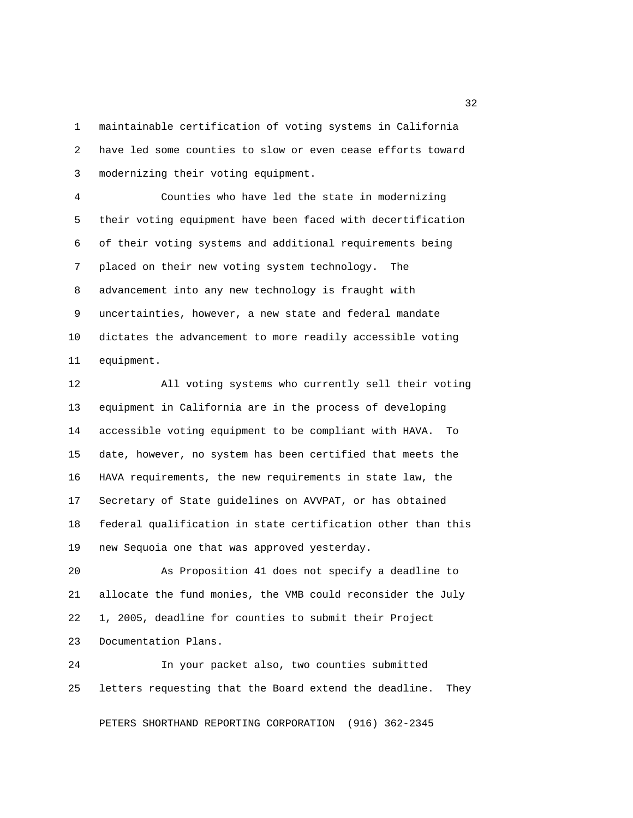1 maintainable certification of voting systems in California 2 have led some counties to slow or even cease efforts toward 3 modernizing their voting equipment.

 4 Counties who have led the state in modernizing 5 their voting equipment have been faced with decertification 6 of their voting systems and additional requirements being 7 placed on their new voting system technology. The 8 advancement into any new technology is fraught with 9 uncertainties, however, a new state and federal mandate 10 dictates the advancement to more readily accessible voting 11 equipment.

12 All voting systems who currently sell their voting 13 equipment in California are in the process of developing 14 accessible voting equipment to be compliant with HAVA. To 15 date, however, no system has been certified that meets the 16 HAVA requirements, the new requirements in state law, the 17 Secretary of State guidelines on AVVPAT, or has obtained 18 federal qualification in state certification other than this 19 new Sequoia one that was approved yesterday.

20 As Proposition 41 does not specify a deadline to 21 allocate the fund monies, the VMB could reconsider the July 22 1, 2005, deadline for counties to submit their Project 23 Documentation Plans.

24 In your packet also, two counties submitted 25 letters requesting that the Board extend the deadline. They

PETERS SHORTHAND REPORTING CORPORATION (916) 362-2345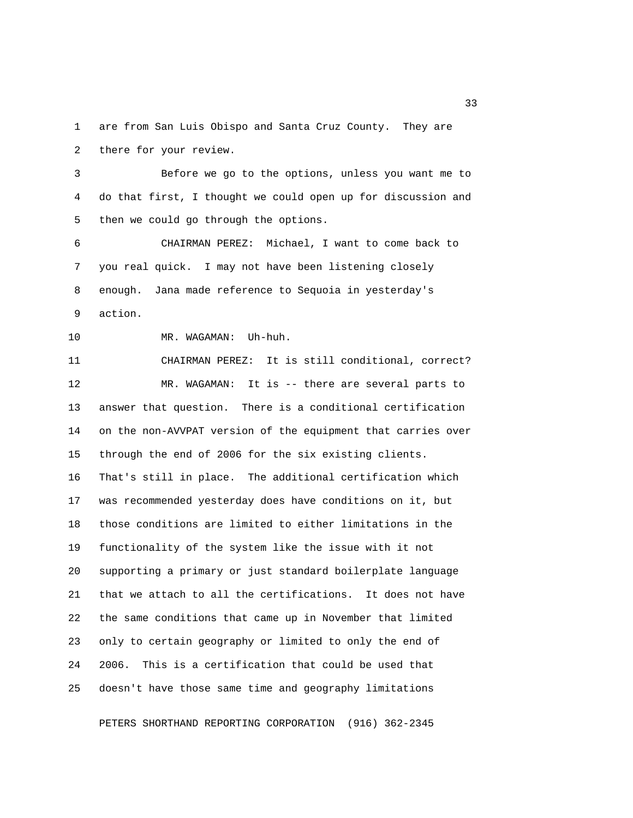1 are from San Luis Obispo and Santa Cruz County. They are 2 there for your review.

 3 Before we go to the options, unless you want me to 4 do that first, I thought we could open up for discussion and 5 then we could go through the options.

 6 CHAIRMAN PEREZ: Michael, I want to come back to 7 you real quick. I may not have been listening closely 8 enough. Jana made reference to Sequoia in yesterday's 9 action.

10 MR. WAGAMAN: Uh-huh.

11 CHAIRMAN PEREZ: It is still conditional, correct? 12 MR. WAGAMAN: It is -- there are several parts to 13 answer that question. There is a conditional certification 14 on the non-AVVPAT version of the equipment that carries over 15 through the end of 2006 for the six existing clients. 16 That's still in place. The additional certification which 17 was recommended yesterday does have conditions on it, but 18 those conditions are limited to either limitations in the 19 functionality of the system like the issue with it not 20 supporting a primary or just standard boilerplate language 21 that we attach to all the certifications. It does not have 22 the same conditions that came up in November that limited 23 only to certain geography or limited to only the end of 24 2006. This is a certification that could be used that 25 doesn't have those same time and geography limitations

PETERS SHORTHAND REPORTING CORPORATION (916) 362-2345

<u>33</u>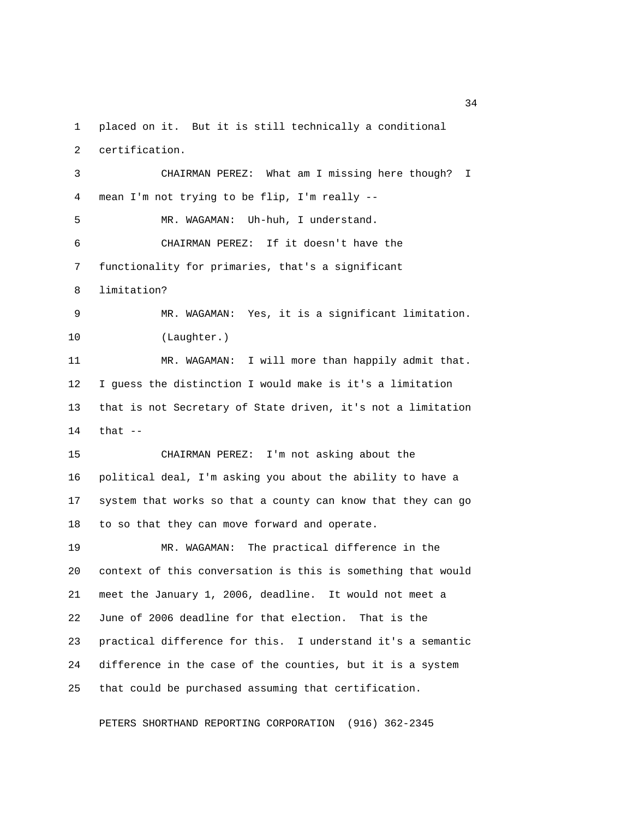1 placed on it. But it is still technically a conditional 2 certification.

 3 CHAIRMAN PEREZ: What am I missing here though? I 4 mean I'm not trying to be flip, I'm really -- 5 MR. WAGAMAN: Uh-huh, I understand. 6 CHAIRMAN PEREZ: If it doesn't have the 7 functionality for primaries, that's a significant 8 limitation? 9 MR. WAGAMAN: Yes, it is a significant limitation. 10 (Laughter.) 11 MR. WAGAMAN: I will more than happily admit that. 12 I guess the distinction I would make is it's a limitation 13 that is not Secretary of State driven, it's not a limitation 14 that -- 15 CHAIRMAN PEREZ: I'm not asking about the 16 political deal, I'm asking you about the ability to have a 17 system that works so that a county can know that they can go 18 to so that they can move forward and operate. 19 MR. WAGAMAN: The practical difference in the 20 context of this conversation is this is something that would 21 meet the January 1, 2006, deadline. It would not meet a 22 June of 2006 deadline for that election. That is the 23 practical difference for this. I understand it's a semantic 24 difference in the case of the counties, but it is a system 25 that could be purchased assuming that certification.

PETERS SHORTHAND REPORTING CORPORATION (916) 362-2345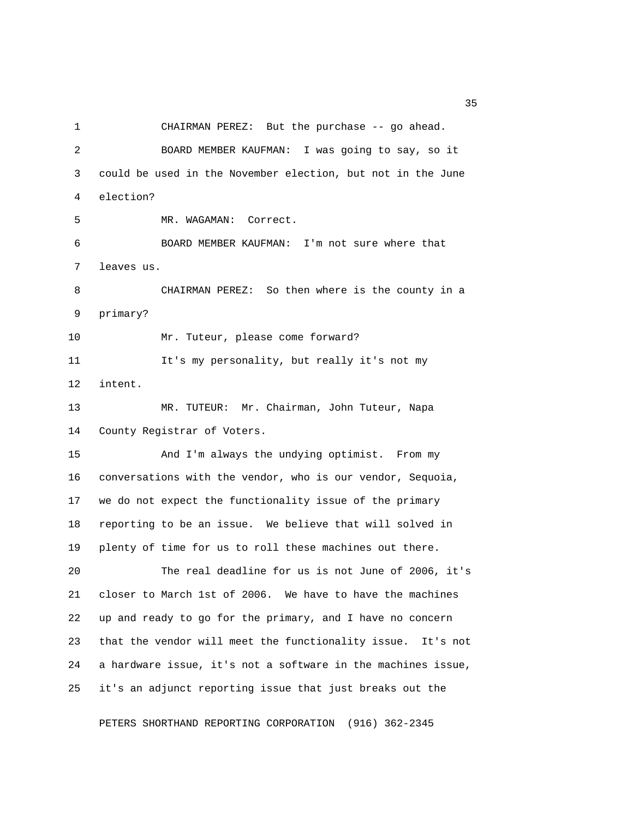1 CHAIRMAN PEREZ: But the purchase -- go ahead. 2 BOARD MEMBER KAUFMAN: I was going to say, so it 3 could be used in the November election, but not in the June 4 election? 5 MR. WAGAMAN: Correct. 6 BOARD MEMBER KAUFMAN: I'm not sure where that 7 leaves us. 8 CHAIRMAN PEREZ: So then where is the county in a 9 primary? 10 Mr. Tuteur, please come forward? 11 It's my personality, but really it's not my 12 intent. 13 MR. TUTEUR: Mr. Chairman, John Tuteur, Napa 14 County Registrar of Voters. 15 And I'm always the undying optimist. From my 16 conversations with the vendor, who is our vendor, Sequoia, 17 we do not expect the functionality issue of the primary 18 reporting to be an issue. We believe that will solved in 19 plenty of time for us to roll these machines out there. 20 The real deadline for us is not June of 2006, it's 21 closer to March 1st of 2006. We have to have the machines 22 up and ready to go for the primary, and I have no concern 23 that the vendor will meet the functionality issue. It's not 24 a hardware issue, it's not a software in the machines issue, 25 it's an adjunct reporting issue that just breaks out the

PETERS SHORTHAND REPORTING CORPORATION (916) 362-2345

<u>35</u>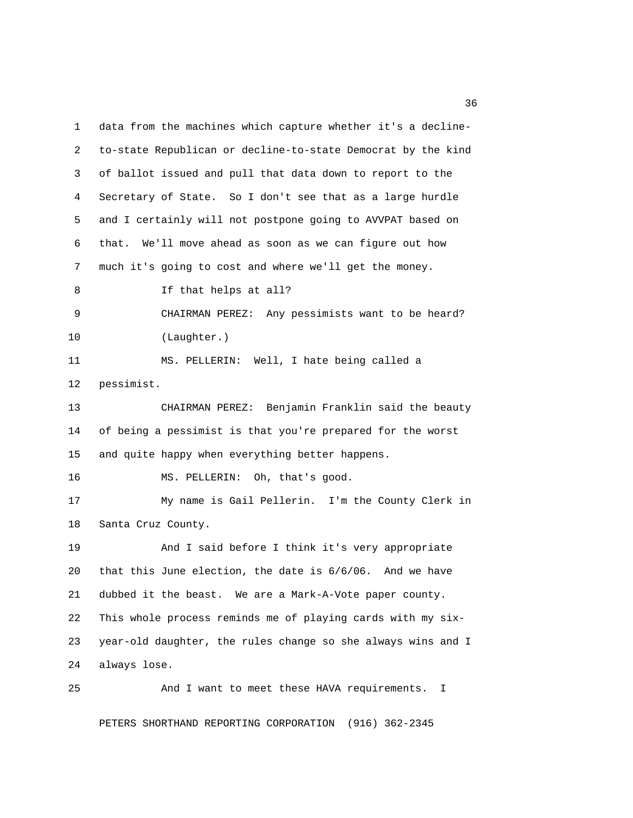1 data from the machines which capture whether it's a decline- 2 to-state Republican or decline-to-state Democrat by the kind 3 of ballot issued and pull that data down to report to the 4 Secretary of State. So I don't see that as a large hurdle 5 and I certainly will not postpone going to AVVPAT based on 6 that. We'll move ahead as soon as we can figure out how 7 much it's going to cost and where we'll get the money. 8 If that helps at all? 9 CHAIRMAN PEREZ: Any pessimists want to be heard? 10 (Laughter.) 11 MS. PELLERIN: Well, I hate being called a 12 pessimist. 13 CHAIRMAN PEREZ: Benjamin Franklin said the beauty 14 of being a pessimist is that you're prepared for the worst 15 and quite happy when everything better happens. 16 MS. PELLERIN: Oh, that's good. 17 My name is Gail Pellerin. I'm the County Clerk in 18 Santa Cruz County. 19 And I said before I think it's very appropriate 20 that this June election, the date is 6/6/06. And we have 21 dubbed it the beast. We are a Mark-A-Vote paper county. 22 This whole process reminds me of playing cards with my six-23 year-old daughter, the rules change so she always wins and I 24 always lose. 25 And I want to meet these HAVA requirements. I

PETERS SHORTHAND REPORTING CORPORATION (916) 362-2345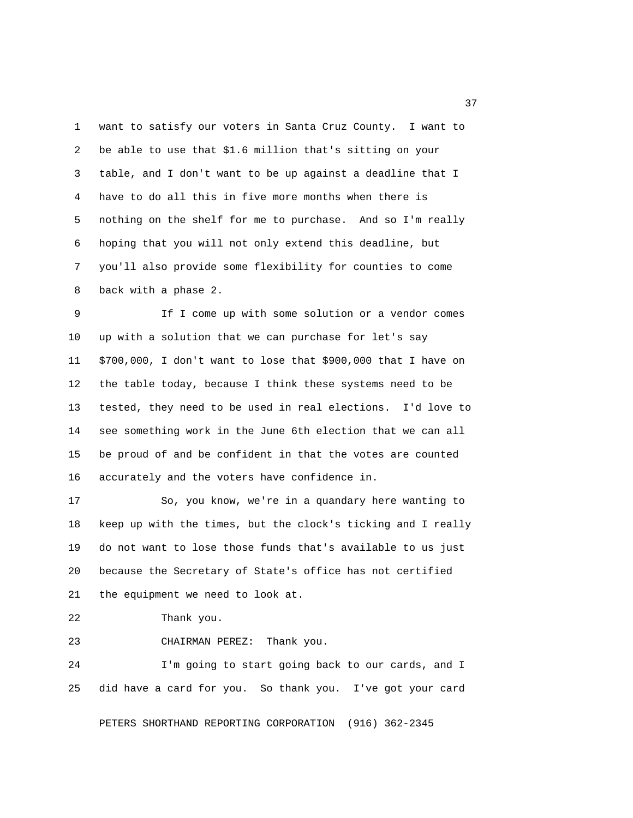1 want to satisfy our voters in Santa Cruz County. I want to 2 be able to use that \$1.6 million that's sitting on your 3 table, and I don't want to be up against a deadline that I 4 have to do all this in five more months when there is 5 nothing on the shelf for me to purchase. And so I'm really 6 hoping that you will not only extend this deadline, but 7 you'll also provide some flexibility for counties to come 8 back with a phase 2.

 9 If I come up with some solution or a vendor comes 10 up with a solution that we can purchase for let's say 11 \$700,000, I don't want to lose that \$900,000 that I have on 12 the table today, because I think these systems need to be 13 tested, they need to be used in real elections. I'd love to 14 see something work in the June 6th election that we can all 15 be proud of and be confident in that the votes are counted 16 accurately and the voters have confidence in.

17 So, you know, we're in a quandary here wanting to 18 keep up with the times, but the clock's ticking and I really 19 do not want to lose those funds that's available to us just 20 because the Secretary of State's office has not certified 21 the equipment we need to look at.

22 Thank you.

23 CHAIRMAN PEREZ: Thank you.

24 I'm going to start going back to our cards, and I 25 did have a card for you. So thank you. I've got your card

PETERS SHORTHAND REPORTING CORPORATION (916) 362-2345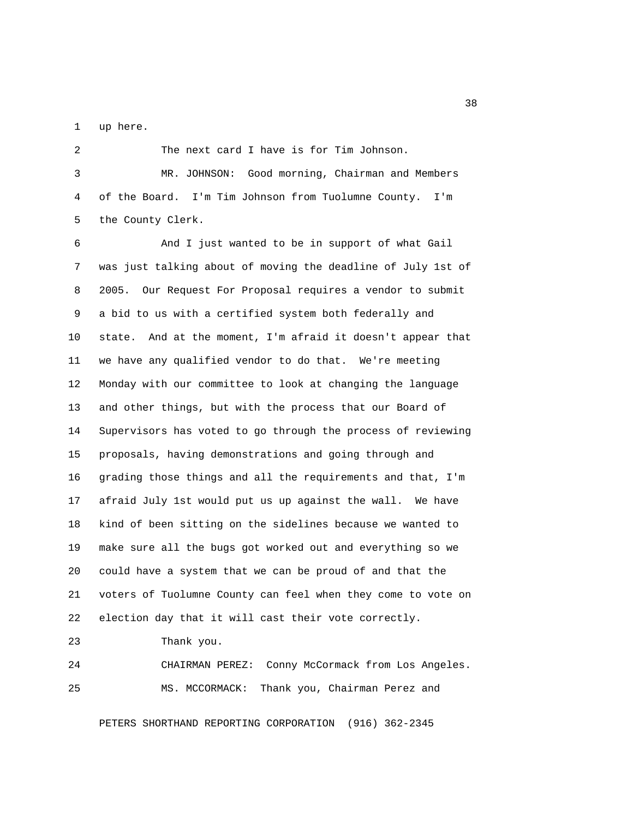1 up here.

 2 The next card I have is for Tim Johnson. 3 MR. JOHNSON: Good morning, Chairman and Members 4 of the Board. I'm Tim Johnson from Tuolumne County. I'm 5 the County Clerk.

 6 And I just wanted to be in support of what Gail 7 was just talking about of moving the deadline of July 1st of 8 2005. Our Request For Proposal requires a vendor to submit 9 a bid to us with a certified system both federally and 10 state. And at the moment, I'm afraid it doesn't appear that 11 we have any qualified vendor to do that. We're meeting 12 Monday with our committee to look at changing the language 13 and other things, but with the process that our Board of 14 Supervisors has voted to go through the process of reviewing 15 proposals, having demonstrations and going through and 16 grading those things and all the requirements and that, I'm 17 afraid July 1st would put us up against the wall. We have 18 kind of been sitting on the sidelines because we wanted to 19 make sure all the bugs got worked out and everything so we 20 could have a system that we can be proud of and that the 21 voters of Tuolumne County can feel when they come to vote on 22 election day that it will cast their vote correctly.

23 Thank you.

24 CHAIRMAN PEREZ: Conny McCormack from Los Angeles. 25 MS. MCCORMACK: Thank you, Chairman Perez and

PETERS SHORTHAND REPORTING CORPORATION (916) 362-2345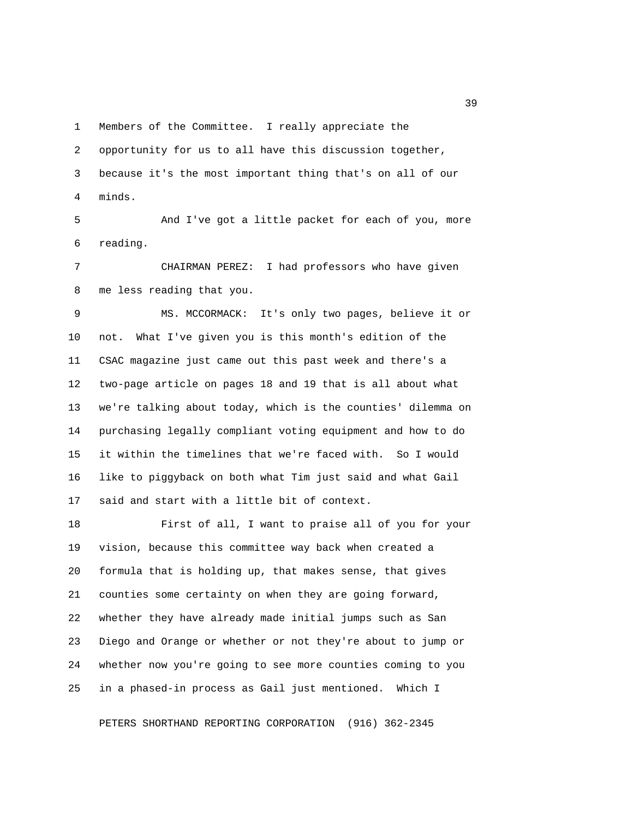1 Members of the Committee. I really appreciate the

 2 opportunity for us to all have this discussion together, 3 because it's the most important thing that's on all of our

4 minds.

 5 And I've got a little packet for each of you, more 6 reading.

 7 CHAIRMAN PEREZ: I had professors who have given 8 me less reading that you.

 9 MS. MCCORMACK: It's only two pages, believe it or 10 not. What I've given you is this month's edition of the 11 CSAC magazine just came out this past week and there's a 12 two-page article on pages 18 and 19 that is all about what 13 we're talking about today, which is the counties' dilemma on 14 purchasing legally compliant voting equipment and how to do 15 it within the timelines that we're faced with. So I would 16 like to piggyback on both what Tim just said and what Gail 17 said and start with a little bit of context.

18 First of all, I want to praise all of you for your 19 vision, because this committee way back when created a 20 formula that is holding up, that makes sense, that gives 21 counties some certainty on when they are going forward, 22 whether they have already made initial jumps such as San 23 Diego and Orange or whether or not they're about to jump or 24 whether now you're going to see more counties coming to you 25 in a phased-in process as Gail just mentioned. Which I

PETERS SHORTHAND REPORTING CORPORATION (916) 362-2345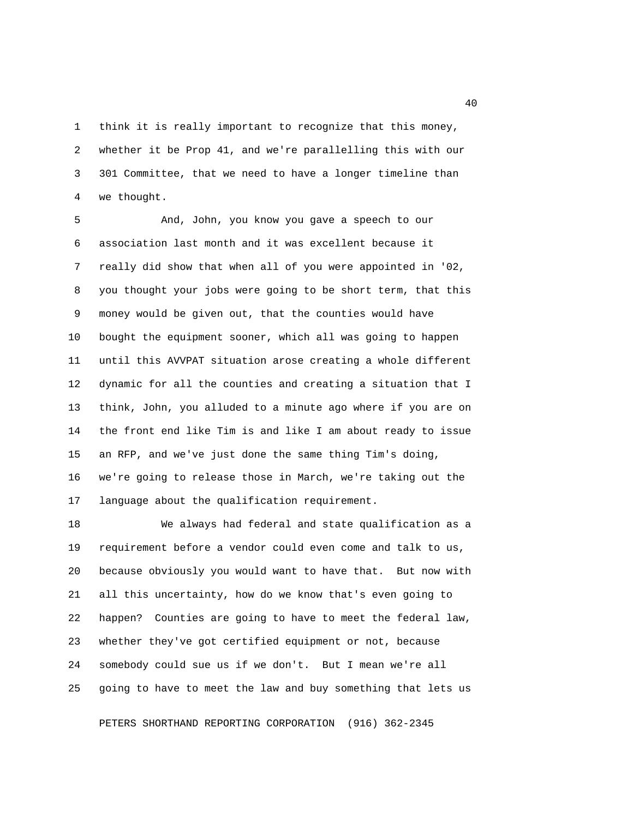1 think it is really important to recognize that this money, 2 whether it be Prop 41, and we're parallelling this with our 3 301 Committee, that we need to have a longer timeline than 4 we thought.

 5 And, John, you know you gave a speech to our 6 association last month and it was excellent because it 7 really did show that when all of you were appointed in '02, 8 you thought your jobs were going to be short term, that this 9 money would be given out, that the counties would have 10 bought the equipment sooner, which all was going to happen 11 until this AVVPAT situation arose creating a whole different 12 dynamic for all the counties and creating a situation that I 13 think, John, you alluded to a minute ago where if you are on 14 the front end like Tim is and like I am about ready to issue 15 an RFP, and we've just done the same thing Tim's doing, 16 we're going to release those in March, we're taking out the 17 language about the qualification requirement.

18 We always had federal and state qualification as a 19 requirement before a vendor could even come and talk to us, 20 because obviously you would want to have that. But now with 21 all this uncertainty, how do we know that's even going to 22 happen? Counties are going to have to meet the federal law, 23 whether they've got certified equipment or not, because 24 somebody could sue us if we don't. But I mean we're all 25 going to have to meet the law and buy something that lets us

PETERS SHORTHAND REPORTING CORPORATION (916) 362-2345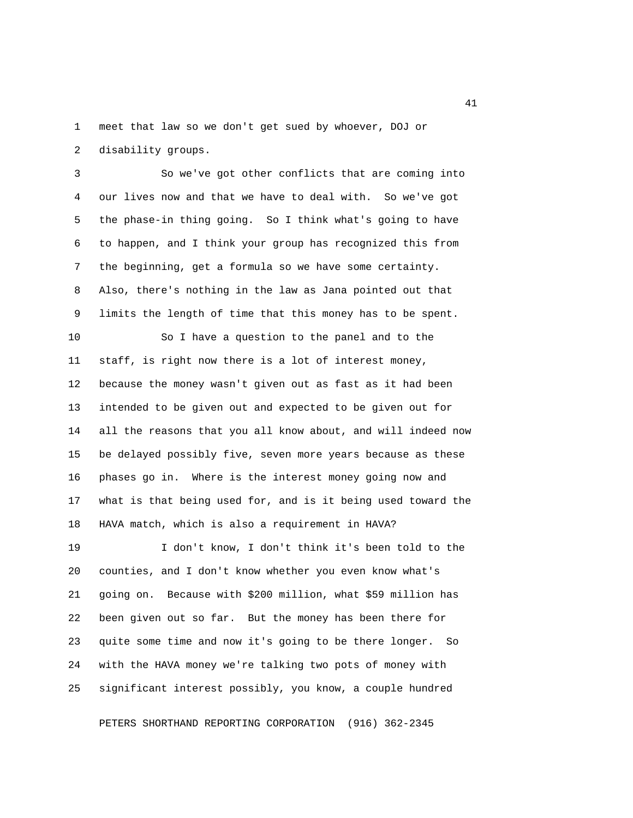1 meet that law so we don't get sued by whoever, DOJ or 2 disability groups.

 3 So we've got other conflicts that are coming into 4 our lives now and that we have to deal with. So we've got 5 the phase-in thing going. So I think what's going to have 6 to happen, and I think your group has recognized this from 7 the beginning, get a formula so we have some certainty. 8 Also, there's nothing in the law as Jana pointed out that 9 limits the length of time that this money has to be spent.

10 So I have a question to the panel and to the 11 staff, is right now there is a lot of interest money, 12 because the money wasn't given out as fast as it had been 13 intended to be given out and expected to be given out for 14 all the reasons that you all know about, and will indeed now 15 be delayed possibly five, seven more years because as these 16 phases go in. Where is the interest money going now and 17 what is that being used for, and is it being used toward the 18 HAVA match, which is also a requirement in HAVA?

19 I don't know, I don't think it's been told to the 20 counties, and I don't know whether you even know what's 21 going on. Because with \$200 million, what \$59 million has 22 been given out so far. But the money has been there for 23 quite some time and now it's going to be there longer. So 24 with the HAVA money we're talking two pots of money with 25 significant interest possibly, you know, a couple hundred

PETERS SHORTHAND REPORTING CORPORATION (916) 362-2345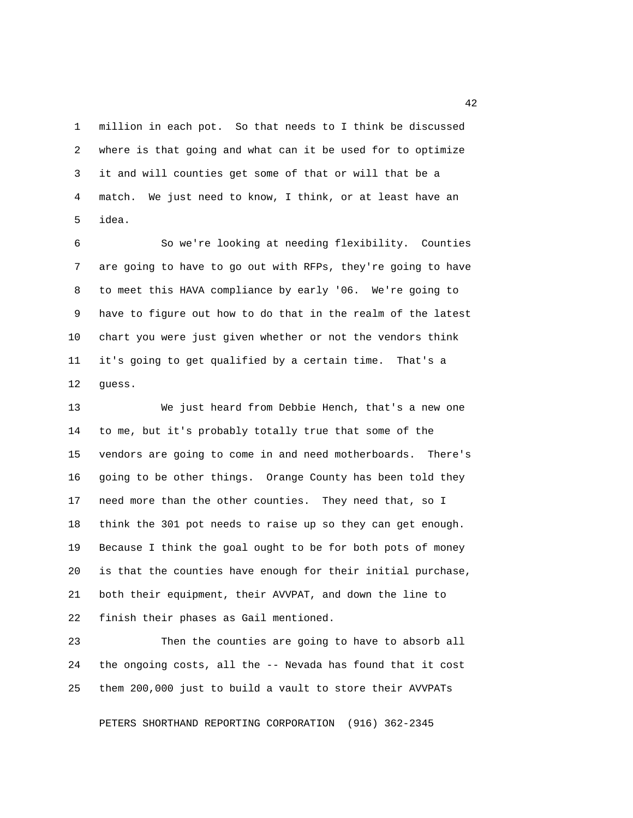1 million in each pot. So that needs to I think be discussed 2 where is that going and what can it be used for to optimize 3 it and will counties get some of that or will that be a 4 match. We just need to know, I think, or at least have an 5 idea.

 6 So we're looking at needing flexibility. Counties 7 are going to have to go out with RFPs, they're going to have 8 to meet this HAVA compliance by early '06. We're going to 9 have to figure out how to do that in the realm of the latest 10 chart you were just given whether or not the vendors think 11 it's going to get qualified by a certain time. That's a 12 guess.

13 We just heard from Debbie Hench, that's a new one 14 to me, but it's probably totally true that some of the 15 vendors are going to come in and need motherboards. There's 16 going to be other things. Orange County has been told they 17 need more than the other counties. They need that, so I 18 think the 301 pot needs to raise up so they can get enough. 19 Because I think the goal ought to be for both pots of money 20 is that the counties have enough for their initial purchase, 21 both their equipment, their AVVPAT, and down the line to 22 finish their phases as Gail mentioned.

23 Then the counties are going to have to absorb all 24 the ongoing costs, all the -- Nevada has found that it cost 25 them 200,000 just to build a vault to store their AVVPATs

PETERS SHORTHAND REPORTING CORPORATION (916) 362-2345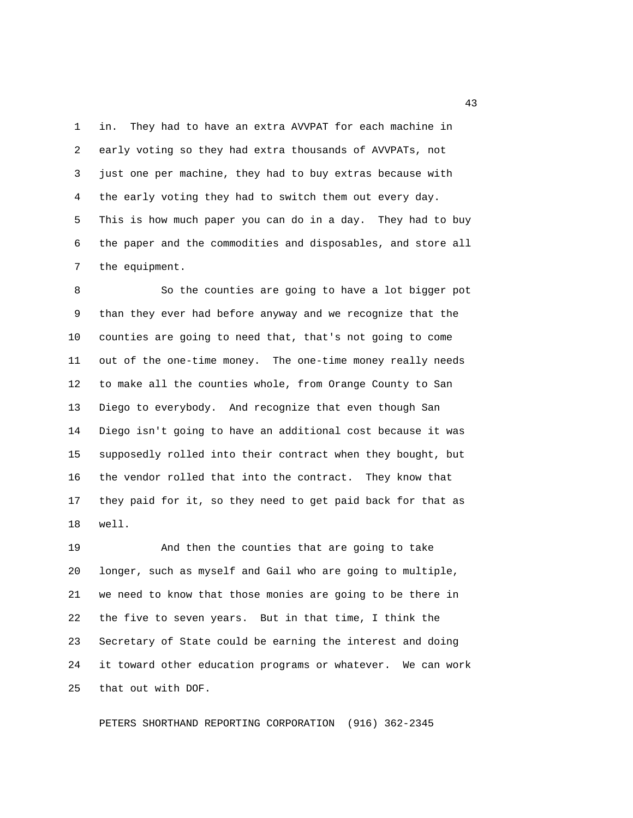1 in. They had to have an extra AVVPAT for each machine in 2 early voting so they had extra thousands of AVVPATs, not 3 just one per machine, they had to buy extras because with 4 the early voting they had to switch them out every day. 5 This is how much paper you can do in a day. They had to buy 6 the paper and the commodities and disposables, and store all 7 the equipment.

 8 So the counties are going to have a lot bigger pot 9 than they ever had before anyway and we recognize that the 10 counties are going to need that, that's not going to come 11 out of the one-time money. The one-time money really needs 12 to make all the counties whole, from Orange County to San 13 Diego to everybody. And recognize that even though San 14 Diego isn't going to have an additional cost because it was 15 supposedly rolled into their contract when they bought, but 16 the vendor rolled that into the contract. They know that 17 they paid for it, so they need to get paid back for that as 18 well.

19 And then the counties that are going to take 20 longer, such as myself and Gail who are going to multiple, 21 we need to know that those monies are going to be there in 22 the five to seven years. But in that time, I think the 23 Secretary of State could be earning the interest and doing 24 it toward other education programs or whatever. We can work 25 that out with DOF.

PETERS SHORTHAND REPORTING CORPORATION (916) 362-2345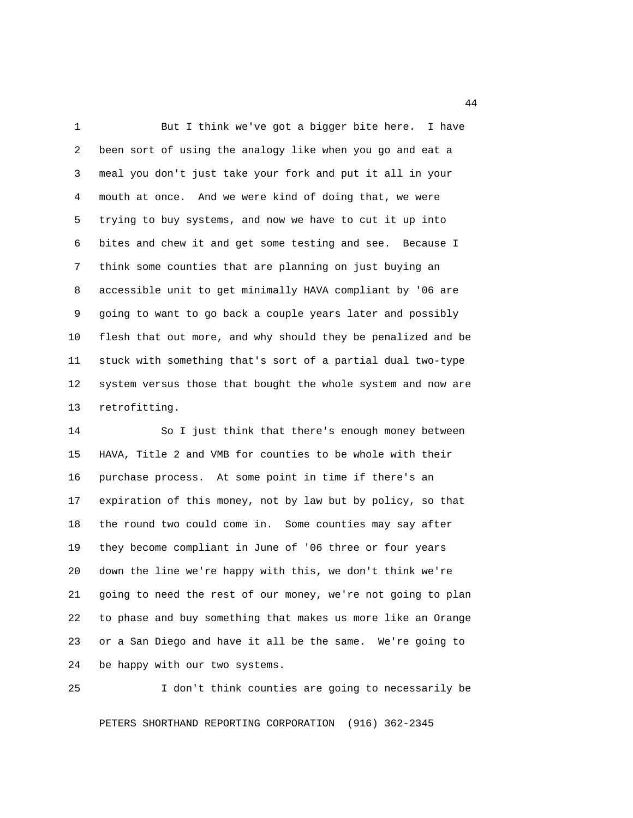1 But I think we've got a bigger bite here. I have 2 been sort of using the analogy like when you go and eat a 3 meal you don't just take your fork and put it all in your 4 mouth at once. And we were kind of doing that, we were 5 trying to buy systems, and now we have to cut it up into 6 bites and chew it and get some testing and see. Because I 7 think some counties that are planning on just buying an 8 accessible unit to get minimally HAVA compliant by '06 are 9 going to want to go back a couple years later and possibly 10 flesh that out more, and why should they be penalized and be 11 stuck with something that's sort of a partial dual two-type 12 system versus those that bought the whole system and now are 13 retrofitting.

14 So I just think that there's enough money between 15 HAVA, Title 2 and VMB for counties to be whole with their 16 purchase process. At some point in time if there's an 17 expiration of this money, not by law but by policy, so that 18 the round two could come in. Some counties may say after 19 they become compliant in June of '06 three or four years 20 down the line we're happy with this, we don't think we're 21 going to need the rest of our money, we're not going to plan 22 to phase and buy something that makes us more like an Orange 23 or a San Diego and have it all be the same. We're going to 24 be happy with our two systems.

25 I don't think counties are going to necessarily be

PETERS SHORTHAND REPORTING CORPORATION (916) 362-2345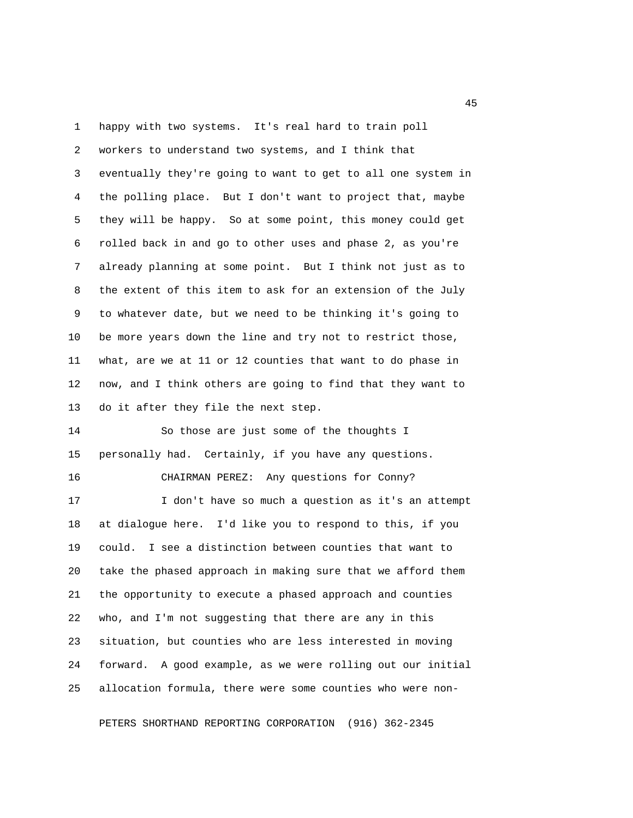1 happy with two systems. It's real hard to train poll 2 workers to understand two systems, and I think that 3 eventually they're going to want to get to all one system in 4 the polling place. But I don't want to project that, maybe 5 they will be happy. So at some point, this money could get 6 rolled back in and go to other uses and phase 2, as you're 7 already planning at some point. But I think not just as to 8 the extent of this item to ask for an extension of the July 9 to whatever date, but we need to be thinking it's going to 10 be more years down the line and try not to restrict those, 11 what, are we at 11 or 12 counties that want to do phase in 12 now, and I think others are going to find that they want to 13 do it after they file the next step. 14 So those are just some of the thoughts I 15 personally had. Certainly, if you have any questions. 16 CHAIRMAN PEREZ: Any questions for Conny? 17 I don't have so much a question as it's an attempt 18 at dialogue here. I'd like you to respond to this, if you 19 could. I see a distinction between counties that want to 20 take the phased approach in making sure that we afford them 21 the opportunity to execute a phased approach and counties 22 who, and I'm not suggesting that there are any in this 23 situation, but counties who are less interested in moving 24 forward. A good example, as we were rolling out our initial 25 allocation formula, there were some counties who were non-

PETERS SHORTHAND REPORTING CORPORATION (916) 362-2345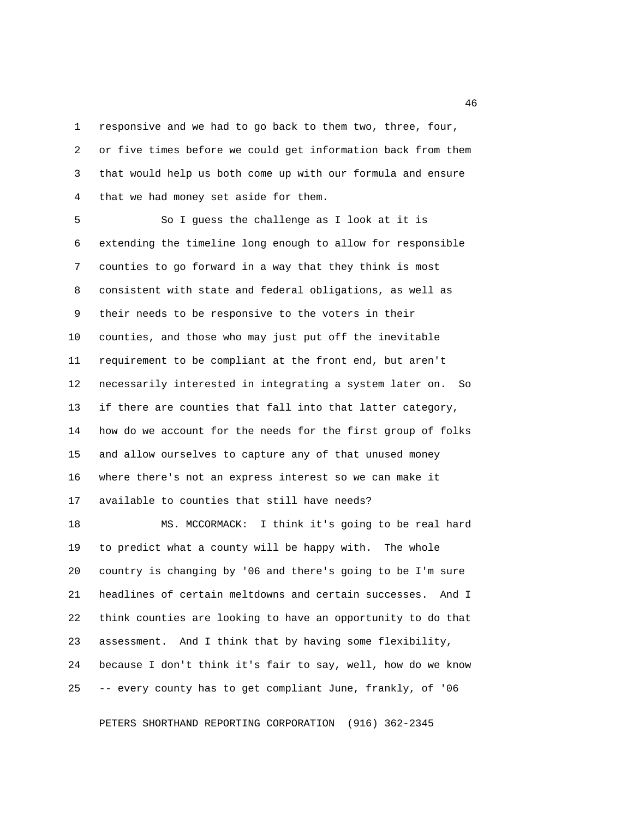1 responsive and we had to go back to them two, three, four, 2 or five times before we could get information back from them 3 that would help us both come up with our formula and ensure 4 that we had money set aside for them.

 5 So I guess the challenge as I look at it is 6 extending the timeline long enough to allow for responsible 7 counties to go forward in a way that they think is most 8 consistent with state and federal obligations, as well as 9 their needs to be responsive to the voters in their 10 counties, and those who may just put off the inevitable 11 requirement to be compliant at the front end, but aren't 12 necessarily interested in integrating a system later on. So 13 if there are counties that fall into that latter category, 14 how do we account for the needs for the first group of folks 15 and allow ourselves to capture any of that unused money 16 where there's not an express interest so we can make it 17 available to counties that still have needs?

18 MS. MCCORMACK: I think it's going to be real hard 19 to predict what a county will be happy with. The whole 20 country is changing by '06 and there's going to be I'm sure 21 headlines of certain meltdowns and certain successes. And I 22 think counties are looking to have an opportunity to do that 23 assessment. And I think that by having some flexibility, 24 because I don't think it's fair to say, well, how do we know 25 -- every county has to get compliant June, frankly, of '06

PETERS SHORTHAND REPORTING CORPORATION (916) 362-2345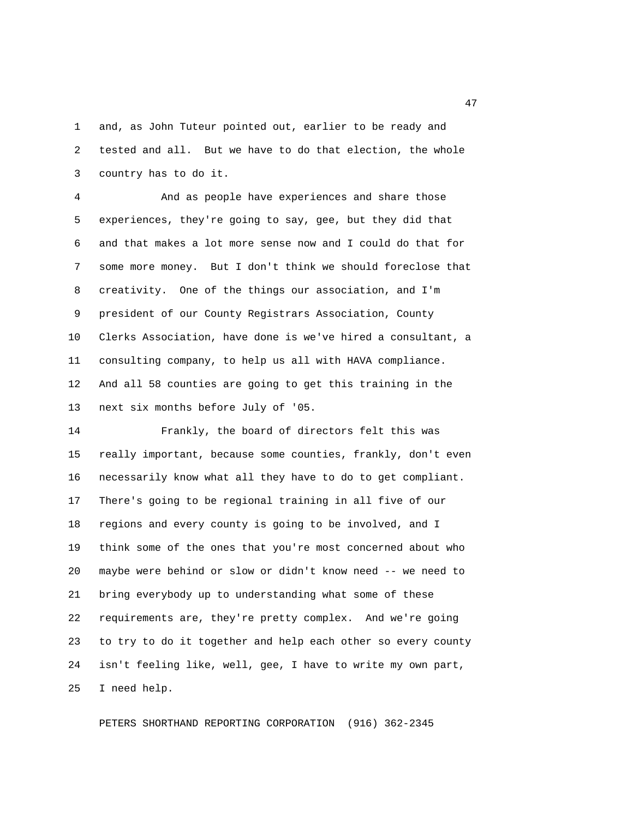1 and, as John Tuteur pointed out, earlier to be ready and 2 tested and all. But we have to do that election, the whole 3 country has to do it.

 4 And as people have experiences and share those 5 experiences, they're going to say, gee, but they did that 6 and that makes a lot more sense now and I could do that for 7 some more money. But I don't think we should foreclose that 8 creativity. One of the things our association, and I'm 9 president of our County Registrars Association, County 10 Clerks Association, have done is we've hired a consultant, a 11 consulting company, to help us all with HAVA compliance. 12 And all 58 counties are going to get this training in the 13 next six months before July of '05.

14 Frankly, the board of directors felt this was 15 really important, because some counties, frankly, don't even 16 necessarily know what all they have to do to get compliant. 17 There's going to be regional training in all five of our 18 regions and every county is going to be involved, and I 19 think some of the ones that you're most concerned about who 20 maybe were behind or slow or didn't know need -- we need to 21 bring everybody up to understanding what some of these 22 requirements are, they're pretty complex. And we're going 23 to try to do it together and help each other so every county 24 isn't feeling like, well, gee, I have to write my own part, 25 I need help.

PETERS SHORTHAND REPORTING CORPORATION (916) 362-2345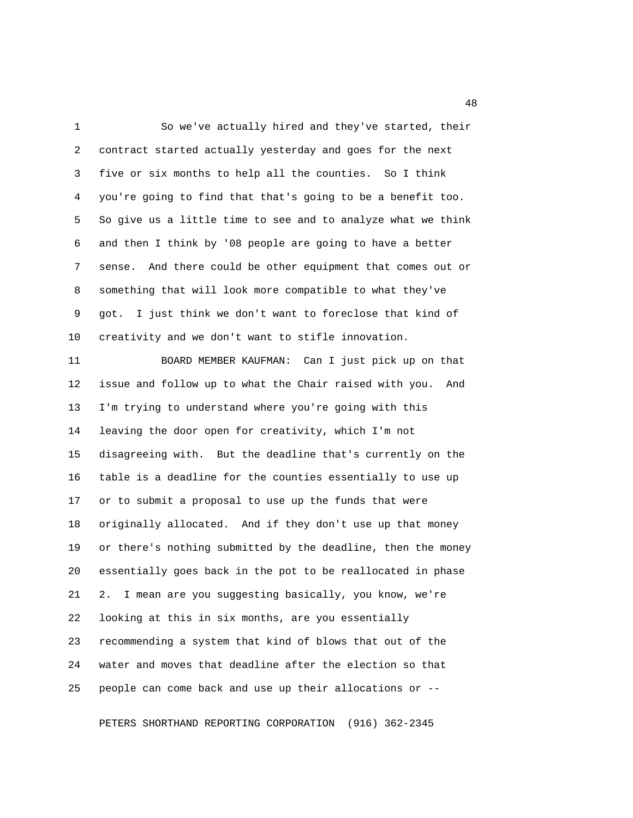1 So we've actually hired and they've started, their 2 contract started actually yesterday and goes for the next 3 five or six months to help all the counties. So I think 4 you're going to find that that's going to be a benefit too. 5 So give us a little time to see and to analyze what we think 6 and then I think by '08 people are going to have a better 7 sense. And there could be other equipment that comes out or 8 something that will look more compatible to what they've 9 got. I just think we don't want to foreclose that kind of 10 creativity and we don't want to stifle innovation.

11 BOARD MEMBER KAUFMAN: Can I just pick up on that 12 issue and follow up to what the Chair raised with you. And 13 I'm trying to understand where you're going with this 14 leaving the door open for creativity, which I'm not 15 disagreeing with. But the deadline that's currently on the 16 table is a deadline for the counties essentially to use up 17 or to submit a proposal to use up the funds that were 18 originally allocated. And if they don't use up that money 19 or there's nothing submitted by the deadline, then the money 20 essentially goes back in the pot to be reallocated in phase 21 2. I mean are you suggesting basically, you know, we're 22 looking at this in six months, are you essentially 23 recommending a system that kind of blows that out of the 24 water and moves that deadline after the election so that 25 people can come back and use up their allocations or --

PETERS SHORTHAND REPORTING CORPORATION (916) 362-2345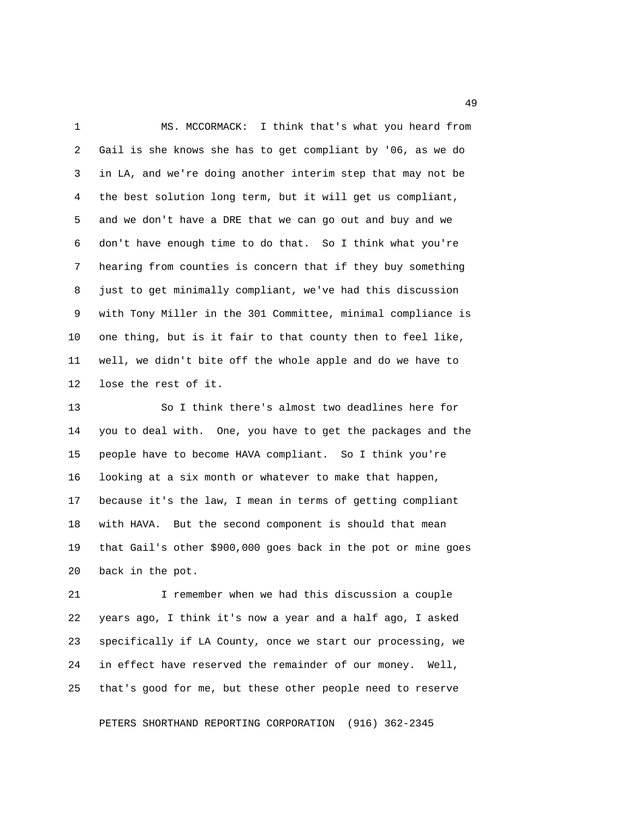1 MS. MCCORMACK: I think that's what you heard from 2 Gail is she knows she has to get compliant by '06, as we do 3 in LA, and we're doing another interim step that may not be 4 the best solution long term, but it will get us compliant, 5 and we don't have a DRE that we can go out and buy and we 6 don't have enough time to do that. So I think what you're 7 hearing from counties is concern that if they buy something 8 just to get minimally compliant, we've had this discussion 9 with Tony Miller in the 301 Committee, minimal compliance is 10 one thing, but is it fair to that county then to feel like, 11 well, we didn't bite off the whole apple and do we have to 12 lose the rest of it.

13 So I think there's almost two deadlines here for 14 you to deal with. One, you have to get the packages and the 15 people have to become HAVA compliant. So I think you're 16 looking at a six month or whatever to make that happen, 17 because it's the law, I mean in terms of getting compliant 18 with HAVA. But the second component is should that mean 19 that Gail's other \$900,000 goes back in the pot or mine goes 20 back in the pot.

21 I remember when we had this discussion a couple 22 years ago, I think it's now a year and a half ago, I asked 23 specifically if LA County, once we start our processing, we 24 in effect have reserved the remainder of our money. Well, 25 that's good for me, but these other people need to reserve

PETERS SHORTHAND REPORTING CORPORATION (916) 362-2345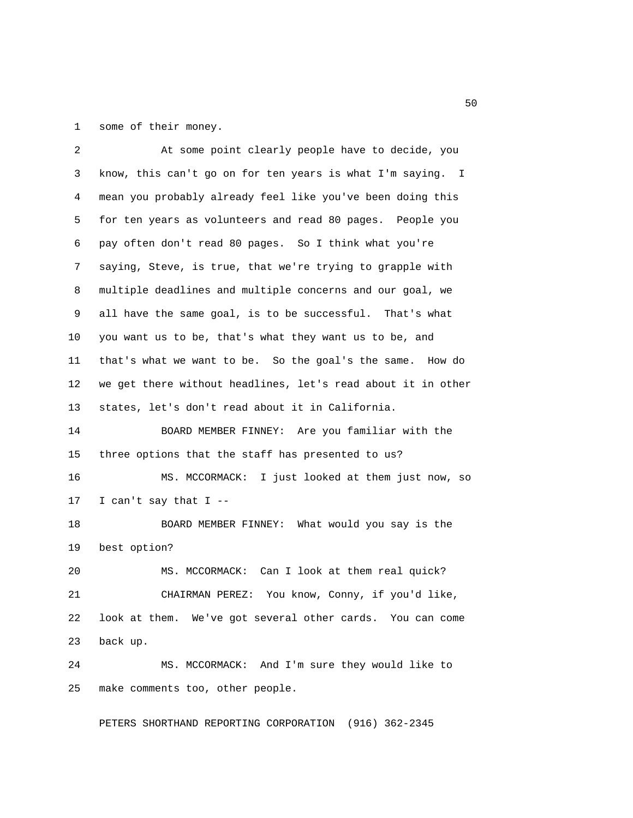1 some of their money.

| 2  | At some point clearly people have to decide, you             |
|----|--------------------------------------------------------------|
| 3  | know, this can't go on for ten years is what I'm saying. I   |
| 4  | mean you probably already feel like you've been doing this   |
| 5  | for ten years as volunteers and read 80 pages. People you    |
| 6  | pay often don't read 80 pages. So I think what you're        |
| 7  | saying, Steve, is true, that we're trying to grapple with    |
| 8  | multiple deadlines and multiple concerns and our goal, we    |
| 9  | all have the same goal, is to be successful. That's what     |
| 10 | you want us to be, that's what they want us to be, and       |
| 11 | that's what we want to be. So the goal's the same. How do    |
| 12 | we get there without headlines, let's read about it in other |
| 13 | states, let's don't read about it in California.             |
| 14 | BOARD MEMBER FINNEY: Are you familiar with the               |
| 15 | three options that the staff has presented to us?            |
| 16 | MS. MCCORMACK: I just looked at them just now, so            |
| 17 | I can't say that I $-$                                       |
| 18 | BOARD MEMBER FINNEY: What would you say is the               |
| 19 | best option?                                                 |
| 20 | MS. MCCORMACK: Can I look at them real quick?                |
| 21 | CHAIRMAN PEREZ: You know, Conny, if you'd like,              |
| 22 | look at them. We've got several other cards. You can come    |
| 23 | back up.                                                     |
| 24 | MS. MCCORMACK: And I'm sure they would like to               |
| 25 | make comments too, other people.                             |

PETERS SHORTHAND REPORTING CORPORATION (916) 362-2345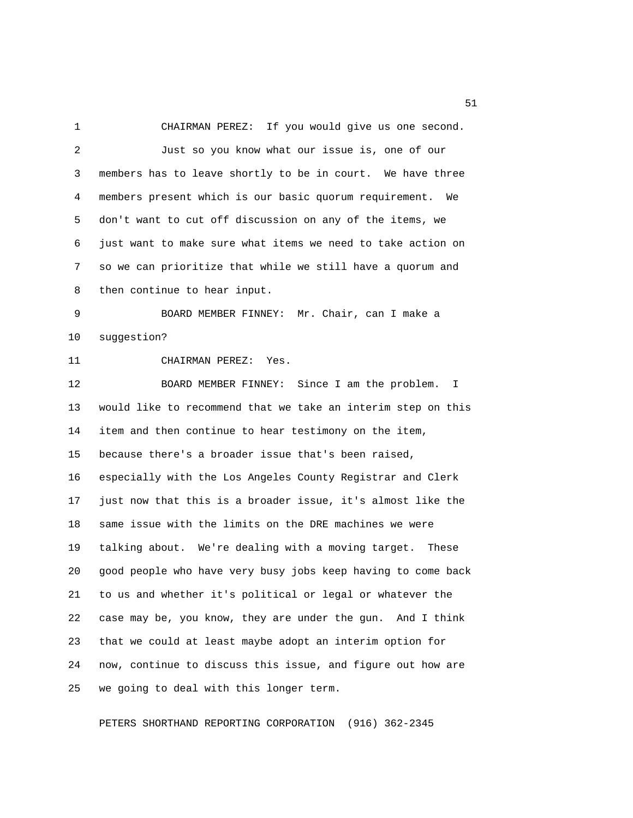1 CHAIRMAN PEREZ: If you would give us one second. 2 Just so you know what our issue is, one of our 3 members has to leave shortly to be in court. We have three 4 members present which is our basic quorum requirement. We 5 don't want to cut off discussion on any of the items, we 6 just want to make sure what items we need to take action on 7 so we can prioritize that while we still have a quorum and 8 then continue to hear input. 9 BOARD MEMBER FINNEY: Mr. Chair, can I make a 10 suggestion? 11 CHAIRMAN PEREZ: Yes. 12 BOARD MEMBER FINNEY: Since I am the problem. I 13 would like to recommend that we take an interim step on this 14 item and then continue to hear testimony on the item, 15 because there's a broader issue that's been raised, 16 especially with the Los Angeles County Registrar and Clerk 17 just now that this is a broader issue, it's almost like the 18 same issue with the limits on the DRE machines we were 19 talking about. We're dealing with a moving target. These 20 good people who have very busy jobs keep having to come back 21 to us and whether it's political or legal or whatever the 22 case may be, you know, they are under the gun. And I think 23 that we could at least maybe adopt an interim option for 24 now, continue to discuss this issue, and figure out how are 25 we going to deal with this longer term.

PETERS SHORTHAND REPORTING CORPORATION (916) 362-2345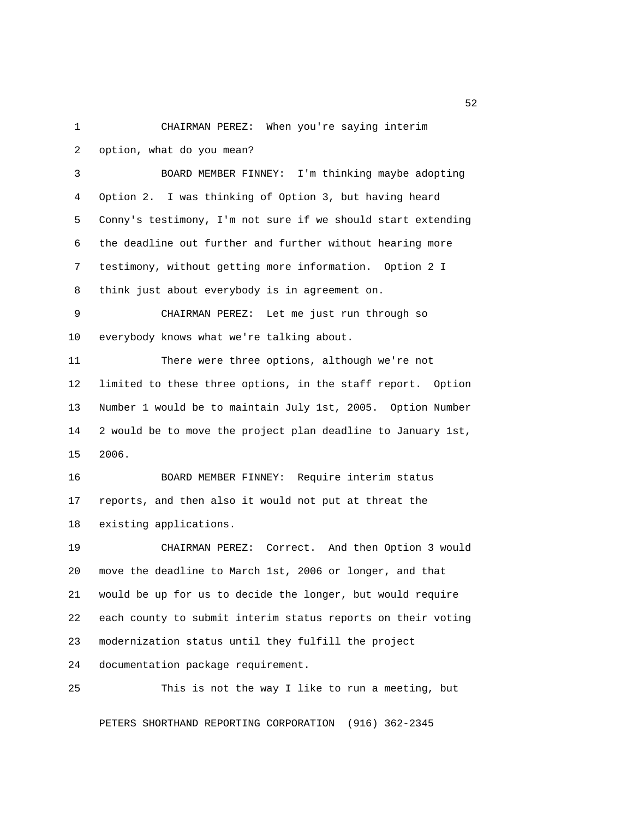1 CHAIRMAN PEREZ: When you're saying interim 2 option, what do you mean?

 3 BOARD MEMBER FINNEY: I'm thinking maybe adopting 4 Option 2. I was thinking of Option 3, but having heard 5 Conny's testimony, I'm not sure if we should start extending 6 the deadline out further and further without hearing more 7 testimony, without getting more information. Option 2 I 8 think just about everybody is in agreement on.

 9 CHAIRMAN PEREZ: Let me just run through so 10 everybody knows what we're talking about.

11 There were three options, although we're not 12 limited to these three options, in the staff report. Option 13 Number 1 would be to maintain July 1st, 2005. Option Number 14 2 would be to move the project plan deadline to January 1st, 15 2006.

16 BOARD MEMBER FINNEY: Require interim status 17 reports, and then also it would not put at threat the 18 existing applications.

19 CHAIRMAN PEREZ: Correct. And then Option 3 would 20 move the deadline to March 1st, 2006 or longer, and that 21 would be up for us to decide the longer, but would require 22 each county to submit interim status reports on their voting 23 modernization status until they fulfill the project 24 documentation package requirement.

25 This is not the way I like to run a meeting, but

PETERS SHORTHAND REPORTING CORPORATION (916) 362-2345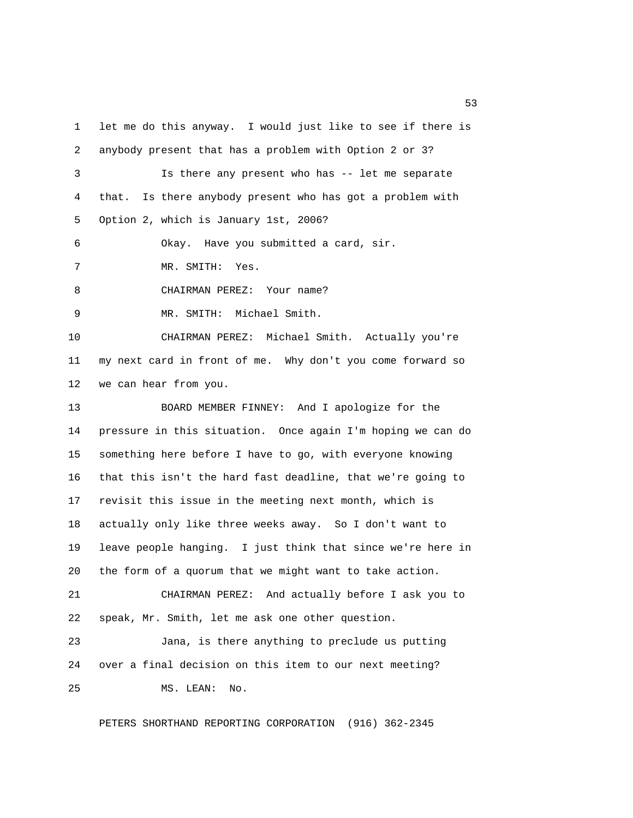1 let me do this anyway. I would just like to see if there is 2 anybody present that has a problem with Option 2 or 3? 3 Is there any present who has -- let me separate 4 that. Is there anybody present who has got a problem with 5 Option 2, which is January 1st, 2006? 6 Okay. Have you submitted a card, sir. 7 MR. SMITH: Yes. 8 CHAIRMAN PEREZ: Your name? 9 MR. SMITH: Michael Smith. 10 CHAIRMAN PEREZ: Michael Smith. Actually you're 11 my next card in front of me. Why don't you come forward so 12 we can hear from you. 13 BOARD MEMBER FINNEY: And I apologize for the 14 pressure in this situation. Once again I'm hoping we can do 15 something here before I have to go, with everyone knowing 16 that this isn't the hard fast deadline, that we're going to 17 revisit this issue in the meeting next month, which is 18 actually only like three weeks away. So I don't want to 19 leave people hanging. I just think that since we're here in 20 the form of a quorum that we might want to take action. 21 CHAIRMAN PEREZ: And actually before I ask you to 22 speak, Mr. Smith, let me ask one other question. 23 Jana, is there anything to preclude us putting 24 over a final decision on this item to our next meeting? 25 MS. LEAN: No.

PETERS SHORTHAND REPORTING CORPORATION (916) 362-2345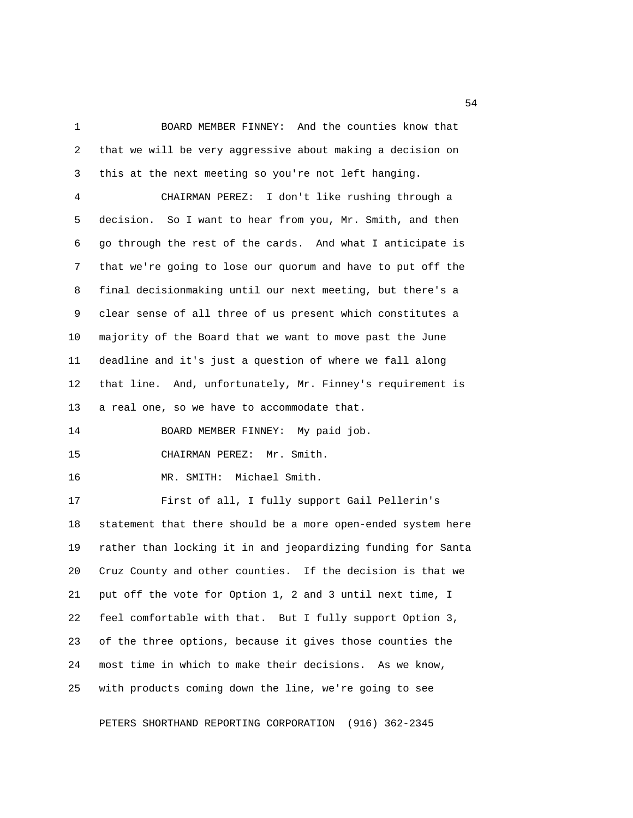1 BOARD MEMBER FINNEY: And the counties know that 2 that we will be very aggressive about making a decision on 3 this at the next meeting so you're not left hanging. 4 CHAIRMAN PEREZ: I don't like rushing through a

 5 decision. So I want to hear from you, Mr. Smith, and then 6 go through the rest of the cards. And what I anticipate is 7 that we're going to lose our quorum and have to put off the 8 final decisionmaking until our next meeting, but there's a 9 clear sense of all three of us present which constitutes a 10 majority of the Board that we want to move past the June 11 deadline and it's just a question of where we fall along 12 that line. And, unfortunately, Mr. Finney's requirement is 13 a real one, so we have to accommodate that.

14 BOARD MEMBER FINNEY: My paid job.

15 CHAIRMAN PEREZ: Mr. Smith.

16 MR. SMITH: Michael Smith.

17 First of all, I fully support Gail Pellerin's 18 statement that there should be a more open-ended system here 19 rather than locking it in and jeopardizing funding for Santa 20 Cruz County and other counties. If the decision is that we 21 put off the vote for Option 1, 2 and 3 until next time, I 22 feel comfortable with that. But I fully support Option 3, 23 of the three options, because it gives those counties the 24 most time in which to make their decisions. As we know, 25 with products coming down the line, we're going to see

PETERS SHORTHAND REPORTING CORPORATION (916) 362-2345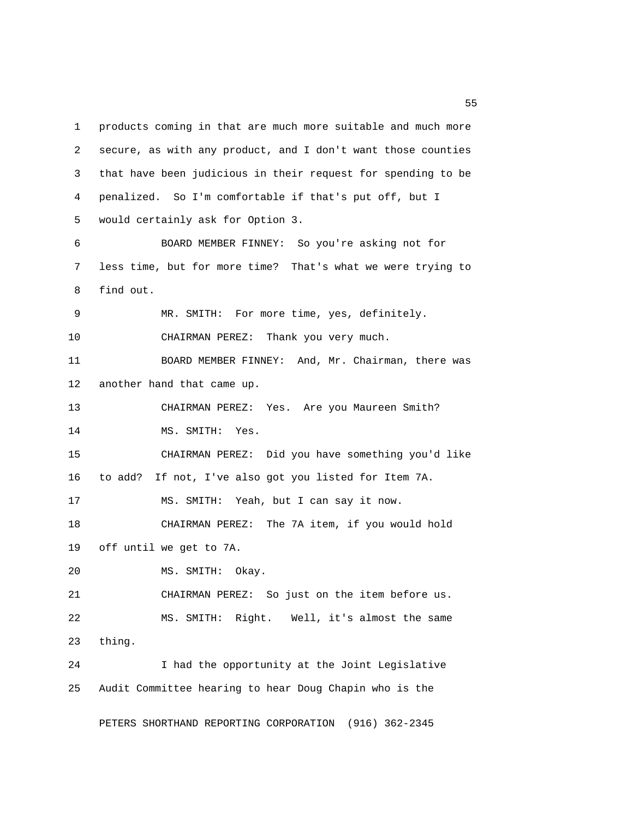1 products coming in that are much more suitable and much more 2 secure, as with any product, and I don't want those counties 3 that have been judicious in their request for spending to be 4 penalized. So I'm comfortable if that's put off, but I 5 would certainly ask for Option 3. 6 BOARD MEMBER FINNEY: So you're asking not for 7 less time, but for more time? That's what we were trying to 8 find out. 9 MR. SMITH: For more time, yes, definitely. 10 CHAIRMAN PEREZ: Thank you very much. 11 BOARD MEMBER FINNEY: And, Mr. Chairman, there was 12 another hand that came up. 13 CHAIRMAN PEREZ: Yes. Are you Maureen Smith? 14 MS. SMITH: Yes. 15 CHAIRMAN PEREZ: Did you have something you'd like 16 to add? If not, I've also got you listed for Item 7A. 17 MS. SMITH: Yeah, but I can say it now. 18 CHAIRMAN PEREZ: The 7A item, if you would hold 19 off until we get to 7A. 20 MS. SMITH: Okay. 21 CHAIRMAN PEREZ: So just on the item before us. 22 MS. SMITH: Right. Well, it's almost the same 23 thing. 24 I had the opportunity at the Joint Legislative 25 Audit Committee hearing to hear Doug Chapin who is the

PETERS SHORTHAND REPORTING CORPORATION (916) 362-2345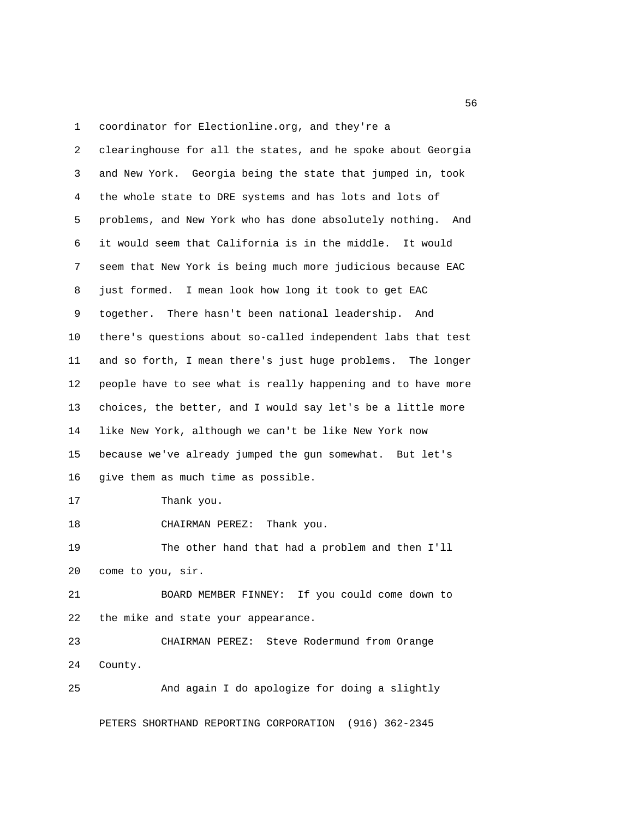1 coordinator for Electionline.org, and they're a

 2 clearinghouse for all the states, and he spoke about Georgia 3 and New York. Georgia being the state that jumped in, took 4 the whole state to DRE systems and has lots and lots of 5 problems, and New York who has done absolutely nothing. And 6 it would seem that California is in the middle. It would 7 seem that New York is being much more judicious because EAC 8 just formed. I mean look how long it took to get EAC 9 together. There hasn't been national leadership. And 10 there's questions about so-called independent labs that test 11 and so forth, I mean there's just huge problems. The longer 12 people have to see what is really happening and to have more 13 choices, the better, and I would say let's be a little more 14 like New York, although we can't be like New York now 15 because we've already jumped the gun somewhat. But let's 16 give them as much time as possible.

17 Thank you.

18 CHAIRMAN PEREZ: Thank you.

19 The other hand that had a problem and then I'll 20 come to you, sir.

21 BOARD MEMBER FINNEY: If you could come down to 22 the mike and state your appearance.

23 CHAIRMAN PEREZ: Steve Rodermund from Orange 24 County.

25 And again I do apologize for doing a slightly

PETERS SHORTHAND REPORTING CORPORATION (916) 362-2345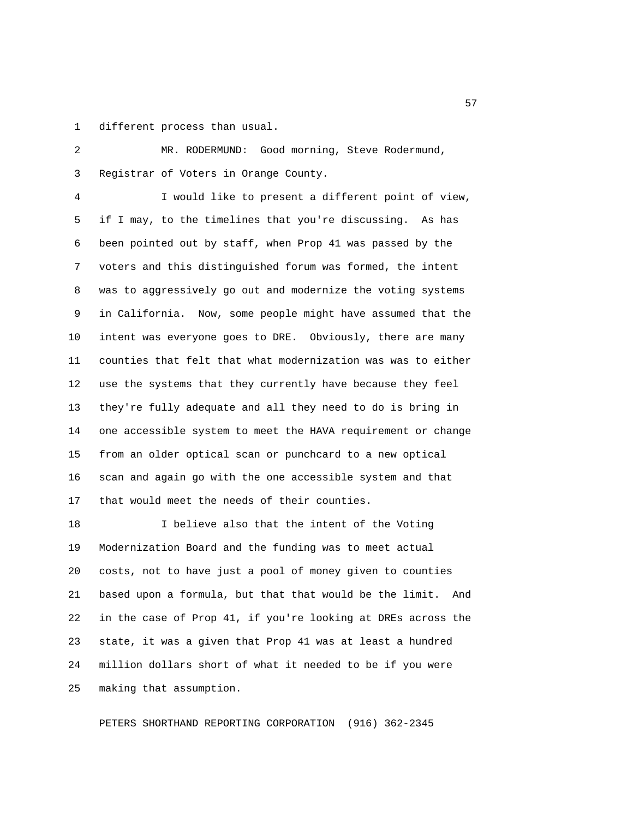1 different process than usual.

 2 MR. RODERMUND: Good morning, Steve Rodermund, 3 Registrar of Voters in Orange County.

 4 I would like to present a different point of view, 5 if I may, to the timelines that you're discussing. As has 6 been pointed out by staff, when Prop 41 was passed by the 7 voters and this distinguished forum was formed, the intent 8 was to aggressively go out and modernize the voting systems 9 in California. Now, some people might have assumed that the 10 intent was everyone goes to DRE. Obviously, there are many 11 counties that felt that what modernization was was to either 12 use the systems that they currently have because they feel 13 they're fully adequate and all they need to do is bring in 14 one accessible system to meet the HAVA requirement or change 15 from an older optical scan or punchcard to a new optical 16 scan and again go with the one accessible system and that 17 that would meet the needs of their counties.

18 I believe also that the intent of the Voting 19 Modernization Board and the funding was to meet actual 20 costs, not to have just a pool of money given to counties 21 based upon a formula, but that that would be the limit. And 22 in the case of Prop 41, if you're looking at DREs across the 23 state, it was a given that Prop 41 was at least a hundred 24 million dollars short of what it needed to be if you were 25 making that assumption.

PETERS SHORTHAND REPORTING CORPORATION (916) 362-2345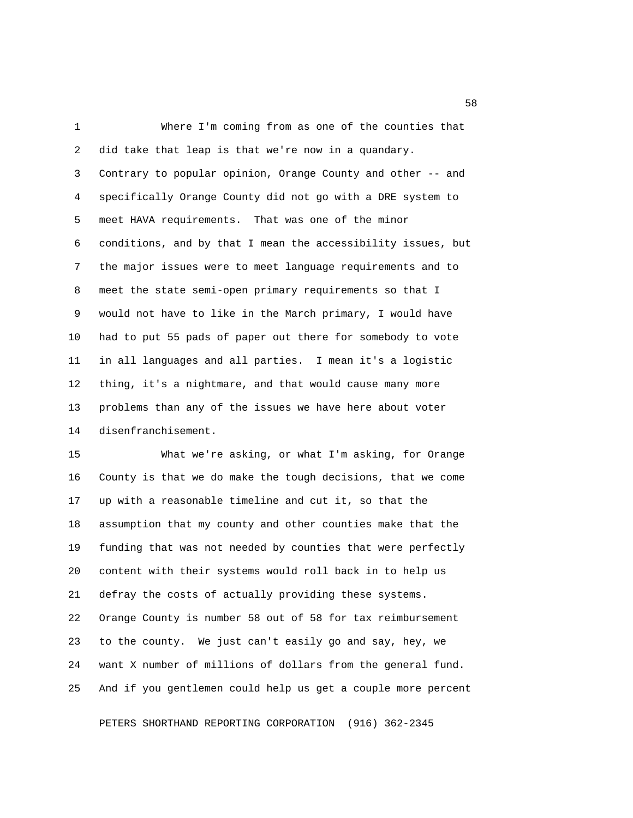1 Where I'm coming from as one of the counties that 2 did take that leap is that we're now in a quandary. 3 Contrary to popular opinion, Orange County and other -- and 4 specifically Orange County did not go with a DRE system to 5 meet HAVA requirements. That was one of the minor 6 conditions, and by that I mean the accessibility issues, but 7 the major issues were to meet language requirements and to 8 meet the state semi-open primary requirements so that I 9 would not have to like in the March primary, I would have 10 had to put 55 pads of paper out there for somebody to vote 11 in all languages and all parties. I mean it's a logistic 12 thing, it's a nightmare, and that would cause many more 13 problems than any of the issues we have here about voter 14 disenfranchisement.

15 What we're asking, or what I'm asking, for Orange 16 County is that we do make the tough decisions, that we come 17 up with a reasonable timeline and cut it, so that the 18 assumption that my county and other counties make that the 19 funding that was not needed by counties that were perfectly 20 content with their systems would roll back in to help us 21 defray the costs of actually providing these systems. 22 Orange County is number 58 out of 58 for tax reimbursement 23 to the county. We just can't easily go and say, hey, we 24 want X number of millions of dollars from the general fund. 25 And if you gentlemen could help us get a couple more percent

PETERS SHORTHAND REPORTING CORPORATION (916) 362-2345

the state of the state of the state of the state of the state of the state of the state of the state of the state of the state of the state of the state of the state of the state of the state of the state of the state of t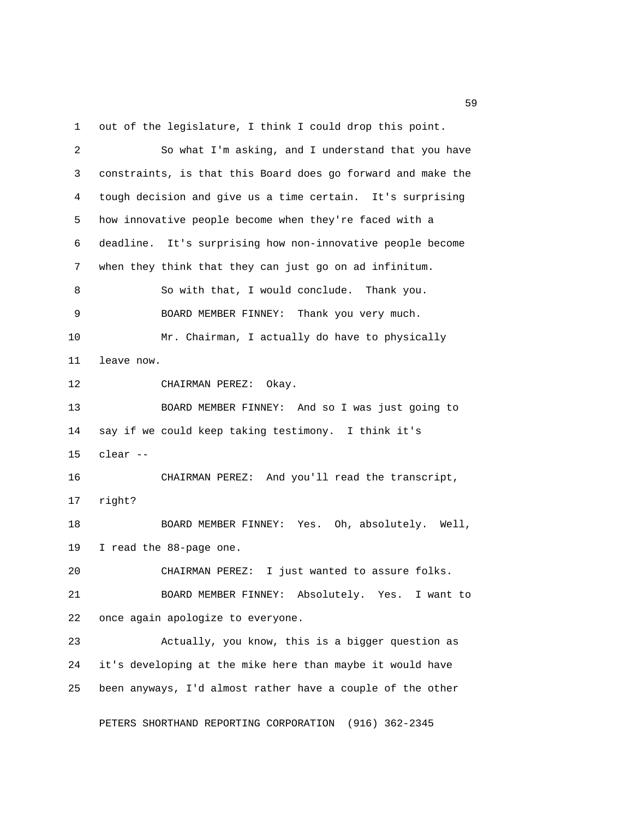1 out of the legislature, I think I could drop this point.

 2 So what I'm asking, and I understand that you have 3 constraints, is that this Board does go forward and make the 4 tough decision and give us a time certain. It's surprising 5 how innovative people become when they're faced with a 6 deadline. It's surprising how non-innovative people become 7 when they think that they can just go on ad infinitum. 8 So with that, I would conclude. Thank you. 9 BOARD MEMBER FINNEY: Thank you very much. 10 Mr. Chairman, I actually do have to physically 11 leave now. 12 CHAIRMAN PEREZ: Okay. 13 BOARD MEMBER FINNEY: And so I was just going to 14 say if we could keep taking testimony. I think it's 15 clear -- 16 CHAIRMAN PEREZ: And you'll read the transcript, 17 right? 18 BOARD MEMBER FINNEY: Yes. Oh, absolutely. Well, 19 I read the 88-page one. 20 CHAIRMAN PEREZ: I just wanted to assure folks. 21 BOARD MEMBER FINNEY: Absolutely. Yes. I want to 22 once again apologize to everyone. 23 Actually, you know, this is a bigger question as 24 it's developing at the mike here than maybe it would have 25 been anyways, I'd almost rather have a couple of the other

PETERS SHORTHAND REPORTING CORPORATION (916) 362-2345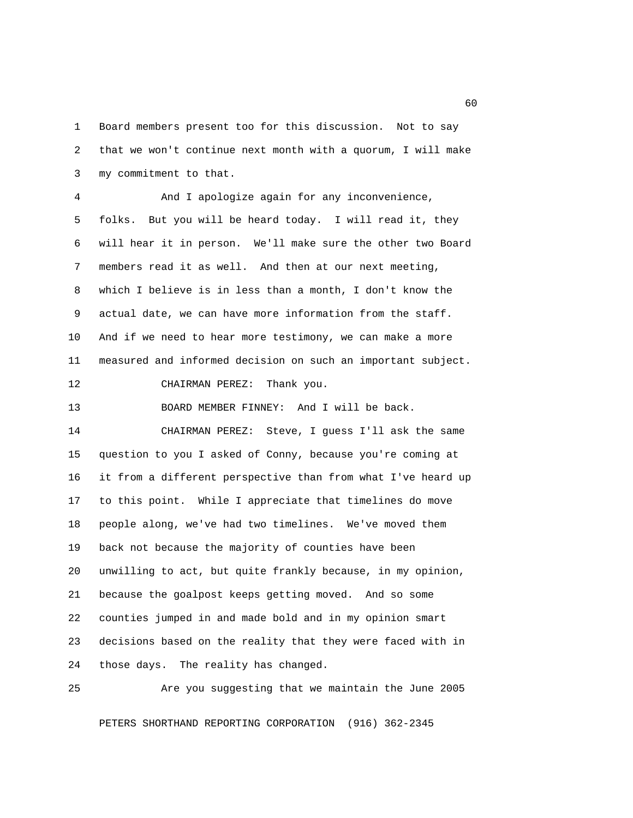1 Board members present too for this discussion. Not to say 2 that we won't continue next month with a quorum, I will make 3 my commitment to that.

 4 And I apologize again for any inconvenience, 5 folks. But you will be heard today. I will read it, they 6 will hear it in person. We'll make sure the other two Board 7 members read it as well. And then at our next meeting, 8 which I believe is in less than a month, I don't know the 9 actual date, we can have more information from the staff. 10 And if we need to hear more testimony, we can make a more 11 measured and informed decision on such an important subject.

12 CHAIRMAN PEREZ: Thank you.

13 BOARD MEMBER FINNEY: And I will be back.

14 CHAIRMAN PEREZ: Steve, I guess I'll ask the same 15 question to you I asked of Conny, because you're coming at 16 it from a different perspective than from what I've heard up 17 to this point. While I appreciate that timelines do move 18 people along, we've had two timelines. We've moved them 19 back not because the majority of counties have been 20 unwilling to act, but quite frankly because, in my opinion, 21 because the goalpost keeps getting moved. And so some 22 counties jumped in and made bold and in my opinion smart 23 decisions based on the reality that they were faced with in 24 those days. The reality has changed.

25 Are you suggesting that we maintain the June 2005

PETERS SHORTHAND REPORTING CORPORATION (916) 362-2345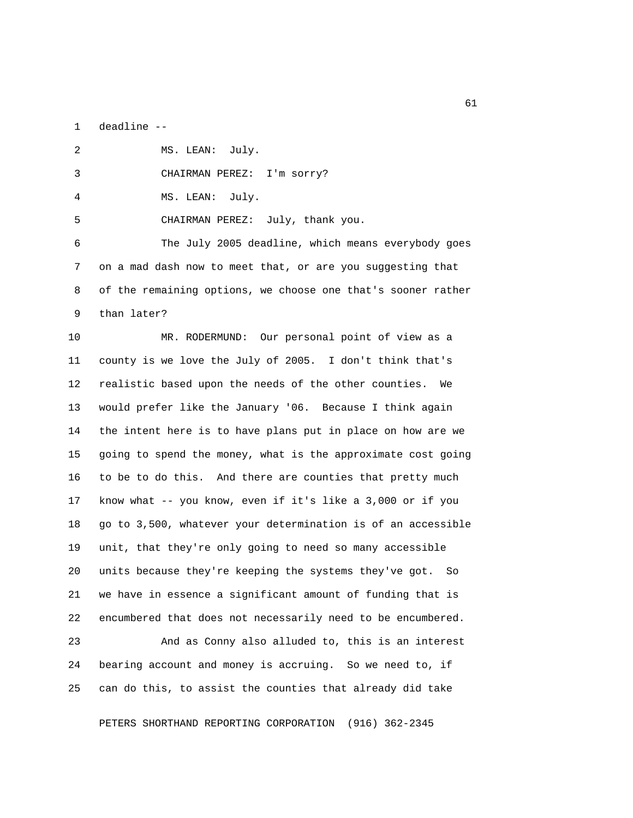1 deadline --

| $\mathfrak{D}$ | MS. LEAN: July.                                              |
|----------------|--------------------------------------------------------------|
| 3              | CHAIRMAN PEREZ: I'm sorry?                                   |
| 4              | MS. LEAN: July.                                              |
| 5              | CHAIRMAN PEREZ: July, thank you.                             |
| 6              | The July 2005 deadline, which means everybody goes           |
| $7^{\circ}$    | on a mad dash now to meet that, or are you suggesting that   |
| 8              | of the remaining options, we choose one that's sooner rather |
| 9              | than later?                                                  |

10 MR. RODERMUND: Our personal point of view as a 11 county is we love the July of 2005. I don't think that's 12 realistic based upon the needs of the other counties. We 13 would prefer like the January '06. Because I think again 14 the intent here is to have plans put in place on how are we 15 going to spend the money, what is the approximate cost going 16 to be to do this. And there are counties that pretty much 17 know what -- you know, even if it's like a 3,000 or if you 18 go to 3,500, whatever your determination is of an accessible 19 unit, that they're only going to need so many accessible 20 units because they're keeping the systems they've got. So 21 we have in essence a significant amount of funding that is 22 encumbered that does not necessarily need to be encumbered.

23 And as Conny also alluded to, this is an interest 24 bearing account and money is accruing. So we need to, if 25 can do this, to assist the counties that already did take

PETERS SHORTHAND REPORTING CORPORATION (916) 362-2345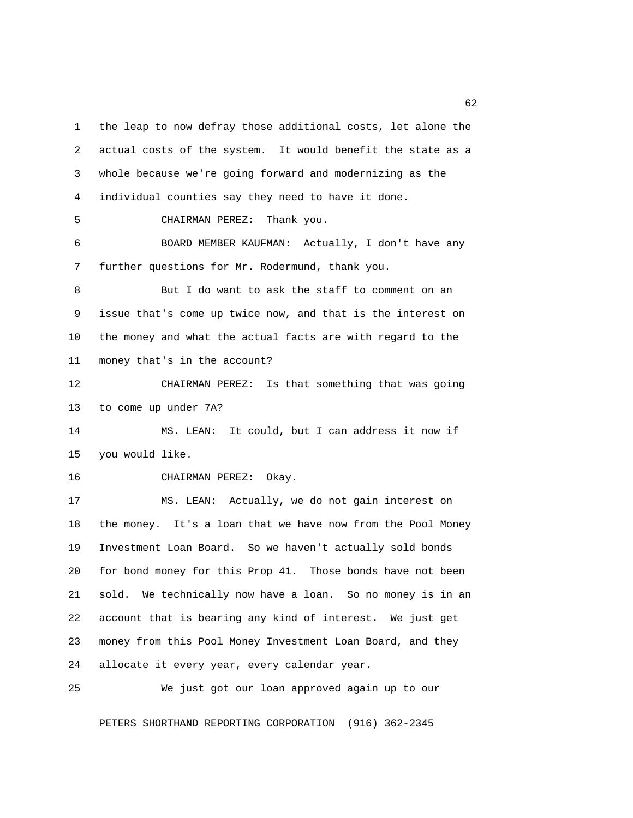1 the leap to now defray those additional costs, let alone the 2 actual costs of the system. It would benefit the state as a 3 whole because we're going forward and modernizing as the 4 individual counties say they need to have it done. 5 CHAIRMAN PEREZ: Thank you. 6 BOARD MEMBER KAUFMAN: Actually, I don't have any 7 further questions for Mr. Rodermund, thank you. 8 But I do want to ask the staff to comment on an 9 issue that's come up twice now, and that is the interest on 10 the money and what the actual facts are with regard to the 11 money that's in the account? 12 CHAIRMAN PEREZ: Is that something that was going 13 to come up under 7A? 14 MS. LEAN: It could, but I can address it now if 15 you would like. 16 CHAIRMAN PEREZ: Okay. 17 MS. LEAN: Actually, we do not gain interest on 18 the money. It's a loan that we have now from the Pool Money 19 Investment Loan Board. So we haven't actually sold bonds 20 for bond money for this Prop 41. Those bonds have not been 21 sold. We technically now have a loan. So no money is in an 22 account that is bearing any kind of interest. We just get 23 money from this Pool Money Investment Loan Board, and they 24 allocate it every year, every calendar year.

PETERS SHORTHAND REPORTING CORPORATION (916) 362-2345

25 We just got our loan approved again up to our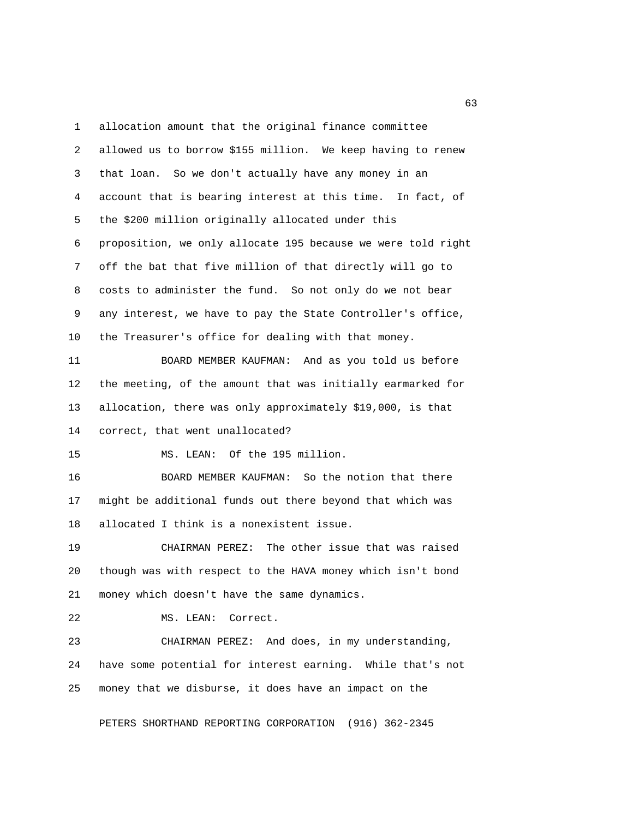1 allocation amount that the original finance committee 2 allowed us to borrow \$155 million. We keep having to renew 3 that loan. So we don't actually have any money in an 4 account that is bearing interest at this time. In fact, of 5 the \$200 million originally allocated under this 6 proposition, we only allocate 195 because we were told right 7 off the bat that five million of that directly will go to 8 costs to administer the fund. So not only do we not bear 9 any interest, we have to pay the State Controller's office, 10 the Treasurer's office for dealing with that money.

11 BOARD MEMBER KAUFMAN: And as you told us before 12 the meeting, of the amount that was initially earmarked for 13 allocation, there was only approximately \$19,000, is that 14 correct, that went unallocated?

15 MS. LEAN: Of the 195 million.

16 BOARD MEMBER KAUFMAN: So the notion that there 17 might be additional funds out there beyond that which was 18 allocated I think is a nonexistent issue.

19 CHAIRMAN PEREZ: The other issue that was raised 20 though was with respect to the HAVA money which isn't bond 21 money which doesn't have the same dynamics.

22 MS. LEAN: Correct.

23 CHAIRMAN PEREZ: And does, in my understanding, 24 have some potential for interest earning. While that's not 25 money that we disburse, it does have an impact on the

PETERS SHORTHAND REPORTING CORPORATION (916) 362-2345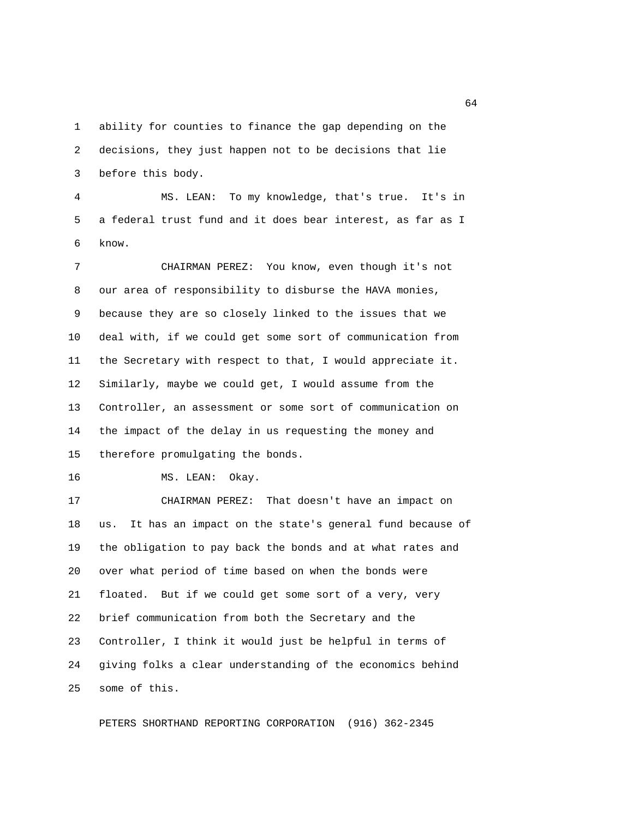1 ability for counties to finance the gap depending on the 2 decisions, they just happen not to be decisions that lie 3 before this body.

 4 MS. LEAN: To my knowledge, that's true. It's in 5 a federal trust fund and it does bear interest, as far as I 6 know.

 7 CHAIRMAN PEREZ: You know, even though it's not 8 our area of responsibility to disburse the HAVA monies, 9 because they are so closely linked to the issues that we 10 deal with, if we could get some sort of communication from 11 the Secretary with respect to that, I would appreciate it. 12 Similarly, maybe we could get, I would assume from the 13 Controller, an assessment or some sort of communication on 14 the impact of the delay in us requesting the money and 15 therefore promulgating the bonds.

16 MS. LEAN: Okay.

17 CHAIRMAN PEREZ: That doesn't have an impact on 18 us. It has an impact on the state's general fund because of 19 the obligation to pay back the bonds and at what rates and 20 over what period of time based on when the bonds were 21 floated. But if we could get some sort of a very, very 22 brief communication from both the Secretary and the 23 Controller, I think it would just be helpful in terms of 24 giving folks a clear understanding of the economics behind 25 some of this.

PETERS SHORTHAND REPORTING CORPORATION (916) 362-2345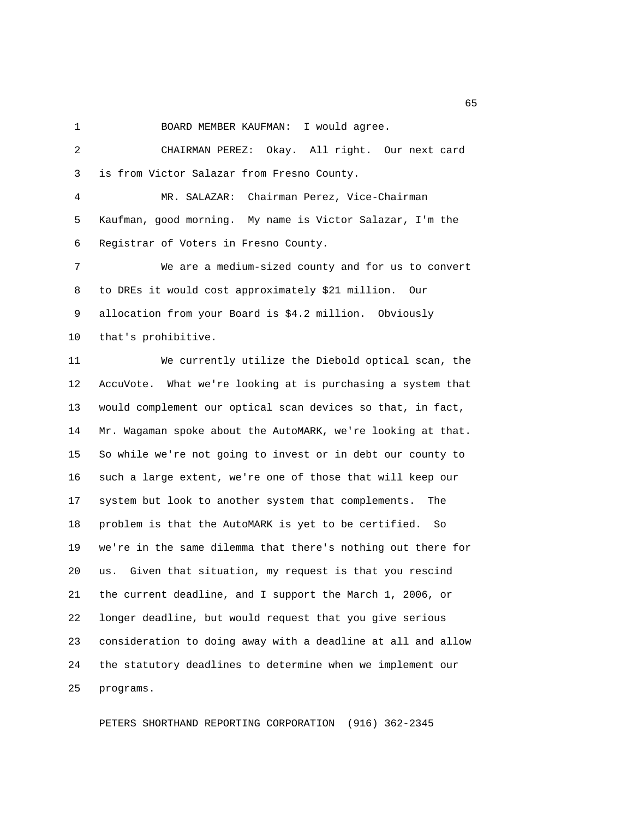1 BOARD MEMBER KAUFMAN: I would agree.

 2 CHAIRMAN PEREZ: Okay. All right. Our next card 3 is from Victor Salazar from Fresno County.

 4 MR. SALAZAR: Chairman Perez, Vice-Chairman 5 Kaufman, good morning. My name is Victor Salazar, I'm the 6 Registrar of Voters in Fresno County.

 7 We are a medium-sized county and for us to convert 8 to DREs it would cost approximately \$21 million. Our 9 allocation from your Board is \$4.2 million. Obviously 10 that's prohibitive.

11 We currently utilize the Diebold optical scan, the 12 AccuVote. What we're looking at is purchasing a system that 13 would complement our optical scan devices so that, in fact, 14 Mr. Wagaman spoke about the AutoMARK, we're looking at that. 15 So while we're not going to invest or in debt our county to 16 such a large extent, we're one of those that will keep our 17 system but look to another system that complements. The 18 problem is that the AutoMARK is yet to be certified. So 19 we're in the same dilemma that there's nothing out there for 20 us. Given that situation, my request is that you rescind 21 the current deadline, and I support the March 1, 2006, or 22 longer deadline, but would request that you give serious 23 consideration to doing away with a deadline at all and allow 24 the statutory deadlines to determine when we implement our 25 programs.

PETERS SHORTHAND REPORTING CORPORATION (916) 362-2345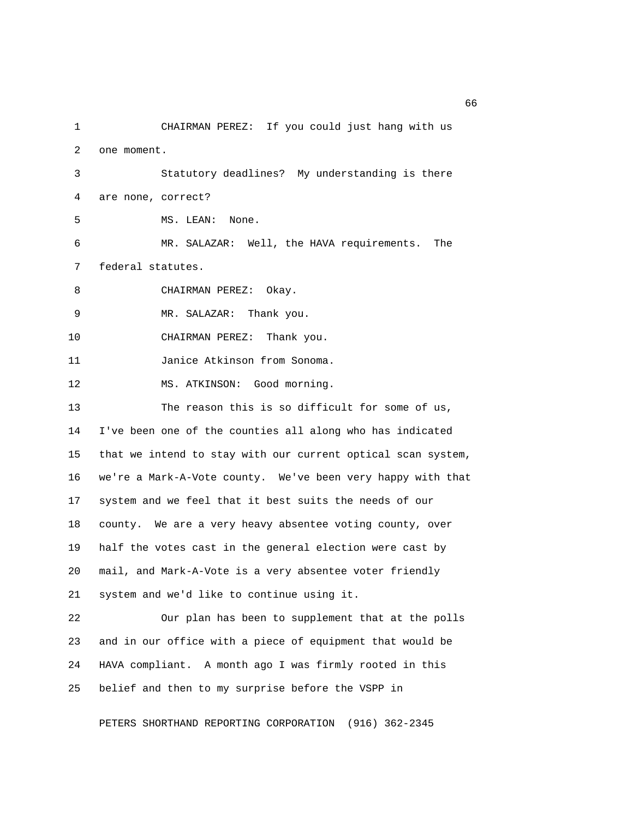1 CHAIRMAN PEREZ: If you could just hang with us 2 one moment.

 3 Statutory deadlines? My understanding is there 4 are none, correct?

5 MS. LEAN: None.

 6 MR. SALAZAR: Well, the HAVA requirements. The 7 federal statutes.

8 CHAIRMAN PEREZ: Okay.

9 MR. SALAZAR: Thank you.

10 CHAIRMAN PEREZ: Thank you.

11 Janice Atkinson from Sonoma.

12 MS. ATKINSON: Good morning.

13 The reason this is so difficult for some of us, 14 I've been one of the counties all along who has indicated 15 that we intend to stay with our current optical scan system, 16 we're a Mark-A-Vote county. We've been very happy with that 17 system and we feel that it best suits the needs of our 18 county. We are a very heavy absentee voting county, over 19 half the votes cast in the general election were cast by 20 mail, and Mark-A-Vote is a very absentee voter friendly 21 system and we'd like to continue using it.

22 Our plan has been to supplement that at the polls 23 and in our office with a piece of equipment that would be 24 HAVA compliant. A month ago I was firmly rooted in this 25 belief and then to my surprise before the VSPP in

PETERS SHORTHAND REPORTING CORPORATION (916) 362-2345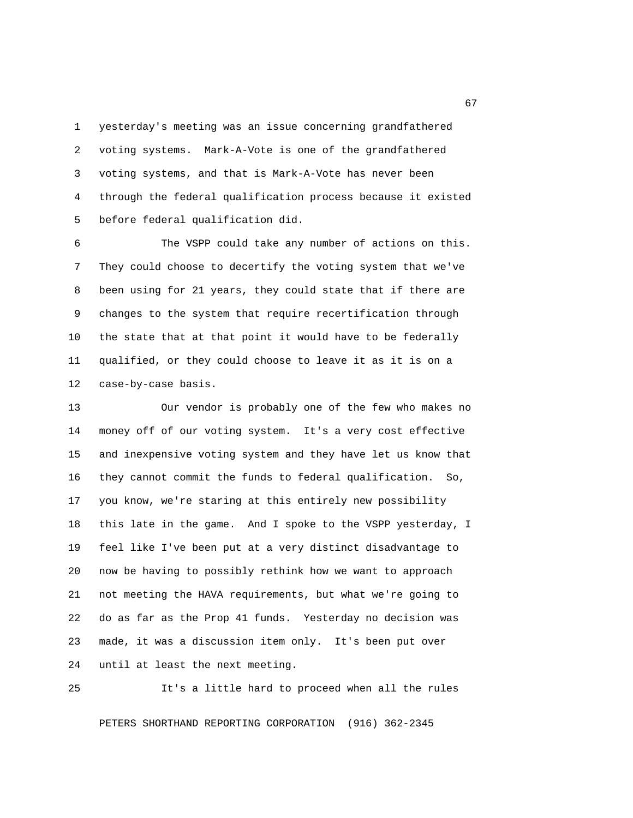1 yesterday's meeting was an issue concerning grandfathered 2 voting systems. Mark-A-Vote is one of the grandfathered 3 voting systems, and that is Mark-A-Vote has never been 4 through the federal qualification process because it existed 5 before federal qualification did.

 6 The VSPP could take any number of actions on this. 7 They could choose to decertify the voting system that we've 8 been using for 21 years, they could state that if there are 9 changes to the system that require recertification through 10 the state that at that point it would have to be federally 11 qualified, or they could choose to leave it as it is on a 12 case-by-case basis.

13 Our vendor is probably one of the few who makes no 14 money off of our voting system. It's a very cost effective 15 and inexpensive voting system and they have let us know that 16 they cannot commit the funds to federal qualification. So, 17 you know, we're staring at this entirely new possibility 18 this late in the game. And I spoke to the VSPP yesterday, I 19 feel like I've been put at a very distinct disadvantage to 20 now be having to possibly rethink how we want to approach 21 not meeting the HAVA requirements, but what we're going to 22 do as far as the Prop 41 funds. Yesterday no decision was 23 made, it was a discussion item only. It's been put over 24 until at least the next meeting.

25 It's a little hard to proceed when all the rules

PETERS SHORTHAND REPORTING CORPORATION (916) 362-2345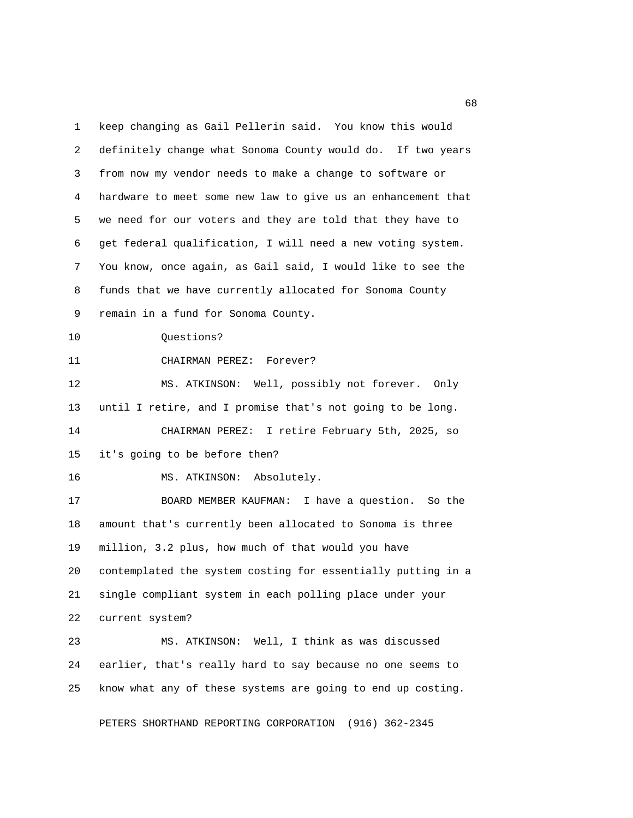1 keep changing as Gail Pellerin said. You know this would 2 definitely change what Sonoma County would do. If two years 3 from now my vendor needs to make a change to software or 4 hardware to meet some new law to give us an enhancement that 5 we need for our voters and they are told that they have to 6 get federal qualification, I will need a new voting system. 7 You know, once again, as Gail said, I would like to see the 8 funds that we have currently allocated for Sonoma County 9 remain in a fund for Sonoma County. 10 Questions? 11 CHAIRMAN PEREZ: Forever? 12 MS. ATKINSON: Well, possibly not forever. Only 13 until I retire, and I promise that's not going to be long. 14 CHAIRMAN PEREZ: I retire February 5th, 2025, so 15 it's going to be before then? 16 MS. ATKINSON: Absolutely. 17 BOARD MEMBER KAUFMAN: I have a question. So the 18 amount that's currently been allocated to Sonoma is three 19 million, 3.2 plus, how much of that would you have 20 contemplated the system costing for essentially putting in a 21 single compliant system in each polling place under your 22 current system? 23 MS. ATKINSON: Well, I think as was discussed 24 earlier, that's really hard to say because no one seems to 25 know what any of these systems are going to end up costing.

PETERS SHORTHAND REPORTING CORPORATION (916) 362-2345

experience of the contract of the contract of the contract of the contract of the contract of the contract of the contract of the contract of the contract of the contract of the contract of the contract of the contract of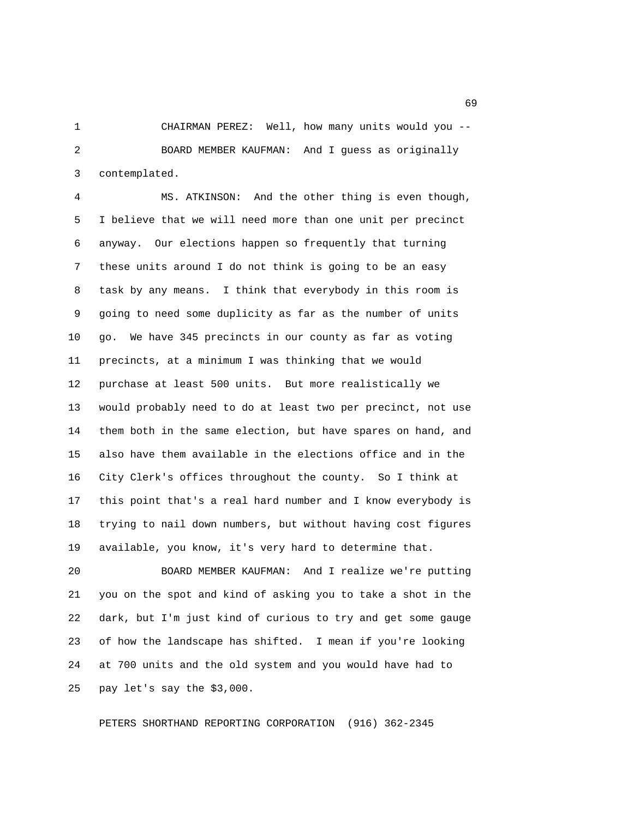1 CHAIRMAN PEREZ: Well, how many units would you -- 2 BOARD MEMBER KAUFMAN: And I guess as originally 3 contemplated.

 4 MS. ATKINSON: And the other thing is even though, 5 I believe that we will need more than one unit per precinct 6 anyway. Our elections happen so frequently that turning 7 these units around I do not think is going to be an easy 8 task by any means. I think that everybody in this room is 9 going to need some duplicity as far as the number of units 10 go. We have 345 precincts in our county as far as voting 11 precincts, at a minimum I was thinking that we would 12 purchase at least 500 units. But more realistically we 13 would probably need to do at least two per precinct, not use 14 them both in the same election, but have spares on hand, and 15 also have them available in the elections office and in the 16 City Clerk's offices throughout the county. So I think at 17 this point that's a real hard number and I know everybody is 18 trying to nail down numbers, but without having cost figures 19 available, you know, it's very hard to determine that.

20 BOARD MEMBER KAUFMAN: And I realize we're putting 21 you on the spot and kind of asking you to take a shot in the 22 dark, but I'm just kind of curious to try and get some gauge 23 of how the landscape has shifted. I mean if you're looking 24 at 700 units and the old system and you would have had to 25 pay let's say the \$3,000.

PETERS SHORTHAND REPORTING CORPORATION (916) 362-2345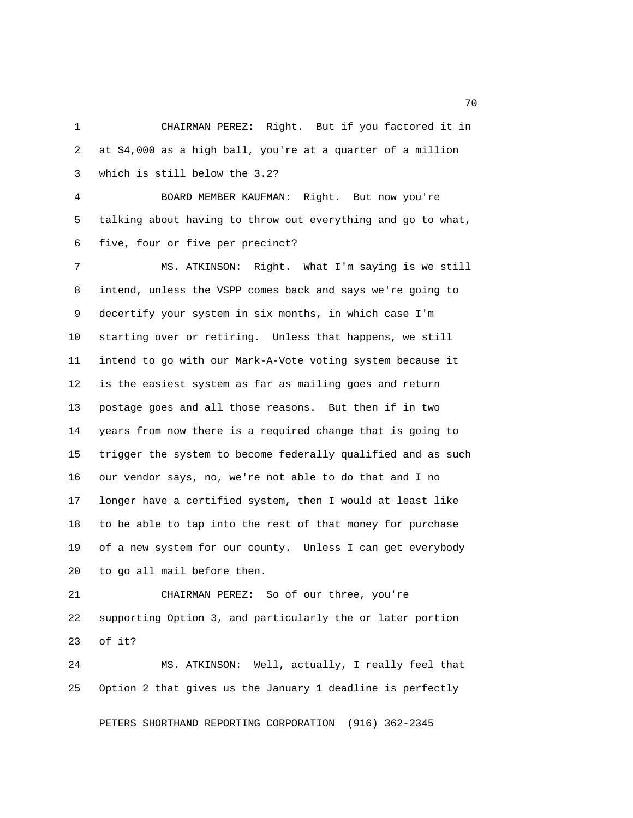1 CHAIRMAN PEREZ: Right. But if you factored it in 2 at \$4,000 as a high ball, you're at a quarter of a million 3 which is still below the 3.2? 4 BOARD MEMBER KAUFMAN: Right. But now you're 5 talking about having to throw out everything and go to what, 6 five, four or five per precinct? 7 MS. ATKINSON: Right. What I'm saying is we still 8 intend, unless the VSPP comes back and says we're going to 9 decertify your system in six months, in which case I'm 10 starting over or retiring. Unless that happens, we still 11 intend to go with our Mark-A-Vote voting system because it 12 is the easiest system as far as mailing goes and return 13 postage goes and all those reasons. But then if in two 14 years from now there is a required change that is going to 15 trigger the system to become federally qualified and as such 16 our vendor says, no, we're not able to do that and I no 17 longer have a certified system, then I would at least like 18 to be able to tap into the rest of that money for purchase 19 of a new system for our county. Unless I can get everybody 20 to go all mail before then.

21 CHAIRMAN PEREZ: So of our three, you're 22 supporting Option 3, and particularly the or later portion 23 of it?

24 MS. ATKINSON: Well, actually, I really feel that 25 Option 2 that gives us the January 1 deadline is perfectly

PETERS SHORTHAND REPORTING CORPORATION (916) 362-2345

not a contract the contract of the contract of the contract of the contract of the contract of the contract of the contract of the contract of the contract of the contract of the contract of the contract of the contract of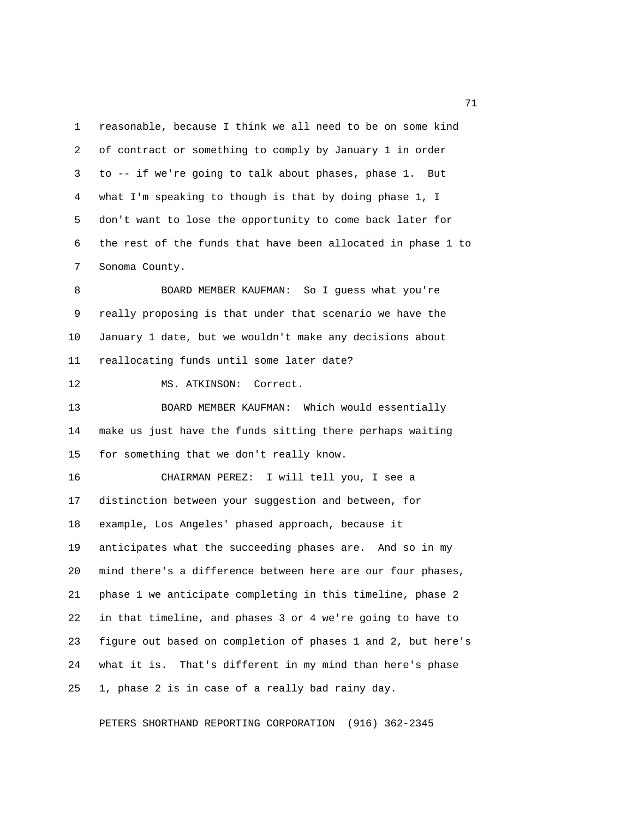1 reasonable, because I think we all need to be on some kind 2 of contract or something to comply by January 1 in order 3 to -- if we're going to talk about phases, phase 1. But 4 what I'm speaking to though is that by doing phase 1, I 5 don't want to lose the opportunity to come back later for 6 the rest of the funds that have been allocated in phase 1 to 7 Sonoma County.

8 BOARD MEMBER KAUFMAN: So I guess what you're 9 really proposing is that under that scenario we have the 10 January 1 date, but we wouldn't make any decisions about 11 reallocating funds until some later date?

12 MS. ATKINSON: Correct.

13 BOARD MEMBER KAUFMAN: Which would essentially 14 make us just have the funds sitting there perhaps waiting 15 for something that we don't really know.

16 CHAIRMAN PEREZ: I will tell you, I see a 17 distinction between your suggestion and between, for 18 example, Los Angeles' phased approach, because it 19 anticipates what the succeeding phases are. And so in my 20 mind there's a difference between here are our four phases, 21 phase 1 we anticipate completing in this timeline, phase 2 22 in that timeline, and phases 3 or 4 we're going to have to 23 figure out based on completion of phases 1 and 2, but here's 24 what it is. That's different in my mind than here's phase 25 1, phase 2 is in case of a really bad rainy day.

PETERS SHORTHAND REPORTING CORPORATION (916) 362-2345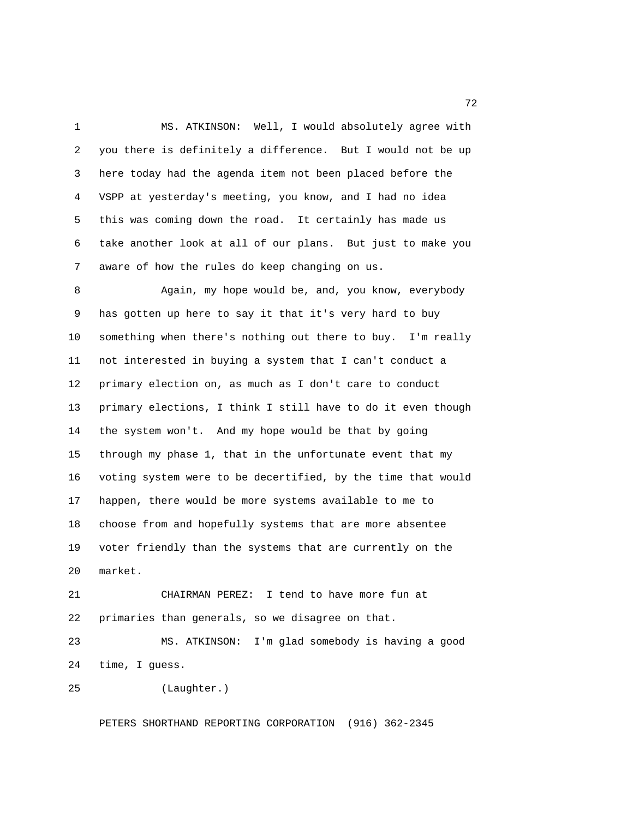1 MS. ATKINSON: Well, I would absolutely agree with 2 you there is definitely a difference. But I would not be up 3 here today had the agenda item not been placed before the 4 VSPP at yesterday's meeting, you know, and I had no idea 5 this was coming down the road. It certainly has made us 6 take another look at all of our plans. But just to make you 7 aware of how the rules do keep changing on us.

 8 Again, my hope would be, and, you know, everybody 9 has gotten up here to say it that it's very hard to buy 10 something when there's nothing out there to buy. I'm really 11 not interested in buying a system that I can't conduct a 12 primary election on, as much as I don't care to conduct 13 primary elections, I think I still have to do it even though 14 the system won't. And my hope would be that by going 15 through my phase 1, that in the unfortunate event that my 16 voting system were to be decertified, by the time that would 17 happen, there would be more systems available to me to 18 choose from and hopefully systems that are more absentee 19 voter friendly than the systems that are currently on the 20 market.

21 CHAIRMAN PEREZ: I tend to have more fun at 22 primaries than generals, so we disagree on that.

23 MS. ATKINSON: I'm glad somebody is having a good 24 time, I guess.

25 (Laughter.)

PETERS SHORTHAND REPORTING CORPORATION (916) 362-2345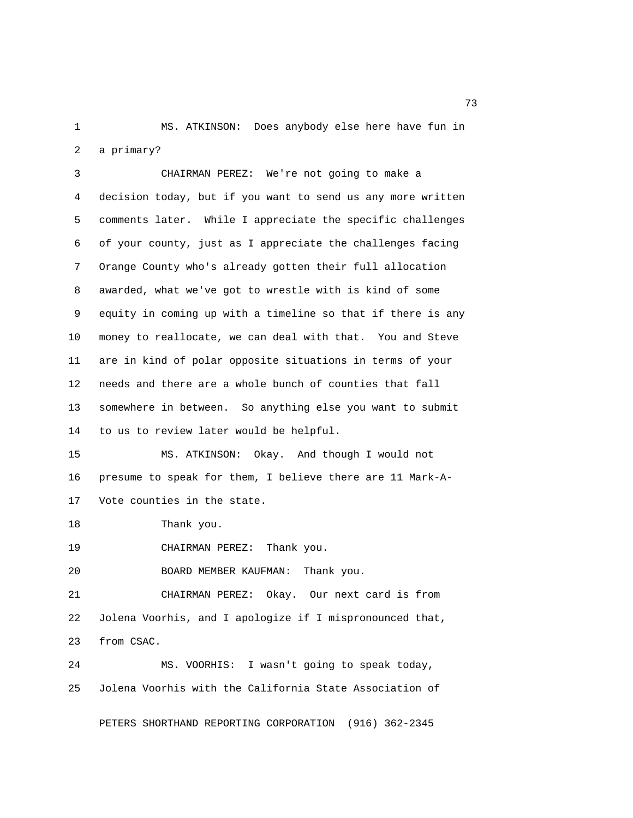1 MS. ATKINSON: Does anybody else here have fun in 2 a primary?

 3 CHAIRMAN PEREZ: We're not going to make a 4 decision today, but if you want to send us any more written 5 comments later. While I appreciate the specific challenges 6 of your county, just as I appreciate the challenges facing 7 Orange County who's already gotten their full allocation 8 awarded, what we've got to wrestle with is kind of some 9 equity in coming up with a timeline so that if there is any 10 money to reallocate, we can deal with that. You and Steve 11 are in kind of polar opposite situations in terms of your 12 needs and there are a whole bunch of counties that fall 13 somewhere in between. So anything else you want to submit 14 to us to review later would be helpful.

15 MS. ATKINSON: Okay. And though I would not 16 presume to speak for them, I believe there are 11 Mark-A-17 Vote counties in the state.

18 Thank you.

19 CHAIRMAN PEREZ: Thank you.

20 BOARD MEMBER KAUFMAN: Thank you.

21 CHAIRMAN PEREZ: Okay. Our next card is from 22 Jolena Voorhis, and I apologize if I mispronounced that, 23 from CSAC.

24 MS. VOORHIS: I wasn't going to speak today, 25 Jolena Voorhis with the California State Association of

PETERS SHORTHAND REPORTING CORPORATION (916) 362-2345

<u>23</u> and 23 and 23 and 23 and 23 and 23 and 23 and 23 and 23 and 23 and 23 and 23 and 23 and 23 and 23 and 23 and 23 and 23 and 23 and 23 and 23 and 23 and 23 and 23 and 23 and 23 and 23 and 23 and 23 and 23 and 23 and 23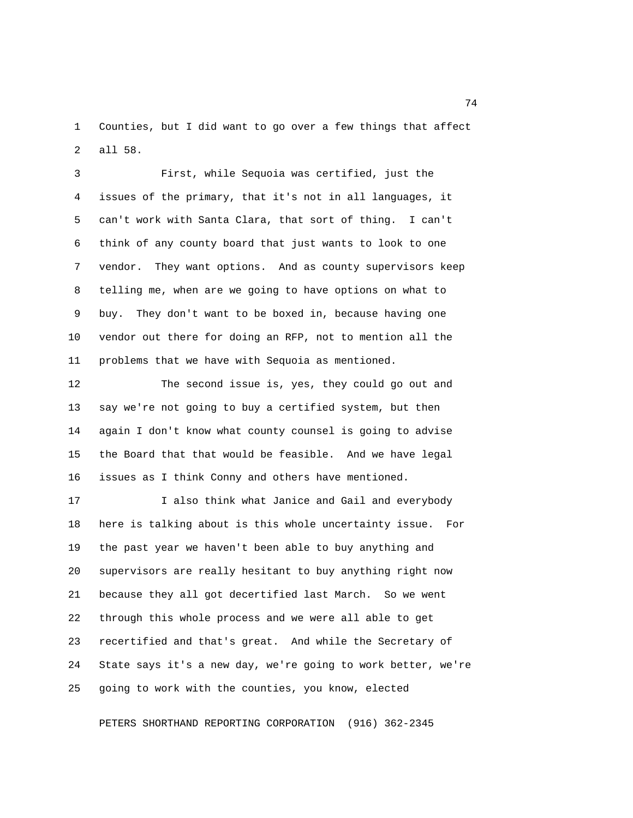1 Counties, but I did want to go over a few things that affect 2 all 58.

 3 First, while Sequoia was certified, just the 4 issues of the primary, that it's not in all languages, it 5 can't work with Santa Clara, that sort of thing. I can't 6 think of any county board that just wants to look to one 7 vendor. They want options. And as county supervisors keep 8 telling me, when are we going to have options on what to 9 buy. They don't want to be boxed in, because having one 10 vendor out there for doing an RFP, not to mention all the 11 problems that we have with Sequoia as mentioned.

12 The second issue is, yes, they could go out and 13 say we're not going to buy a certified system, but then 14 again I don't know what county counsel is going to advise 15 the Board that that would be feasible. And we have legal 16 issues as I think Conny and others have mentioned.

17 I also think what Janice and Gail and everybody 18 here is talking about is this whole uncertainty issue. For 19 the past year we haven't been able to buy anything and 20 supervisors are really hesitant to buy anything right now 21 because they all got decertified last March. So we went 22 through this whole process and we were all able to get 23 recertified and that's great. And while the Secretary of 24 State says it's a new day, we're going to work better, we're 25 going to work with the counties, you know, elected

PETERS SHORTHAND REPORTING CORPORATION (916) 362-2345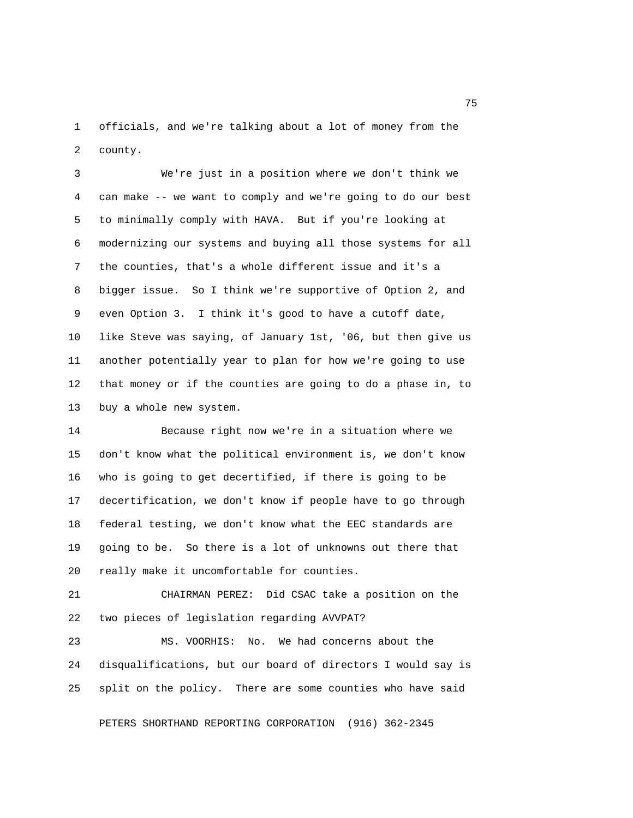1 officials, and we're talking about a lot of money from the 2 county.

 3 We're just in a position where we don't think we 4 can make -- we want to comply and we're going to do our best 5 to minimally comply with HAVA. But if you're looking at 6 modernizing our systems and buying all those systems for all 7 the counties, that's a whole different issue and it's a 8 bigger issue. So I think we're supportive of Option 2, and 9 even Option 3. I think it's good to have a cutoff date, 10 like Steve was saying, of January 1st, '06, but then give us 11 another potentially year to plan for how we're going to use 12 that money or if the counties are going to do a phase in, to 13 buy a whole new system.

14 Because right now we're in a situation where we 15 don't know what the political environment is, we don't know 16 who is going to get decertified, if there is going to be 17 decertification, we don't know if people have to go through 18 federal testing, we don't know what the EEC standards are 19 going to be. So there is a lot of unknowns out there that 20 really make it uncomfortable for counties.

21 CHAIRMAN PEREZ: Did CSAC take a position on the 22 two pieces of legislation regarding AVVPAT?

23 MS. VOORHIS: No. We had concerns about the 24 disqualifications, but our board of directors I would say is 25 split on the policy. There are some counties who have said

PETERS SHORTHAND REPORTING CORPORATION (916) 362-2345

na matsay na katalog as na kasang mga 175 may 2008. Ang isang mga 175 may 2008 na isang mga 175 may 2008. Ang pangangang mga 2008 na mga 2008 na mga 2008 na mga 2008 na mga 2008 na mga 2008 na mga 2008 na mga 2008 na mga 2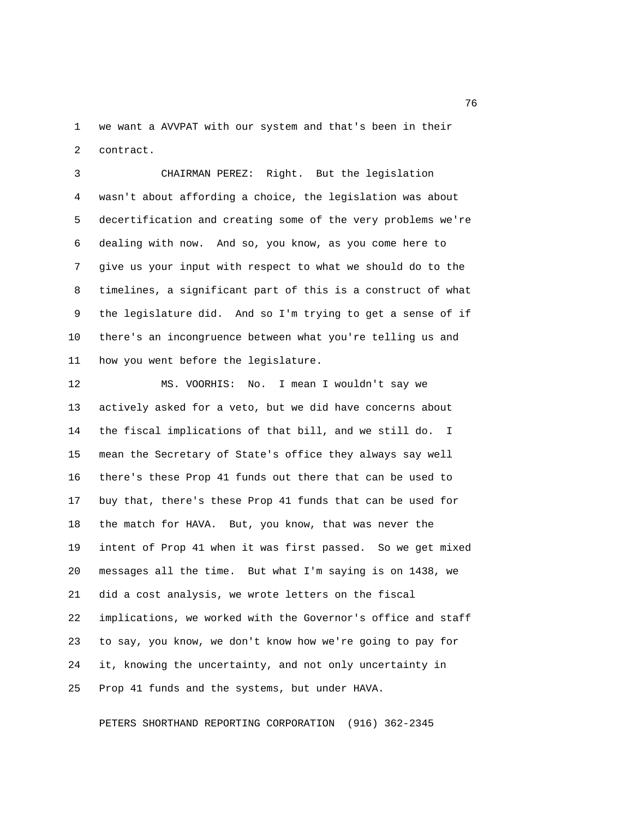1 we want a AVVPAT with our system and that's been in their 2 contract.

 3 CHAIRMAN PEREZ: Right. But the legislation 4 wasn't about affording a choice, the legislation was about 5 decertification and creating some of the very problems we're 6 dealing with now. And so, you know, as you come here to 7 give us your input with respect to what we should do to the 8 timelines, a significant part of this is a construct of what 9 the legislature did. And so I'm trying to get a sense of if 10 there's an incongruence between what you're telling us and 11 how you went before the legislature.

12 MS. VOORHIS: No. I mean I wouldn't say we 13 actively asked for a veto, but we did have concerns about 14 the fiscal implications of that bill, and we still do. I 15 mean the Secretary of State's office they always say well 16 there's these Prop 41 funds out there that can be used to 17 buy that, there's these Prop 41 funds that can be used for 18 the match for HAVA. But, you know, that was never the 19 intent of Prop 41 when it was first passed. So we get mixed 20 messages all the time. But what I'm saying is on 1438, we 21 did a cost analysis, we wrote letters on the fiscal 22 implications, we worked with the Governor's office and staff 23 to say, you know, we don't know how we're going to pay for 24 it, knowing the uncertainty, and not only uncertainty in 25 Prop 41 funds and the systems, but under HAVA.

PETERS SHORTHAND REPORTING CORPORATION (916) 362-2345

<u>2001 - San Amerikaanse konstantine († 18</u>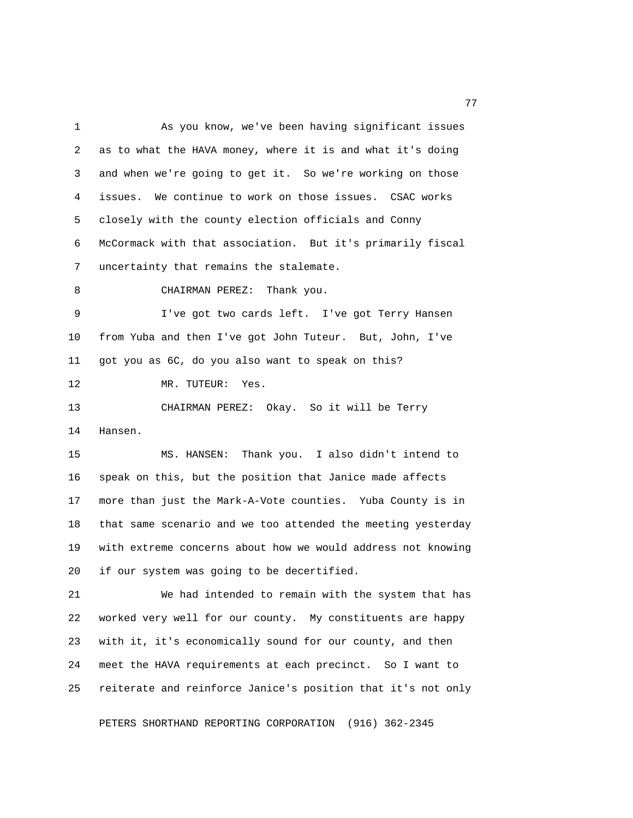1 As you know, we've been having significant issues 2 as to what the HAVA money, where it is and what it's doing 3 and when we're going to get it. So we're working on those 4 issues. We continue to work on those issues. CSAC works 5 closely with the county election officials and Conny 6 McCormack with that association. But it's primarily fiscal 7 uncertainty that remains the stalemate. 8 CHAIRMAN PEREZ: Thank you. 9 I've got two cards left. I've got Terry Hansen 10 from Yuba and then I've got John Tuteur. But, John, I've 11 got you as 6C, do you also want to speak on this? 12 MR. TUTEUR: Yes. 13 CHAIRMAN PEREZ: Okay. So it will be Terry 14 Hansen. 15 MS. HANSEN: Thank you. I also didn't intend to 16 speak on this, but the position that Janice made affects 17 more than just the Mark-A-Vote counties. Yuba County is in 18 that same scenario and we too attended the meeting yesterday

19 with extreme concerns about how we would address not knowing 20 if our system was going to be decertified.

21 We had intended to remain with the system that has 22 worked very well for our county. My constituents are happy 23 with it, it's economically sound for our county, and then 24 meet the HAVA requirements at each precinct. So I want to 25 reiterate and reinforce Janice's position that it's not only

PETERS SHORTHAND REPORTING CORPORATION (916) 362-2345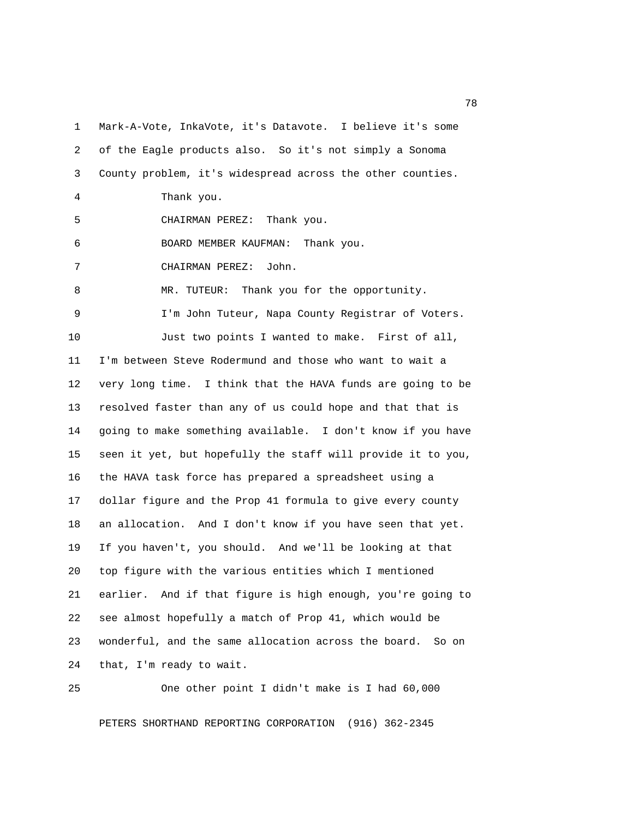1 Mark-A-Vote, InkaVote, it's Datavote. I believe it's some 2 of the Eagle products also. So it's not simply a Sonoma 3 County problem, it's widespread across the other counties. 4 Thank you. 5 CHAIRMAN PEREZ: Thank you. 6 BOARD MEMBER KAUFMAN: Thank you. 7 CHAIRMAN PEREZ: John. 8 MR. TUTEUR: Thank you for the opportunity. 9 I'm John Tuteur, Napa County Registrar of Voters. 10 Just two points I wanted to make. First of all, 11 I'm between Steve Rodermund and those who want to wait a 12 very long time. I think that the HAVA funds are going to be 13 resolved faster than any of us could hope and that that is 14 going to make something available. I don't know if you have 15 seen it yet, but hopefully the staff will provide it to you, 16 the HAVA task force has prepared a spreadsheet using a 17 dollar figure and the Prop 41 formula to give every county 18 an allocation. And I don't know if you have seen that yet. 19 If you haven't, you should. And we'll be looking at that 20 top figure with the various entities which I mentioned 21 earlier. And if that figure is high enough, you're going to 22 see almost hopefully a match of Prop 41, which would be 23 wonderful, and the same allocation across the board. So on 24 that, I'm ready to wait.

PETERS SHORTHAND REPORTING CORPORATION (916) 362-2345

25 One other point I didn't make is I had 60,000

n and the state of the state of the state of the state of the state of the state of the state of the state of the state of the state of the state of the state of the state of the state of the state of the state of the stat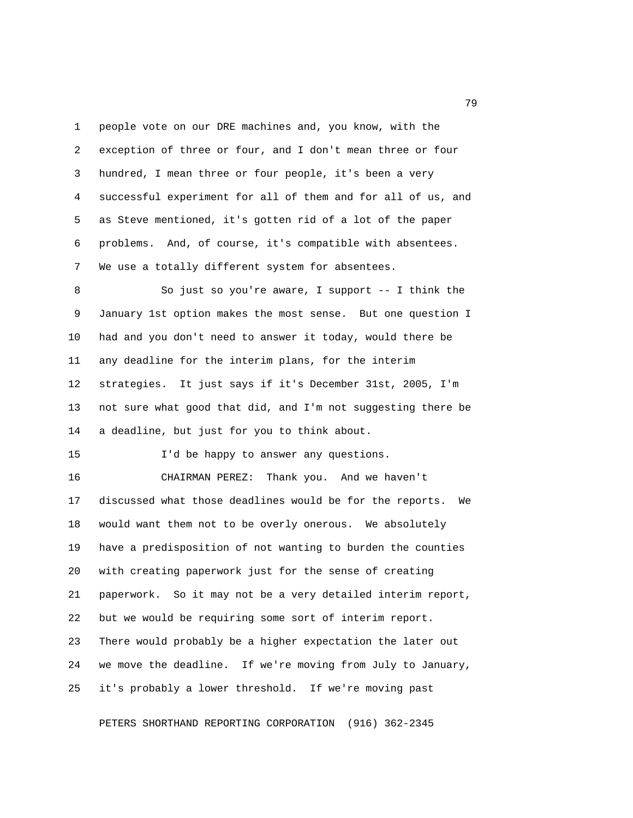1 people vote on our DRE machines and, you know, with the 2 exception of three or four, and I don't mean three or four 3 hundred, I mean three or four people, it's been a very 4 successful experiment for all of them and for all of us, and 5 as Steve mentioned, it's gotten rid of a lot of the paper 6 problems. And, of course, it's compatible with absentees. 7 We use a totally different system for absentees.

 8 So just so you're aware, I support -- I think the 9 January 1st option makes the most sense. But one question I 10 had and you don't need to answer it today, would there be 11 any deadline for the interim plans, for the interim 12 strategies. It just says if it's December 31st, 2005, I'm 13 not sure what good that did, and I'm not suggesting there be 14 a deadline, but just for you to think about.

15 I'd be happy to answer any questions.

16 CHAIRMAN PEREZ: Thank you. And we haven't 17 discussed what those deadlines would be for the reports. We 18 would want them not to be overly onerous. We absolutely 19 have a predisposition of not wanting to burden the counties 20 with creating paperwork just for the sense of creating 21 paperwork. So it may not be a very detailed interim report, 22 but we would be requiring some sort of interim report. 23 There would probably be a higher expectation the later out 24 we move the deadline. If we're moving from July to January, 25 it's probably a lower threshold. If we're moving past

PETERS SHORTHAND REPORTING CORPORATION (916) 362-2345

ng pangalang pangalang pangalang pangalang pangalang pangalang pangalang pangalang pangalang pangalang pangala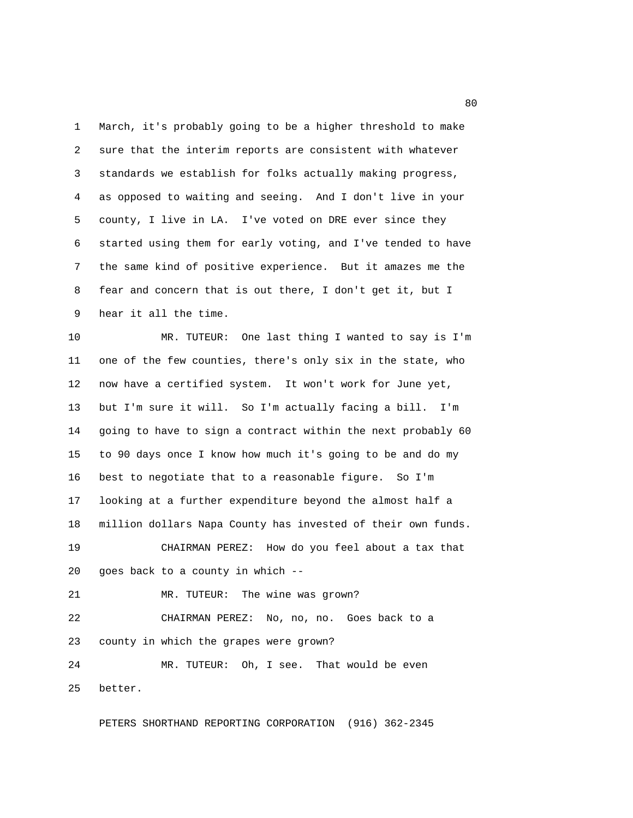1 March, it's probably going to be a higher threshold to make 2 sure that the interim reports are consistent with whatever 3 standards we establish for folks actually making progress, 4 as opposed to waiting and seeing. And I don't live in your 5 county, I live in LA. I've voted on DRE ever since they 6 started using them for early voting, and I've tended to have 7 the same kind of positive experience. But it amazes me the 8 fear and concern that is out there, I don't get it, but I 9 hear it all the time.

10 MR. TUTEUR: One last thing I wanted to say is I'm 11 one of the few counties, there's only six in the state, who 12 now have a certified system. It won't work for June yet, 13 but I'm sure it will. So I'm actually facing a bill. I'm 14 going to have to sign a contract within the next probably 60 15 to 90 days once I know how much it's going to be and do my 16 best to negotiate that to a reasonable figure. So I'm 17 looking at a further expenditure beyond the almost half a 18 million dollars Napa County has invested of their own funds. 19 CHAIRMAN PEREZ: How do you feel about a tax that 20 goes back to a county in which -- 21 MR. TUTEUR: The wine was grown? 22 CHAIRMAN PEREZ: No, no, no. Goes back to a

23 county in which the grapes were grown?

24 MR. TUTEUR: Oh, I see. That would be even 25 better.

PETERS SHORTHAND REPORTING CORPORATION (916) 362-2345

experience of the state of the state of the state of the state of the state of the state of the state of the s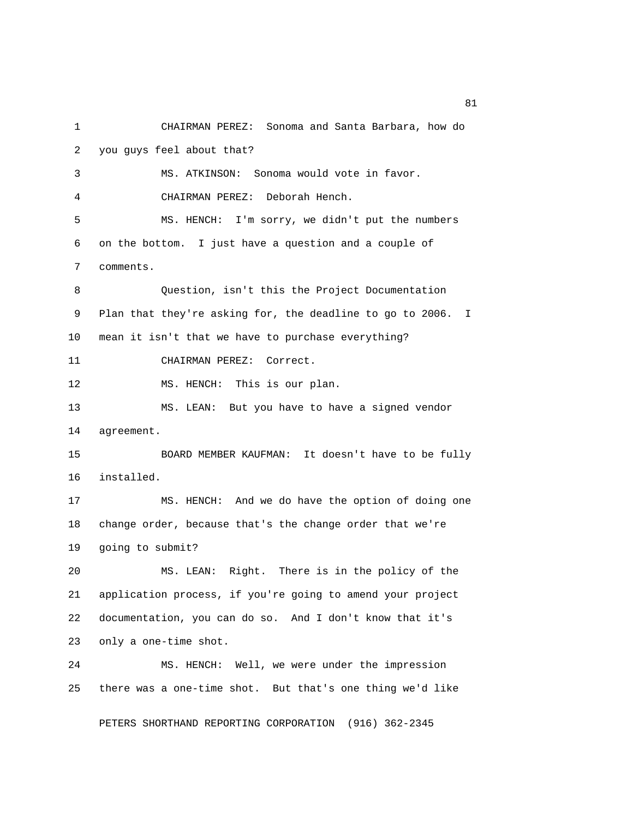1 CHAIRMAN PEREZ: Sonoma and Santa Barbara, how do 2 you guys feel about that? 3 MS. ATKINSON: Sonoma would vote in favor. 4 CHAIRMAN PEREZ: Deborah Hench. 5 MS. HENCH: I'm sorry, we didn't put the numbers 6 on the bottom. I just have a question and a couple of 7 comments. 8 Question, isn't this the Project Documentation 9 Plan that they're asking for, the deadline to go to 2006. I 10 mean it isn't that we have to purchase everything? 11 CHAIRMAN PEREZ: Correct. 12 MS. HENCH: This is our plan. 13 MS. LEAN: But you have to have a signed vendor 14 agreement. 15 BOARD MEMBER KAUFMAN: It doesn't have to be fully 16 installed. 17 MS. HENCH: And we do have the option of doing one 18 change order, because that's the change order that we're 19 going to submit? 20 MS. LEAN: Right. There is in the policy of the 21 application process, if you're going to amend your project 22 documentation, you can do so. And I don't know that it's 23 only a one-time shot. 24 MS. HENCH: Well, we were under the impression 25 there was a one-time shot. But that's one thing we'd like PETERS SHORTHAND REPORTING CORPORATION (916) 362-2345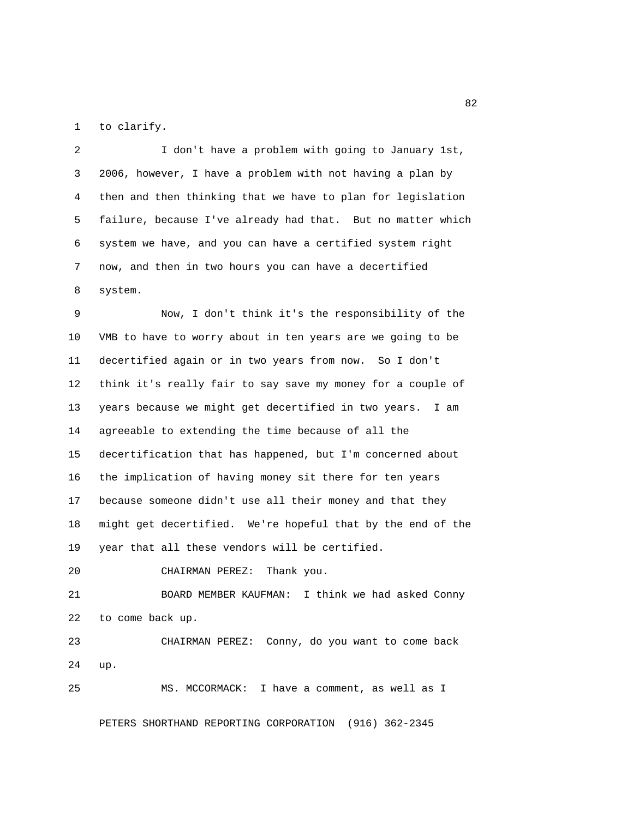1 to clarify.

 2 I don't have a problem with going to January 1st, 3 2006, however, I have a problem with not having a plan by 4 then and then thinking that we have to plan for legislation 5 failure, because I've already had that. But no matter which 6 system we have, and you can have a certified system right 7 now, and then in two hours you can have a decertified 8 system.

 9 Now, I don't think it's the responsibility of the 10 VMB to have to worry about in ten years are we going to be 11 decertified again or in two years from now. So I don't 12 think it's really fair to say save my money for a couple of 13 years because we might get decertified in two years. I am 14 agreeable to extending the time because of all the 15 decertification that has happened, but I'm concerned about 16 the implication of having money sit there for ten years 17 because someone didn't use all their money and that they 18 might get decertified. We're hopeful that by the end of the 19 year that all these vendors will be certified.

20 CHAIRMAN PEREZ: Thank you.

21 BOARD MEMBER KAUFMAN: I think we had asked Conny 22 to come back up.

23 CHAIRMAN PEREZ: Conny, do you want to come back 24 up.

25 MS. MCCORMACK: I have a comment, as well as I

PETERS SHORTHAND REPORTING CORPORATION (916) 362-2345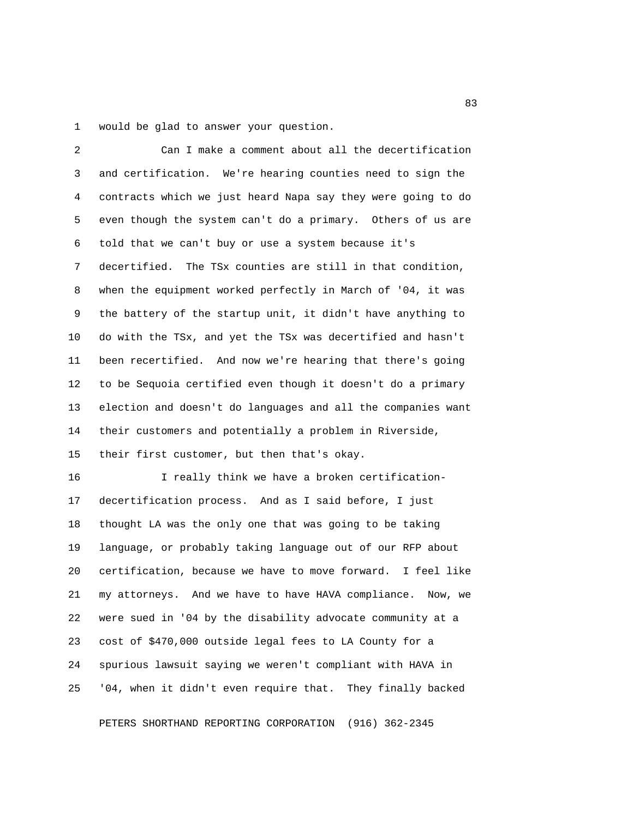1 would be glad to answer your question.

| 2  | Can I make a comment about all the decertification            |
|----|---------------------------------------------------------------|
| 3  | and certification. We're hearing counties need to sign the    |
| 4  | contracts which we just heard Napa say they were going to do  |
| 5  | even though the system can't do a primary. Others of us are   |
| 6  | told that we can't buy or use a system because it's           |
| 7  | decertified. The TSx counties are still in that condition,    |
| 8  | when the equipment worked perfectly in March of '04, it was   |
| 9  | the battery of the startup unit, it didn't have anything to   |
| 10 | do with the TSx, and yet the TSx was decertified and hasn't   |
| 11 | been recertified. And now we're hearing that there's going    |
| 12 | to be Sequoia certified even though it doesn't do a primary   |
| 13 | election and doesn't do languages and all the companies want  |
| 14 | their customers and potentially a problem in Riverside,       |
| 15 | their first customer, but then that's okay.                   |
| 16 | I really think we have a broken certification-                |
| 17 | decertification process. And as I said before, I just         |
| 18 | thought LA was the only one that was going to be taking       |
| 19 | language, or probably taking language out of our RFP about    |
| 20 | certification, because we have to move forward. I feel like   |
| 21 | my attorneys. And we have to have HAVA compliance.<br>Now, we |
| 22 | were sued in '04 by the disability advocate community at a    |
| 23 | cost of \$470,000 outside legal fees to LA County for a       |
| 24 | spurious lawsuit saying we weren't compliant with HAVA in     |
| 25 | '04, when it didn't even require that. They finally backed    |
|    |                                                               |

PETERS SHORTHAND REPORTING CORPORATION (916) 362-2345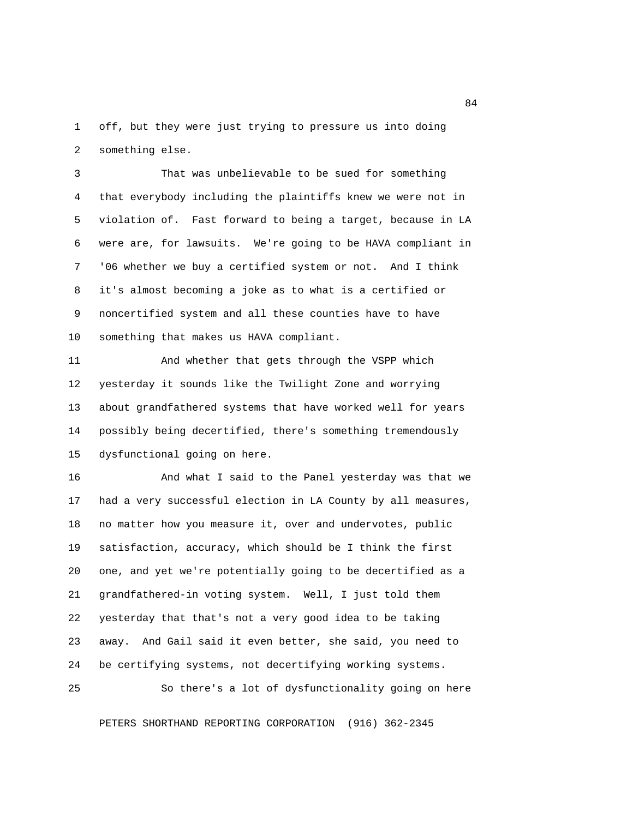1 off, but they were just trying to pressure us into doing 2 something else.

 3 That was unbelievable to be sued for something 4 that everybody including the plaintiffs knew we were not in 5 violation of. Fast forward to being a target, because in LA 6 were are, for lawsuits. We're going to be HAVA compliant in 7 '06 whether we buy a certified system or not. And I think 8 it's almost becoming a joke as to what is a certified or 9 noncertified system and all these counties have to have 10 something that makes us HAVA compliant.

11 And whether that gets through the VSPP which 12 yesterday it sounds like the Twilight Zone and worrying 13 about grandfathered systems that have worked well for years 14 possibly being decertified, there's something tremendously 15 dysfunctional going on here.

16 And what I said to the Panel yesterday was that we 17 had a very successful election in LA County by all measures, 18 no matter how you measure it, over and undervotes, public 19 satisfaction, accuracy, which should be I think the first 20 one, and yet we're potentially going to be decertified as a 21 grandfathered-in voting system. Well, I just told them 22 yesterday that that's not a very good idea to be taking 23 away. And Gail said it even better, she said, you need to 24 be certifying systems, not decertifying working systems.

25 So there's a lot of dysfunctionality going on here

PETERS SHORTHAND REPORTING CORPORATION (916) 362-2345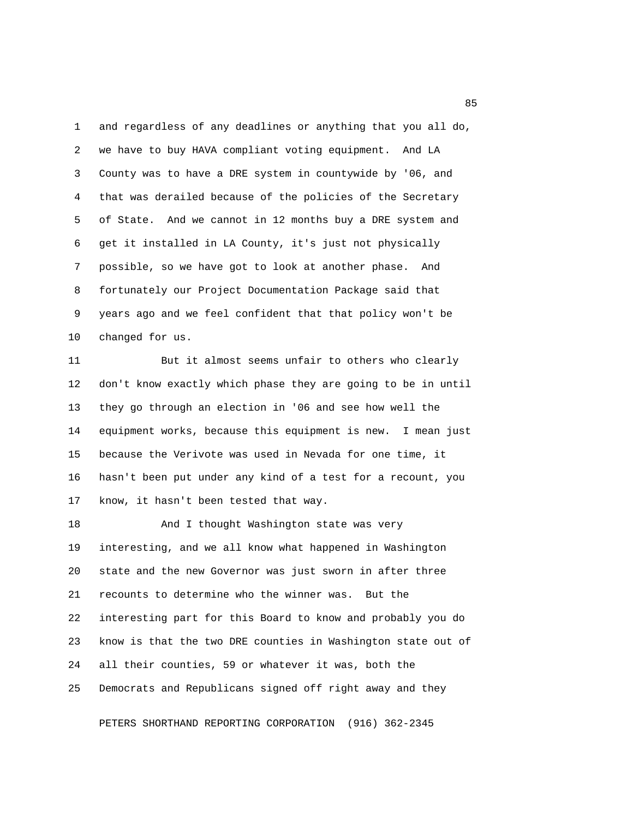1 and regardless of any deadlines or anything that you all do, 2 we have to buy HAVA compliant voting equipment. And LA 3 County was to have a DRE system in countywide by '06, and 4 that was derailed because of the policies of the Secretary 5 of State. And we cannot in 12 months buy a DRE system and 6 get it installed in LA County, it's just not physically 7 possible, so we have got to look at another phase. And 8 fortunately our Project Documentation Package said that 9 years ago and we feel confident that that policy won't be 10 changed for us.

11 But it almost seems unfair to others who clearly 12 don't know exactly which phase they are going to be in until 13 they go through an election in '06 and see how well the 14 equipment works, because this equipment is new. I mean just 15 because the Verivote was used in Nevada for one time, it 16 hasn't been put under any kind of a test for a recount, you 17 know, it hasn't been tested that way.

18 And I thought Washington state was very 19 interesting, and we all know what happened in Washington 20 state and the new Governor was just sworn in after three 21 recounts to determine who the winner was. But the 22 interesting part for this Board to know and probably you do 23 know is that the two DRE counties in Washington state out of 24 all their counties, 59 or whatever it was, both the 25 Democrats and Republicans signed off right away and they

PETERS SHORTHAND REPORTING CORPORATION (916) 362-2345

experience of the state of the state of the state of the state of the state of the state of the state of the s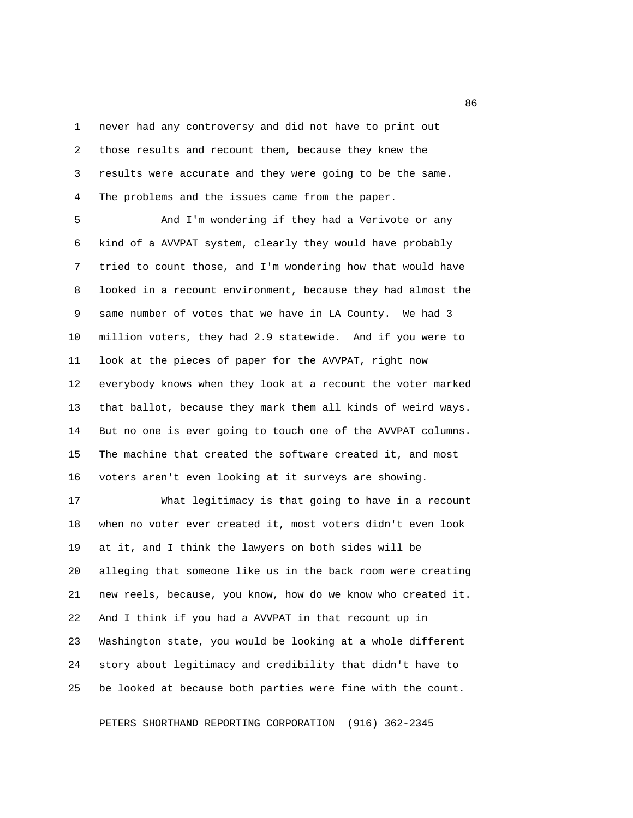1 never had any controversy and did not have to print out 2 those results and recount them, because they knew the 3 results were accurate and they were going to be the same. 4 The problems and the issues came from the paper.

 5 And I'm wondering if they had a Verivote or any 6 kind of a AVVPAT system, clearly they would have probably 7 tried to count those, and I'm wondering how that would have 8 looked in a recount environment, because they had almost the 9 same number of votes that we have in LA County. We had 3 10 million voters, they had 2.9 statewide. And if you were to 11 look at the pieces of paper for the AVVPAT, right now 12 everybody knows when they look at a recount the voter marked 13 that ballot, because they mark them all kinds of weird ways. 14 But no one is ever going to touch one of the AVVPAT columns. 15 The machine that created the software created it, and most 16 voters aren't even looking at it surveys are showing.

17 What legitimacy is that going to have in a recount 18 when no voter ever created it, most voters didn't even look 19 at it, and I think the lawyers on both sides will be 20 alleging that someone like us in the back room were creating 21 new reels, because, you know, how do we know who created it. 22 And I think if you had a AVVPAT in that recount up in 23 Washington state, you would be looking at a whole different 24 story about legitimacy and credibility that didn't have to 25 be looked at because both parties were fine with the count.

PETERS SHORTHAND REPORTING CORPORATION (916) 362-2345

<u>and the state of the state of the state of the state of the state of the state of the state of the state of the state of the state of the state of the state of the state of the state of the state of the state of the state</u>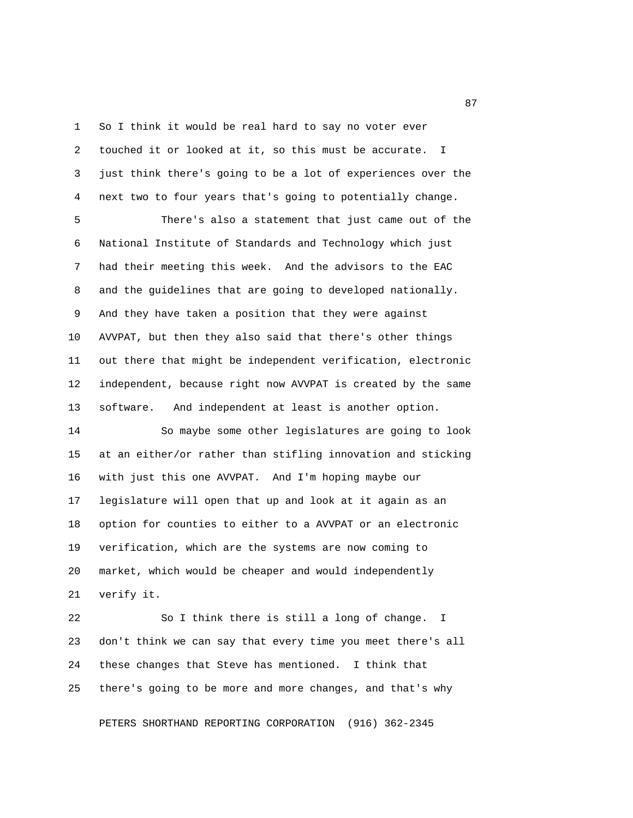1 So I think it would be real hard to say no voter ever 2 touched it or looked at it, so this must be accurate. I 3 just think there's going to be a lot of experiences over the 4 next two to four years that's going to potentially change.

 5 There's also a statement that just came out of the 6 National Institute of Standards and Technology which just 7 had their meeting this week. And the advisors to the EAC 8 and the guidelines that are going to developed nationally. 9 And they have taken a position that they were against 10 AVVPAT, but then they also said that there's other things 11 out there that might be independent verification, electronic 12 independent, because right now AVVPAT is created by the same 13 software. And independent at least is another option.

14 So maybe some other legislatures are going to look 15 at an either/or rather than stifling innovation and sticking 16 with just this one AVVPAT. And I'm hoping maybe our 17 legislature will open that up and look at it again as an 18 option for counties to either to a AVVPAT or an electronic 19 verification, which are the systems are now coming to 20 market, which would be cheaper and would independently 21 verify it.

22 So I think there is still a long of change. I 23 don't think we can say that every time you meet there's all 24 these changes that Steve has mentioned. I think that 25 there's going to be more and more changes, and that's why

PETERS SHORTHAND REPORTING CORPORATION (916) 362-2345

experience of the contract of the contract of the contract of the contract of the contract of the contract of the contract of the contract of the contract of the contract of the contract of the contract of the contract of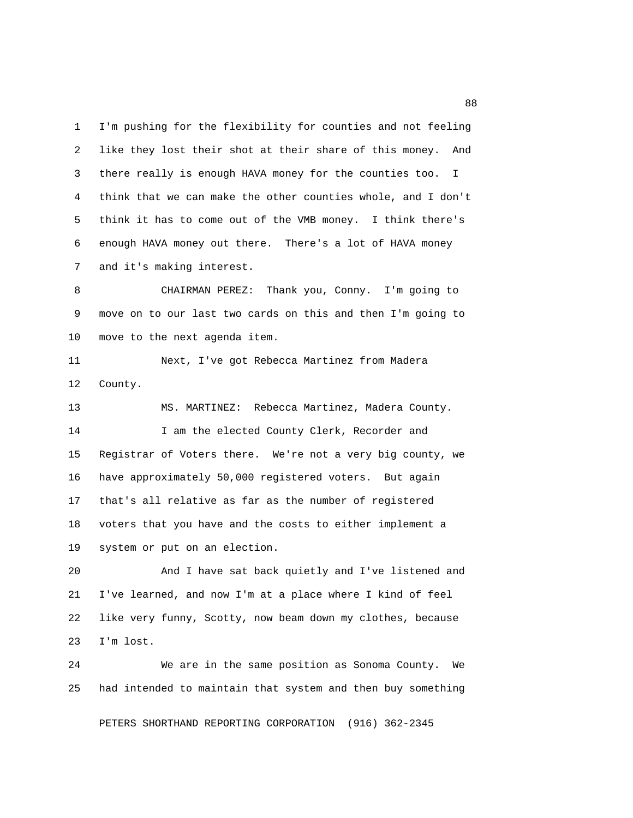1 I'm pushing for the flexibility for counties and not feeling 2 like they lost their shot at their share of this money. And 3 there really is enough HAVA money for the counties too. I 4 think that we can make the other counties whole, and I don't 5 think it has to come out of the VMB money. I think there's 6 enough HAVA money out there. There's a lot of HAVA money 7 and it's making interest.

 8 CHAIRMAN PEREZ: Thank you, Conny. I'm going to 9 move on to our last two cards on this and then I'm going to 10 move to the next agenda item.

11 Next, I've got Rebecca Martinez from Madera 12 County.

13 MS. MARTINEZ: Rebecca Martinez, Madera County. 14 I am the elected County Clerk, Recorder and 15 Registrar of Voters there. We're not a very big county, we 16 have approximately 50,000 registered voters. But again 17 that's all relative as far as the number of registered 18 voters that you have and the costs to either implement a 19 system or put on an election.

20 And I have sat back quietly and I've listened and 21 I've learned, and now I'm at a place where I kind of feel 22 like very funny, Scotty, now beam down my clothes, because 23 I'm lost.

24 We are in the same position as Sonoma County. We 25 had intended to maintain that system and then buy something

PETERS SHORTHAND REPORTING CORPORATION (916) 362-2345

en de la construction de la construction de la construction de la construction de la construction de la constr<br>1888 : le construction de la construction de la construction de la construction de la construction de la const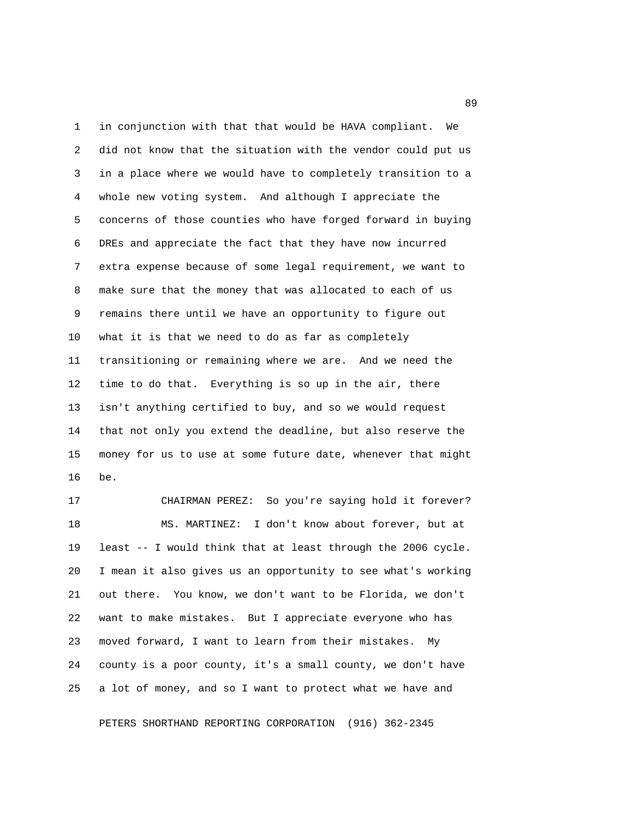1 in conjunction with that that would be HAVA compliant. We 2 did not know that the situation with the vendor could put us 3 in a place where we would have to completely transition to a 4 whole new voting system. And although I appreciate the 5 concerns of those counties who have forged forward in buying 6 DREs and appreciate the fact that they have now incurred 7 extra expense because of some legal requirement, we want to 8 make sure that the money that was allocated to each of us 9 remains there until we have an opportunity to figure out 10 what it is that we need to do as far as completely 11 transitioning or remaining where we are. And we need the 12 time to do that. Everything is so up in the air, there 13 isn't anything certified to buy, and so we would request 14 that not only you extend the deadline, but also reserve the 15 money for us to use at some future date, whenever that might 16 be.

17 CHAIRMAN PEREZ: So you're saying hold it forever? 18 MS. MARTINEZ: I don't know about forever, but at 19 least -- I would think that at least through the 2006 cycle. 20 I mean it also gives us an opportunity to see what's working 21 out there. You know, we don't want to be Florida, we don't 22 want to make mistakes. But I appreciate everyone who has 23 moved forward, I want to learn from their mistakes. My 24 county is a poor county, it's a small county, we don't have 25 a lot of money, and so I want to protect what we have and

PETERS SHORTHAND REPORTING CORPORATION (916) 362-2345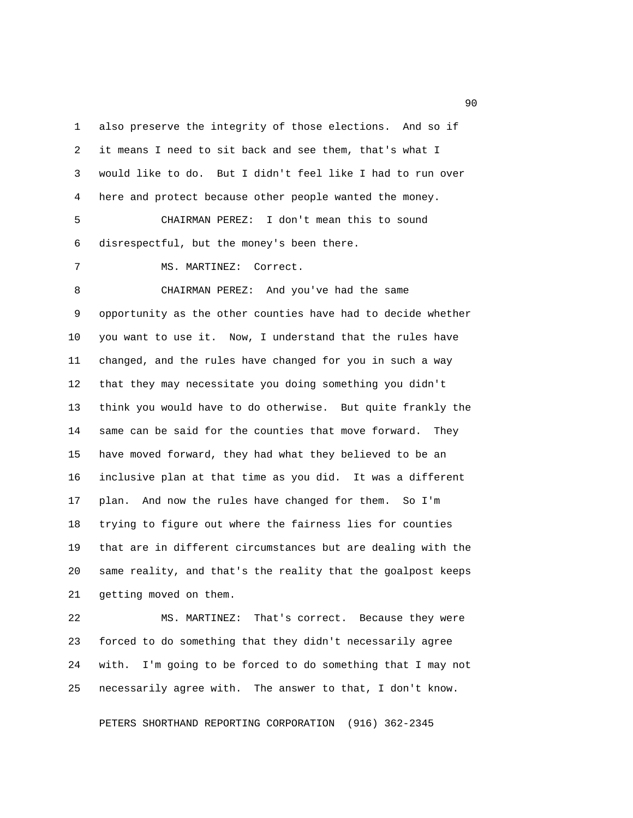1 also preserve the integrity of those elections. And so if 2 it means I need to sit back and see them, that's what I 3 would like to do. But I didn't feel like I had to run over 4 here and protect because other people wanted the money.

 5 CHAIRMAN PEREZ: I don't mean this to sound 6 disrespectful, but the money's been there.

7 MS. MARTINEZ: Correct.

 8 CHAIRMAN PEREZ: And you've had the same 9 opportunity as the other counties have had to decide whether 10 you want to use it. Now, I understand that the rules have 11 changed, and the rules have changed for you in such a way 12 that they may necessitate you doing something you didn't 13 think you would have to do otherwise. But quite frankly the 14 same can be said for the counties that move forward. They 15 have moved forward, they had what they believed to be an 16 inclusive plan at that time as you did. It was a different 17 plan. And now the rules have changed for them. So I'm 18 trying to figure out where the fairness lies for counties 19 that are in different circumstances but are dealing with the 20 same reality, and that's the reality that the goalpost keeps 21 getting moved on them.

22 MS. MARTINEZ: That's correct. Because they were 23 forced to do something that they didn't necessarily agree 24 with. I'm going to be forced to do something that I may not 25 necessarily agree with. The answer to that, I don't know.

PETERS SHORTHAND REPORTING CORPORATION (916) 362-2345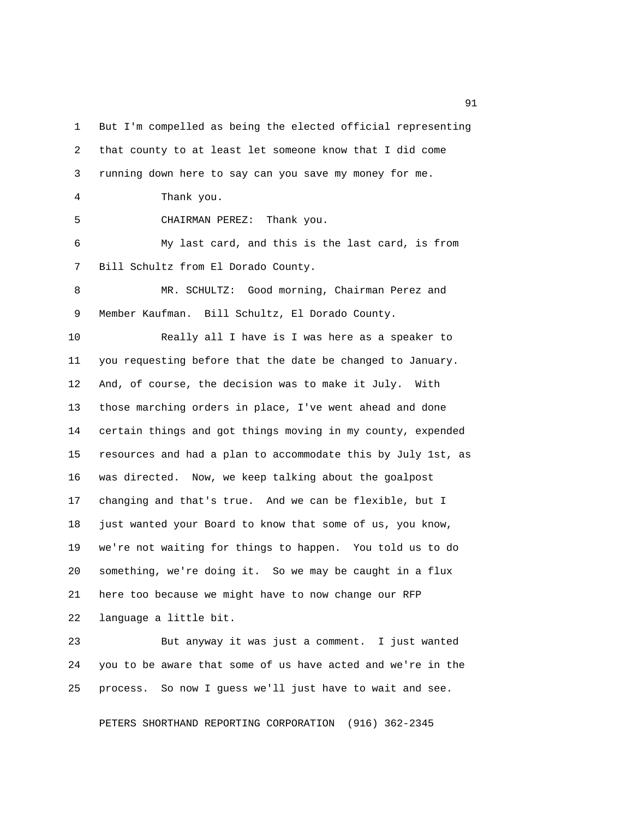1 But I'm compelled as being the elected official representing 2 that county to at least let someone know that I did come 3 running down here to say can you save my money for me. 4 Thank you. 5 CHAIRMAN PEREZ: Thank you. 6 My last card, and this is the last card, is from 7 Bill Schultz from El Dorado County. 8 MR. SCHULTZ: Good morning, Chairman Perez and 9 Member Kaufman. Bill Schultz, El Dorado County. 10 Really all I have is I was here as a speaker to 11 you requesting before that the date be changed to January. 12 And, of course, the decision was to make it July. With 13 those marching orders in place, I've went ahead and done 14 certain things and got things moving in my county, expended 15 resources and had a plan to accommodate this by July 1st, as 16 was directed. Now, we keep talking about the goalpost 17 changing and that's true. And we can be flexible, but I 18 just wanted your Board to know that some of us, you know, 19 we're not waiting for things to happen. You told us to do 20 something, we're doing it. So we may be caught in a flux 21 here too because we might have to now change our RFP 22 language a little bit. 23 But anyway it was just a comment. I just wanted 24 you to be aware that some of us have acted and we're in the

PETERS SHORTHAND REPORTING CORPORATION (916) 362-2345

25 process. So now I guess we'll just have to wait and see.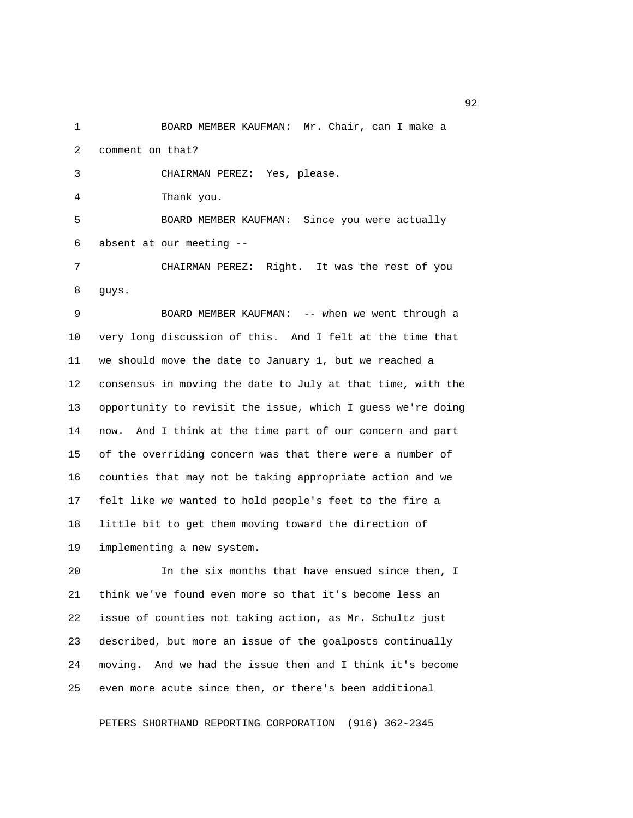1 BOARD MEMBER KAUFMAN: Mr. Chair, can I make a 2 comment on that?

3 CHAIRMAN PEREZ: Yes, please.

4 Thank you.

 5 BOARD MEMBER KAUFMAN: Since you were actually 6 absent at our meeting --

 7 CHAIRMAN PEREZ: Right. It was the rest of you 8 guys.

 9 BOARD MEMBER KAUFMAN: -- when we went through a 10 very long discussion of this. And I felt at the time that 11 we should move the date to January 1, but we reached a 12 consensus in moving the date to July at that time, with the 13 opportunity to revisit the issue, which I guess we're doing 14 now. And I think at the time part of our concern and part 15 of the overriding concern was that there were a number of 16 counties that may not be taking appropriate action and we 17 felt like we wanted to hold people's feet to the fire a 18 little bit to get them moving toward the direction of 19 implementing a new system.

20 In the six months that have ensued since then, I 21 think we've found even more so that it's become less an 22 issue of counties not taking action, as Mr. Schultz just 23 described, but more an issue of the goalposts continually 24 moving. And we had the issue then and I think it's become 25 even more acute since then, or there's been additional

PETERS SHORTHAND REPORTING CORPORATION (916) 362-2345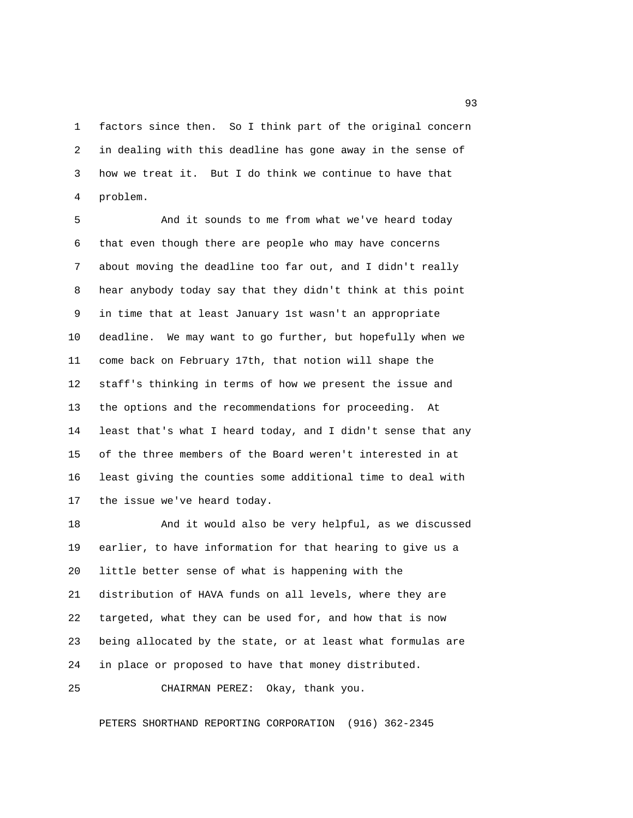1 factors since then. So I think part of the original concern 2 in dealing with this deadline has gone away in the sense of 3 how we treat it. But I do think we continue to have that 4 problem.

 5 And it sounds to me from what we've heard today 6 that even though there are people who may have concerns 7 about moving the deadline too far out, and I didn't really 8 hear anybody today say that they didn't think at this point 9 in time that at least January 1st wasn't an appropriate 10 deadline. We may want to go further, but hopefully when we 11 come back on February 17th, that notion will shape the 12 staff's thinking in terms of how we present the issue and 13 the options and the recommendations for proceeding. At 14 least that's what I heard today, and I didn't sense that any 15 of the three members of the Board weren't interested in at 16 least giving the counties some additional time to deal with 17 the issue we've heard today.

18 And it would also be very helpful, as we discussed 19 earlier, to have information for that hearing to give us a 20 little better sense of what is happening with the 21 distribution of HAVA funds on all levels, where they are 22 targeted, what they can be used for, and how that is now 23 being allocated by the state, or at least what formulas are 24 in place or proposed to have that money distributed.

25 CHAIRMAN PEREZ: Okay, thank you.

PETERS SHORTHAND REPORTING CORPORATION (916) 362-2345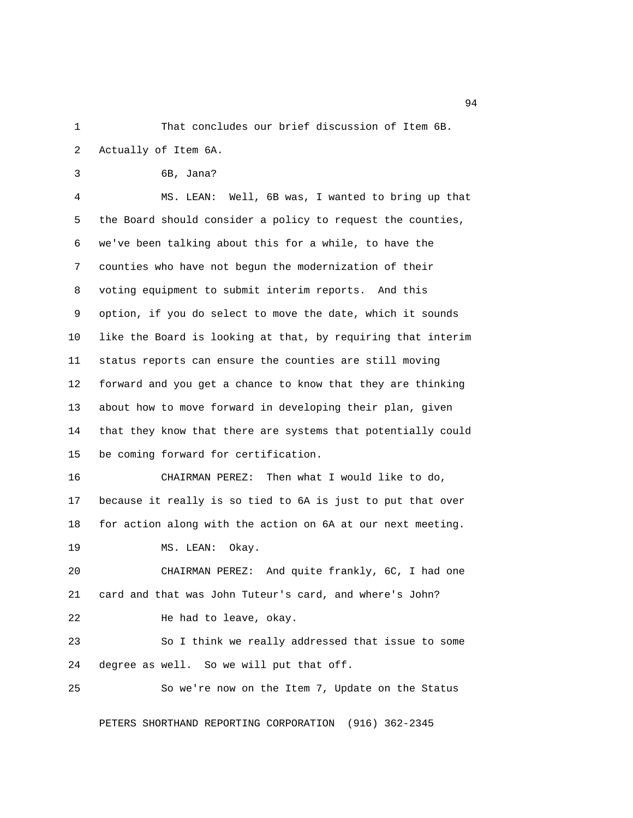1 That concludes our brief discussion of Item 6B. 2 Actually of Item 6A.

3 6B, Jana?

 4 MS. LEAN: Well, 6B was, I wanted to bring up that 5 the Board should consider a policy to request the counties, 6 we've been talking about this for a while, to have the 7 counties who have not begun the modernization of their 8 voting equipment to submit interim reports. And this 9 option, if you do select to move the date, which it sounds 10 like the Board is looking at that, by requiring that interim 11 status reports can ensure the counties are still moving 12 forward and you get a chance to know that they are thinking 13 about how to move forward in developing their plan, given 14 that they know that there are systems that potentially could 15 be coming forward for certification.

16 CHAIRMAN PEREZ: Then what I would like to do, 17 because it really is so tied to 6A is just to put that over 18 for action along with the action on 6A at our next meeting.

19 MS. LEAN: Okay.

20 CHAIRMAN PEREZ: And quite frankly, 6C, I had one 21 card and that was John Tuteur's card, and where's John? 22 He had to leave, okay.

23 So I think we really addressed that issue to some 24 degree as well. So we will put that off.

25 So we're now on the Item 7, Update on the Status

PETERS SHORTHAND REPORTING CORPORATION (916) 362-2345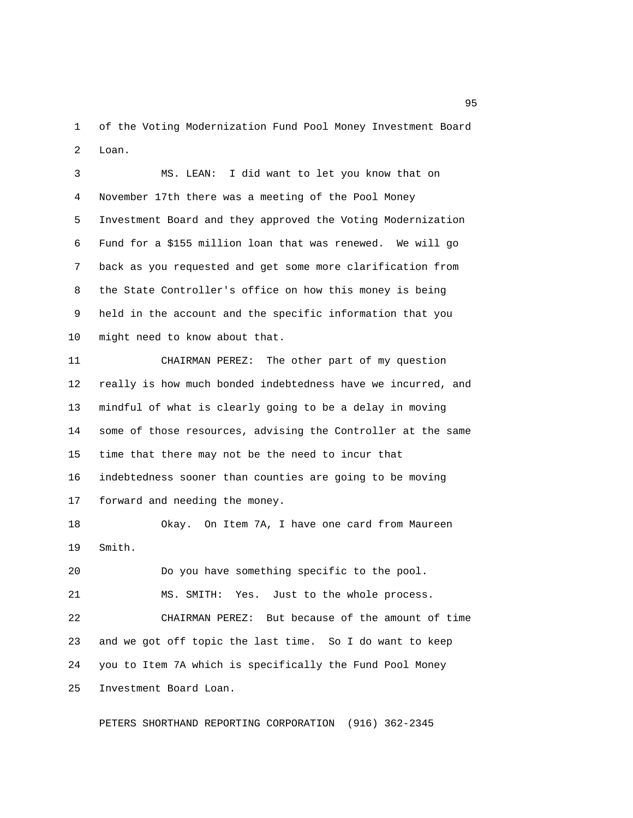1 of the Voting Modernization Fund Pool Money Investment Board 2 Loan.

 3 MS. LEAN: I did want to let you know that on 4 November 17th there was a meeting of the Pool Money 5 Investment Board and they approved the Voting Modernization 6 Fund for a \$155 million loan that was renewed. We will go 7 back as you requested and get some more clarification from 8 the State Controller's office on how this money is being 9 held in the account and the specific information that you 10 might need to know about that.

11 CHAIRMAN PEREZ: The other part of my question 12 really is how much bonded indebtedness have we incurred, and 13 mindful of what is clearly going to be a delay in moving 14 some of those resources, advising the Controller at the same 15 time that there may not be the need to incur that 16 indebtedness sooner than counties are going to be moving 17 forward and needing the money.

18 Okay. On Item 7A, I have one card from Maureen 19 Smith.

20 Do you have something specific to the pool. 21 MS. SMITH: Yes. Just to the whole process. 22 CHAIRMAN PEREZ: But because of the amount of time 23 and we got off topic the last time. So I do want to keep 24 you to Item 7A which is specifically the Fund Pool Money 25 Investment Board Loan.

PETERS SHORTHAND REPORTING CORPORATION (916) 362-2345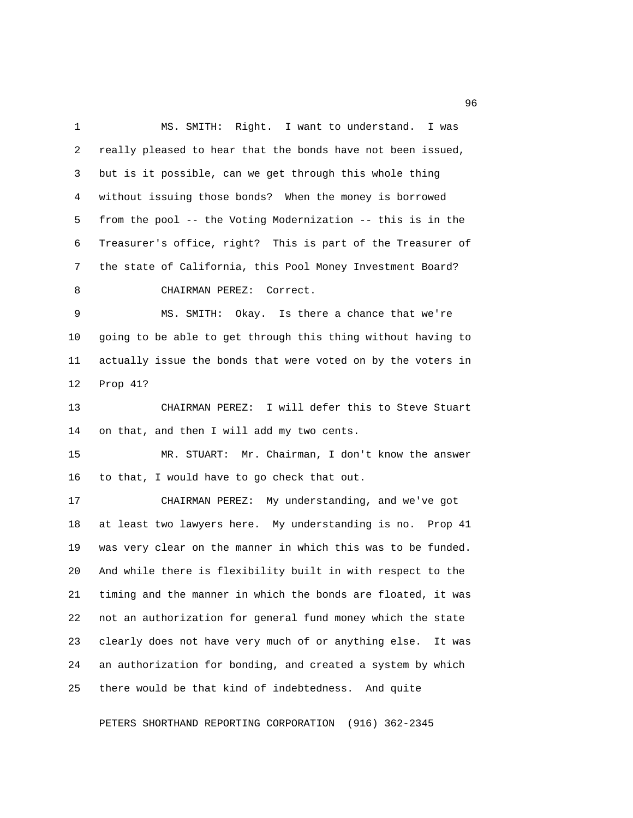1 MS. SMITH: Right. I want to understand. I was 2 really pleased to hear that the bonds have not been issued, 3 but is it possible, can we get through this whole thing 4 without issuing those bonds? When the money is borrowed 5 from the pool -- the Voting Modernization -- this is in the 6 Treasurer's office, right? This is part of the Treasurer of 7 the state of California, this Pool Money Investment Board? 8 CHAIRMAN PEREZ: Correct. 9 MS. SMITH: Okay. Is there a chance that we're 10 going to be able to get through this thing without having to 11 actually issue the bonds that were voted on by the voters in 12 Prop 41? 13 CHAIRMAN PEREZ: I will defer this to Steve Stuart 14 on that, and then I will add my two cents. 15 MR. STUART: Mr. Chairman, I don't know the answer 16 to that, I would have to go check that out. 17 CHAIRMAN PEREZ: My understanding, and we've got 18 at least two lawyers here. My understanding is no. Prop 41 19 was very clear on the manner in which this was to be funded. 20 And while there is flexibility built in with respect to the 21 timing and the manner in which the bonds are floated, it was 22 not an authorization for general fund money which the state 23 clearly does not have very much of or anything else. It was 24 an authorization for bonding, and created a system by which 25 there would be that kind of indebtedness. And quite

PETERS SHORTHAND REPORTING CORPORATION (916) 362-2345

<u>96 and the state of the state of the state of the state of the state of the state of the state of the state of the state of the state of the state of the state of the state of the state of the state of the state of the st</u>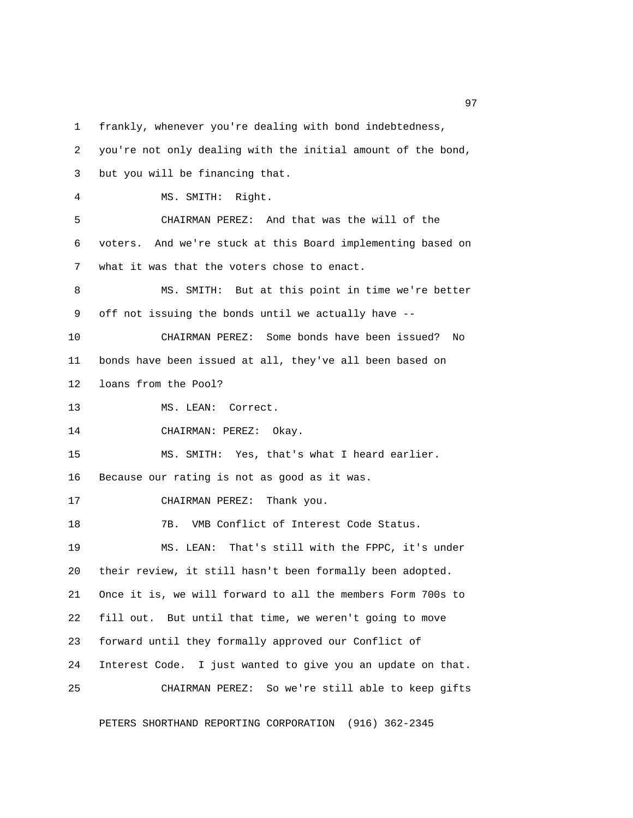1 frankly, whenever you're dealing with bond indebtedness,

 2 you're not only dealing with the initial amount of the bond, 3 but you will be financing that. 4 MS. SMITH: Right. 5 CHAIRMAN PEREZ: And that was the will of the 6 voters. And we're stuck at this Board implementing based on 7 what it was that the voters chose to enact. 8 MS. SMITH: But at this point in time we're better 9 off not issuing the bonds until we actually have -- 10 CHAIRMAN PEREZ: Some bonds have been issued? No 11 bonds have been issued at all, they've all been based on 12 loans from the Pool? 13 MS. LEAN: Correct. 14 CHAIRMAN: PEREZ: Okay. 15 MS. SMITH: Yes, that's what I heard earlier. 16 Because our rating is not as good as it was. 17 CHAIRMAN PEREZ: Thank you. 18 7B. WMB Conflict of Interest Code Status. 19 MS. LEAN: That's still with the FPPC, it's under 20 their review, it still hasn't been formally been adopted. 21 Once it is, we will forward to all the members Form 700s to 22 fill out. But until that time, we weren't going to move 23 forward until they formally approved our Conflict of 24 Interest Code. I just wanted to give you an update on that. 25 CHAIRMAN PEREZ: So we're still able to keep gifts

PETERS SHORTHAND REPORTING CORPORATION (916) 362-2345

experience of the contract of the contract of the contract of the contract of the contract of the contract of the contract of the contract of the contract of the contract of the contract of the contract of the contract of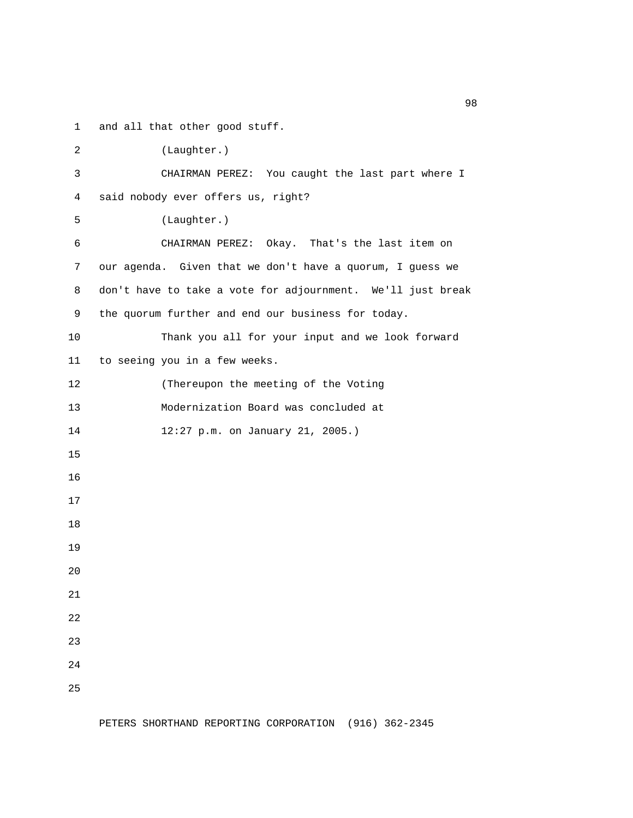1 and all that other good stuff.

 2 (Laughter.) 3 CHAIRMAN PEREZ: You caught the last part where I 4 said nobody ever offers us, right? 5 (Laughter.) 6 CHAIRMAN PEREZ: Okay. That's the last item on 7 our agenda. Given that we don't have a quorum, I guess we 8 don't have to take a vote for adjournment. We'll just break 9 the quorum further and end our business for today. 10 Thank you all for your input and we look forward 11 to seeing you in a few weeks. 12 (Thereupon the meeting of the Voting 13 Modernization Board was concluded at 14 12:27 p.m. on January 21, 2005.) 15 16 17 18 19 20 21 22 23 24 25